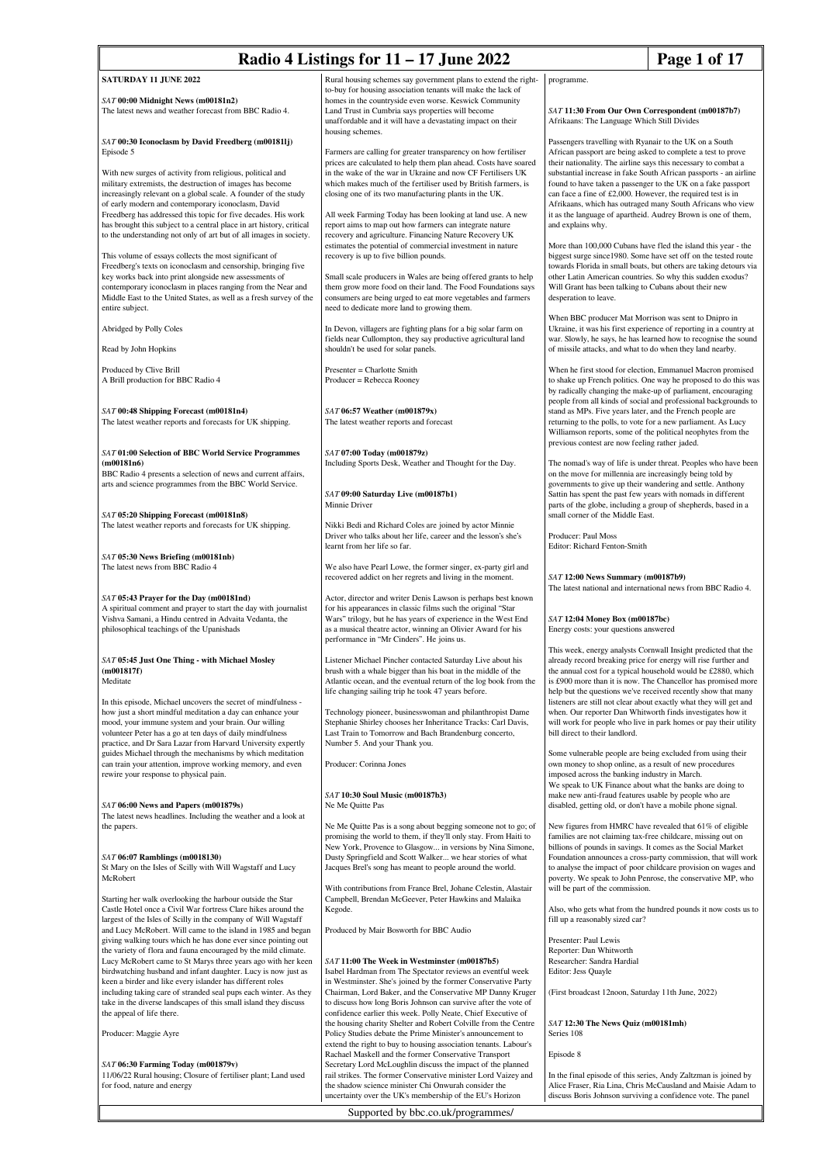| Radio 4 Listings for $11 - 17$ June 2022                                                                                                                                                                                                                                                                                                                                                                                                                       | Page 1 of 17                                                                                                                                                                                                                                                                                                                                                                                                                                                                                                 |                                                                                                                                                                                                                                                                                                                                                                                                                                                                                         |  |
|----------------------------------------------------------------------------------------------------------------------------------------------------------------------------------------------------------------------------------------------------------------------------------------------------------------------------------------------------------------------------------------------------------------------------------------------------------------|--------------------------------------------------------------------------------------------------------------------------------------------------------------------------------------------------------------------------------------------------------------------------------------------------------------------------------------------------------------------------------------------------------------------------------------------------------------------------------------------------------------|-----------------------------------------------------------------------------------------------------------------------------------------------------------------------------------------------------------------------------------------------------------------------------------------------------------------------------------------------------------------------------------------------------------------------------------------------------------------------------------------|--|
| <b>SATURDAY 11 JUNE 2022</b>                                                                                                                                                                                                                                                                                                                                                                                                                                   | Rural housing schemes say government plans to extend the right-                                                                                                                                                                                                                                                                                                                                                                                                                                              | programme.                                                                                                                                                                                                                                                                                                                                                                                                                                                                              |  |
| SAT 00:00 Midnight News (m00181n2)<br>The latest news and weather forecast from BBC Radio 4.                                                                                                                                                                                                                                                                                                                                                                   | to-buy for housing association tenants will make the lack of<br>homes in the countryside even worse. Keswick Community<br>Land Trust in Cumbria says properties will become<br>unaffordable and it will have a devastating impact on their<br>housing schemes.                                                                                                                                                                                                                                               | SAT 11:30 From Our Own Correspondent (m00187b7)<br>Afrikaans: The Language Which Still Divides                                                                                                                                                                                                                                                                                                                                                                                          |  |
| SAT 00:30 Iconoclasm by David Freedberg (m00181lj)<br>Episode 5                                                                                                                                                                                                                                                                                                                                                                                                | Farmers are calling for greater transparency on how fertiliser                                                                                                                                                                                                                                                                                                                                                                                                                                               | Passengers travelling with Ryanair to the UK on a South<br>African passport are being asked to complete a test to prove                                                                                                                                                                                                                                                                                                                                                                 |  |
| With new surges of activity from religious, political and<br>military extremists, the destruction of images has become<br>increasingly relevant on a global scale. A founder of the study<br>of early modern and contemporary iconoclasm, David<br>Freedberg has addressed this topic for five decades. His work<br>has brought this subject to a central place in art history, critical<br>to the understanding not only of art but of all images in society. | prices are calculated to help them plan ahead. Costs have soared<br>in the wake of the war in Ukraine and now CF Fertilisers UK<br>which makes much of the fertiliser used by British farmers, is<br>closing one of its two manufacturing plants in the UK.<br>All week Farming Today has been looking at land use. A new<br>report aims to map out how farmers can integrate nature<br>recovery and agriculture. Financing Nature Recovery UK<br>estimates the potential of commercial investment in nature | their nationality. The airline says this necessary to combat a<br>substantial increase in fake South African passports - an airline<br>found to have taken a passenger to the UK on a fake passport<br>can face a fine of £2,000. However, the required test is in<br>Afrikaans, which has outraged many South Africans who view<br>it as the language of apartheid. Audrey Brown is one of them,<br>and explains why.<br>More than 100,000 Cubans have fled the island this year - the |  |
| This volume of essays collects the most significant of<br>Freedberg's texts on iconoclasm and censorship, bringing five<br>key works back into print alongside new assessments of<br>contemporary iconoclasm in places ranging from the Near and<br>Middle East to the United States, as well as a fresh survey of the<br>entire subject.                                                                                                                      | recovery is up to five billion pounds.<br>Small scale producers in Wales are being offered grants to help<br>them grow more food on their land. The Food Foundations says<br>consumers are being urged to eat more vegetables and farmers<br>need to dedicate more land to growing them.                                                                                                                                                                                                                     | biggest surge since 1980. Some have set off on the tested route<br>towards Florida in small boats, but others are taking detours via<br>other Latin American countries. So why this sudden exodus?<br>Will Grant has been talking to Cubans about their new<br>desperation to leave.                                                                                                                                                                                                    |  |
| Abridged by Polly Coles                                                                                                                                                                                                                                                                                                                                                                                                                                        | In Devon, villagers are fighting plans for a big solar farm on<br>fields near Cullompton, they say productive agricultural land                                                                                                                                                                                                                                                                                                                                                                              | When BBC producer Mat Morrison was sent to Dnipro in<br>Ukraine, it was his first experience of reporting in a country at<br>war. Slowly, he says, he has learned how to recognise the sound                                                                                                                                                                                                                                                                                            |  |
| Read by John Hopkins                                                                                                                                                                                                                                                                                                                                                                                                                                           | shouldn't be used for solar panels.                                                                                                                                                                                                                                                                                                                                                                                                                                                                          | of missile attacks, and what to do when they land nearby.                                                                                                                                                                                                                                                                                                                                                                                                                               |  |
| Produced by Clive Brill<br>A Brill production for BBC Radio 4                                                                                                                                                                                                                                                                                                                                                                                                  | Presenter = Charlotte Smith<br>Producer = Rebecca Rooney                                                                                                                                                                                                                                                                                                                                                                                                                                                     | When he first stood for election, Emmanuel Macron promised<br>to shake up French politics. One way he proposed to do this was<br>by radically changing the make-up of parliament, encouraging<br>people from all kinds of social and professional backgrounds to                                                                                                                                                                                                                        |  |
| SAT 00:48 Shipping Forecast (m00181n4)<br>The latest weather reports and forecasts for UK shipping.                                                                                                                                                                                                                                                                                                                                                            | SAT 06:57 Weather (m001879x)<br>The latest weather reports and forecast                                                                                                                                                                                                                                                                                                                                                                                                                                      | stand as MPs. Five years later, and the French people are<br>returning to the polls, to vote for a new parliament. As Lucy<br>Williamson reports, some of the political neophytes from the<br>previous contest are now feeling rather jaded.                                                                                                                                                                                                                                            |  |
| SAT 01:00 Selection of BBC World Service Programmes<br>(m00181n6)<br>BBC Radio 4 presents a selection of news and current affairs,<br>arts and science programmes from the BBC World Service.                                                                                                                                                                                                                                                                  | SAT 07:00 Today (m001879z)<br>Including Sports Desk, Weather and Thought for the Day.<br>SAT 09:00 Saturday Live (m00187b1)                                                                                                                                                                                                                                                                                                                                                                                  | The nomad's way of life is under threat. Peoples who have been<br>on the move for millennia are increasingly being told by<br>governments to give up their wandering and settle. Anthony<br>Sattin has spent the past few years with nomads in different                                                                                                                                                                                                                                |  |
| SAT 05:20 Shipping Forecast (m00181n8)<br>The latest weather reports and forecasts for UK shipping.                                                                                                                                                                                                                                                                                                                                                            | Minnie Driver<br>Nikki Bedi and Richard Coles are joined by actor Minnie<br>Driver who talks about her life, career and the lesson's she's<br>learnt from her life so far.                                                                                                                                                                                                                                                                                                                                   | parts of the globe, including a group of shepherds, based in a<br>small corner of the Middle East.<br>Producer: Paul Moss<br>Editor: Richard Fenton-Smith                                                                                                                                                                                                                                                                                                                               |  |
| SAT 05:30 News Briefing (m00181nb)<br>The latest news from BBC Radio 4                                                                                                                                                                                                                                                                                                                                                                                         | We also have Pearl Lowe, the former singer, ex-party girl and<br>recovered addict on her regrets and living in the moment.                                                                                                                                                                                                                                                                                                                                                                                   | SAT 12:00 News Summary (m00187b9)<br>The latest national and international news from BBC Radio 4.                                                                                                                                                                                                                                                                                                                                                                                       |  |
| SAT 05:43 Prayer for the Day (m00181nd)<br>A spiritual comment and prayer to start the day with journalist<br>Vishva Samani, a Hindu centred in Advaita Vedanta, the<br>philosophical teachings of the Upanishads                                                                                                                                                                                                                                              | Actor, director and writer Denis Lawson is perhaps best known<br>for his appearances in classic films such the original "Star<br>Wars" trilogy, but he has years of experience in the West End<br>as a musical theatre actor, winning an Olivier Award for his<br>performance in "Mr Cinders". He joins us.                                                                                                                                                                                                  | $SAT 12:04$ Money Box (m00187bc)<br>Energy costs: your questions answered                                                                                                                                                                                                                                                                                                                                                                                                               |  |
| SAT 05:45 Just One Thing - with Michael Mosley<br>(m001817f)<br>Meditate                                                                                                                                                                                                                                                                                                                                                                                       | Listener Michael Pincher contacted Saturday Live about his<br>brush with a whale bigger than his boat in the middle of the<br>Atlantic ocean, and the eventual return of the log book from the<br>life changing sailing trip he took 47 years before.                                                                                                                                                                                                                                                        | This week, energy analysts Cornwall Insight predicted that the<br>already record breaking price for energy will rise further and<br>the annual cost for a typical household would be £2880, which<br>is £900 more than it is now. The Chancellor has promised more<br>help but the questions we've received recently show that many                                                                                                                                                     |  |
| In this episode, Michael uncovers the secret of mindfulness -<br>how just a short mindful meditation a day can enhance your<br>mood, your immune system and your brain. Our willing<br>volunteer Peter has a go at ten days of daily mindfulness<br>practice, and Dr Sara Lazar from Harvard University expertly<br>guides Michael through the mechanisms by which meditation                                                                                  | Technology pioneer, businesswoman and philanthropist Dame<br>Stephanie Shirley chooses her Inheritance Tracks: Carl Davis,<br>Last Train to Tomorrow and Bach Brandenburg concerto,<br>Number 5. And your Thank you.                                                                                                                                                                                                                                                                                         | listeners are still not clear about exactly what they will get and<br>when. Our reporter Dan Whitworth finds investigates how it<br>will work for people who live in park homes or pay their utility<br>bill direct to their landlord.<br>Some vulnerable people are being excluded from using their                                                                                                                                                                                    |  |
| can train your attention, improve working memory, and even<br>rewire your response to physical pain.                                                                                                                                                                                                                                                                                                                                                           | Producer: Corinna Jones                                                                                                                                                                                                                                                                                                                                                                                                                                                                                      | own money to shop online, as a result of new procedures<br>imposed across the banking industry in March.<br>We speak to UK Finance about what the banks are doing to                                                                                                                                                                                                                                                                                                                    |  |
| SAT 06:00 News and Papers (m001879s)<br>The latest news headlines. Including the weather and a look at<br>the papers.                                                                                                                                                                                                                                                                                                                                          | SAT 10:30 Soul Music (m00187b3)<br>Ne Me Quitte Pas<br>Ne Me Quitte Pas is a song about begging someone not to go; of                                                                                                                                                                                                                                                                                                                                                                                        | make new anti-fraud features usable by people who are<br>disabled, getting old, or don't have a mobile phone signal.<br>New figures from HMRC have revealed that 61% of eligible                                                                                                                                                                                                                                                                                                        |  |
| SAT 06:07 Ramblings (m0018130)                                                                                                                                                                                                                                                                                                                                                                                                                                 | promising the world to them, if they'll only stay. From Haiti to<br>New York, Provence to Glasgow in versions by Nina Simone,<br>Dusty Springfield and Scott Walker we hear stories of what                                                                                                                                                                                                                                                                                                                  | families are not claiming tax-free childcare, missing out on<br>billions of pounds in savings. It comes as the Social Market<br>Foundation announces a cross-party commission, that will work                                                                                                                                                                                                                                                                                           |  |
| St Mary on the Isles of Scilly with Will Wagstaff and Lucy<br>McRobert                                                                                                                                                                                                                                                                                                                                                                                         | Jacques Brel's song has meant to people around the world.                                                                                                                                                                                                                                                                                                                                                                                                                                                    | to analyse the impact of poor childcare provision on wages and<br>poverty. We speak to John Penrose, the conservative MP, who                                                                                                                                                                                                                                                                                                                                                           |  |
| Starting her walk overlooking the harbour outside the Star<br>Castle Hotel once a Civil War fortress Clare hikes around the<br>largest of the Isles of Scilly in the company of Will Wagstaff<br>and Lucy McRobert. Will came to the island in 1985 and began<br>giving walking tours which he has done ever since pointing out<br>the variety of flora and fauna encouraged by the mild climate.                                                              | With contributions from France Brel, Johane Celestin, Alastair<br>Campbell, Brendan McGeever, Peter Hawkins and Malaika<br>Kegode.<br>Produced by Mair Bosworth for BBC Audio                                                                                                                                                                                                                                                                                                                                | will be part of the commission.<br>Also, who gets what from the hundred pounds it now costs us to<br>fill up a reasonably sized car?<br>Presenter: Paul Lewis<br>Reporter: Dan Whitworth                                                                                                                                                                                                                                                                                                |  |

*SAT* **11:00 The Week in Westminster (m00187b5)**

Isabel Hardman from The Spectator reviews an eventful week in Westminster. She's joined by the former Conservative Party Chairman, Lord Baker, and the Conservative MP Danny Kruger to discuss how long Boris Johnson can survive after the vote of confidence earlier this week. Polly Neate, Chief Executive of the housing charity Shelter and Robert Colville from the Centre Policy Studies debate the Prime Minister's announcement to extend the right to buy to housing association tenants. Labour's Rachael Maskell and the former Conservative Transport Secretary Lord McLoughlin discuss the impact of the planned rail strikes. The former Conservative minister Lord Vaizey and the shadow science minister Chi Onwurah consider the uncertainty over the UK's membership of the EU's Horizon

Supported by bbc.co.uk/programmes/

giving walking tours which he has done ever since pointing out the variety of flora and fauna encouraged by the mild climate. Lucy McRobert came to St Marys three years ago with her keen birdwatching husband and infant daughter. Lucy is now just as keen a birder and like every islander has different roles including taking care of stranded seal pups each winter. As they take in the diverse landscapes of this small island they discuss the appeal of life there.

Producer: Maggie Ayre

#### *SAT* **06:30 Farming Today (m001879v)** 11/06/22 Rural housing; Closure of fertiliser plant; Land used for food, nature and energy

In the final episode of this series, Andy Zaltzman is joined by Alice Fraser, Ria Lina, Chris McCausland and Maisie Adam to discuss Boris Johnson surviving a confidence vote. The panel

(First broadcast 12noon, Saturday 11th June, 2022)

*SAT* **12:30 The News Quiz (m00181mh)**

Researcher: Sandra Hardial Editor: Jess Quayle

Series 108 Episode 8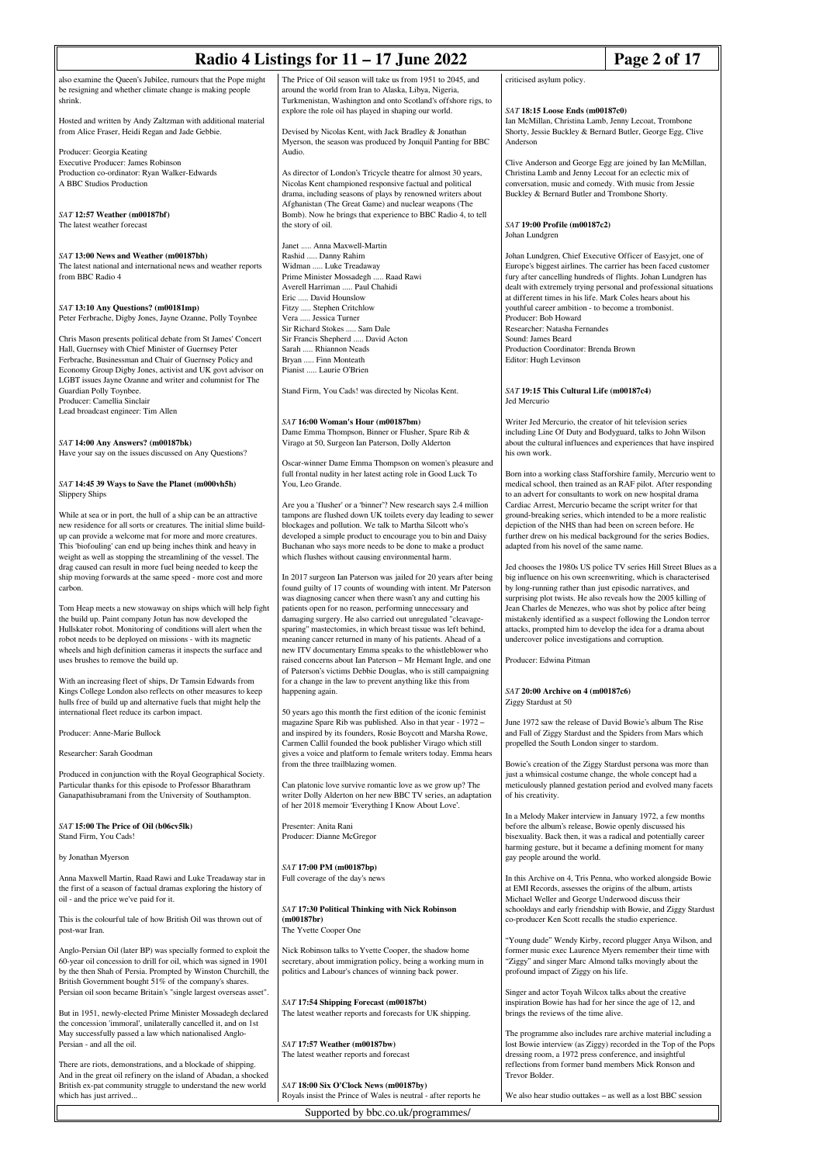| Radio 4 Listings for $11 - 17$ June 2022<br>Page 2 of 17                                                                                                                                                                                                                                                                                |                                                                                                                                                                                                                                                                                                                      |                                                                                                                                                                                                                                                                   |                                                                                                                                    |
|-----------------------------------------------------------------------------------------------------------------------------------------------------------------------------------------------------------------------------------------------------------------------------------------------------------------------------------------|----------------------------------------------------------------------------------------------------------------------------------------------------------------------------------------------------------------------------------------------------------------------------------------------------------------------|-------------------------------------------------------------------------------------------------------------------------------------------------------------------------------------------------------------------------------------------------------------------|------------------------------------------------------------------------------------------------------------------------------------|
| also examine the Queen's Jubilee, rumours that the Pope might<br>be resigning and whether climate change is making people<br>shrink.                                                                                                                                                                                                    | The Price of Oil season will take us from 1951 to 2045, and<br>around the world from Iran to Alaska, Libya, Nigeria,<br>Turkmenistan, Washington and onto Scotland's offshore rigs, to<br>explore the role oil has played in shaping our world.                                                                      | criticised asylum policy.<br>SAT 18:15 Loose Ends (m00187c0)                                                                                                                                                                                                      |                                                                                                                                    |
| Hosted and written by Andy Zaltzman with additional material<br>from Alice Fraser, Heidi Regan and Jade Gebbie.                                                                                                                                                                                                                         | Devised by Nicolas Kent, with Jack Bradley & Jonathan<br>Myerson, the season was produced by Jonquil Panting for BBC                                                                                                                                                                                                 | Ian McMillan, Christina Lamb, Jenny Lecoat, Trombone<br>Shorty, Jessie Buckley & Bernard Butler, George Egg, Clive<br>Anderson                                                                                                                                    |                                                                                                                                    |
| Producer: Georgia Keating<br>Executive Producer: James Robinson<br>Production co-ordinator: Ryan Walker-Edwards<br>A BBC Studios Production                                                                                                                                                                                             | Audio.<br>As director of London's Tricycle theatre for almost 30 years,<br>Nicolas Kent championed responsive factual and political<br>drama, including seasons of plays by renowned writers about<br>Afghanistan (The Great Game) and nuclear weapons (The                                                          | Clive Anderson and George Egg are joined by Ian McMillan,<br>Christina Lamb and Jenny Lecoat for an eclectic mix of<br>conversation, music and comedy. With music from Jessie<br>Buckley & Bernard Butler and Trombone Shorty.                                    |                                                                                                                                    |
| SAT 12:57 Weather (m00187bf)<br>The latest weather forecast                                                                                                                                                                                                                                                                             | Bomb). Now he brings that experience to BBC Radio 4, to tell<br>the story of oil.                                                                                                                                                                                                                                    | SAT 19:00 Profile (m00187c2)<br>Johan Lundgren                                                                                                                                                                                                                    |                                                                                                                                    |
| SAT 13:00 News and Weather (m00187bh)                                                                                                                                                                                                                                                                                                   | Janet  Anna Maxwell-Martin<br>Rashid  Danny Rahim                                                                                                                                                                                                                                                                    | Johan Lundgren, Chief Executive Officer of Easyjet, one of                                                                                                                                                                                                        |                                                                                                                                    |
| The latest national and international news and weather reports<br>from BBC Radio 4                                                                                                                                                                                                                                                      | Widman  Luke Treadaway<br>Prime Minister Mossadegh  Raad Rawi<br>Averell Harriman  Paul Chahidi<br>Eric  David Hounslow                                                                                                                                                                                              | Europe's biggest airlines. The carrier has been faced customer<br>fury after cancelling hundreds of flights. Johan Lundgren has<br>dealt with extremely trying personal and professional situations<br>at different times in his life. Mark Coles hears about his |                                                                                                                                    |
| SAT 13:10 Any Questions? (m00181mp)<br>Peter Ferbrache, Digby Jones, Jayne Ozanne, Polly Toynbee                                                                                                                                                                                                                                        | Fitzy  Stephen Critchlow<br>Vera  Jessica Turner<br>Sir Richard Stokes  Sam Dale                                                                                                                                                                                                                                     | youthful career ambition - to become a trombonist.<br>Producer: Bob Howard<br>Researcher: Natasha Fernandes                                                                                                                                                       |                                                                                                                                    |
| Chris Mason presents political debate from St James' Concert<br>Hall, Guernsey with Chief Minister of Guernsey Peter<br>Ferbrache, Businessman and Chair of Guernsey Policy and<br>Economy Group Digby Jones, activist and UK govt advisor on<br>LGBT issues Jayne Ozanne and writer and columnist for The                              | Sir Francis Shepherd  David Acton<br>Sarah  Rhiannon Neads<br>Bryan  Finn Monteath<br>Pianist  Laurie O'Brien                                                                                                                                                                                                        | Sound: James Beard<br>Production Coordinator: Brenda Brown<br>Editor: Hugh Levinson                                                                                                                                                                               |                                                                                                                                    |
| Guardian Polly Toynbee.<br>Producer: Camellia Sinclair<br>Lead broadcast engineer: Tim Allen                                                                                                                                                                                                                                            | Stand Firm, You Cads! was directed by Nicolas Kent.                                                                                                                                                                                                                                                                  | SAT 19:15 This Cultural Life (m00187c4)<br>Jed Mercurio                                                                                                                                                                                                           |                                                                                                                                    |
| SAT 14:00 Any Answers? (m00187bk)<br>Have your say on the issues discussed on Any Questions?                                                                                                                                                                                                                                            | SAT 16:00 Woman's Hour (m00187bm)<br>Dame Emma Thompson, Binner or Flusher, Spare Rib &<br>Virago at 50, Surgeon Ian Paterson, Dolly Alderton                                                                                                                                                                        | Writer Jed Mercurio, the creator of hit television series<br>including Line Of Duty and Bodyguard, talks to John Wilson<br>his own work.                                                                                                                          | about the cultural influences and experiences that have inspired                                                                   |
| SAT 14:45 39 Ways to Save the Planet (m000vh5h)<br><b>Slippery Ships</b>                                                                                                                                                                                                                                                                | Oscar-winner Dame Emma Thompson on women's pleasure and<br>full frontal nudity in her latest acting role in Good Luck To<br>You, Leo Grande.<br>Are you a 'flusher' or a 'binner'? New research says 2.4 million                                                                                                     | to an advert for consultants to work on new hospital drama<br>Cardiac Arrest, Mercurio became the script writer for that                                                                                                                                          | Born into a working class Stafforshire family, Mercurio went to<br>medical school, then trained as an RAF pilot. After responding  |
| While at sea or in port, the hull of a ship can be an attractive<br>new residence for all sorts or creatures. The initial slime build-<br>up can provide a welcome mat for more and more creatures.<br>This 'biofouling' can end up being inches think and heavy in<br>weight as well as stopping the streamlining of the vessel. The   | tampons are flushed down UK toilets every day leading to sewer<br>blockages and pollution. We talk to Martha Silcott who's<br>developed a simple product to encourage you to bin and Daisy<br>Buchanan who says more needs to be done to make a product<br>which flushes without causing environmental harm.         | ground-breaking series, which intended to be a more realistic<br>depiction of the NHS than had been on screen before. He<br>adapted from his novel of the same name.                                                                                              | further drew on his medical background for the series Bodies,                                                                      |
| drag caused can result in more fuel being needed to keep the<br>ship moving forwards at the same speed - more cost and more<br>carbon.                                                                                                                                                                                                  | In 2017 surgeon Ian Paterson was jailed for 20 years after being<br>found guilty of 17 counts of wounding with intent. Mr Paterson<br>was diagnosing cancer when there wasn't any and cutting his                                                                                                                    | by long-running rather than just episodic narratives, and<br>surprising plot twists. He also reveals how the 2005 killing of                                                                                                                                      | Jed chooses the 1980s US police TV series Hill Street Blues as a<br>big influence on his own screenwriting, which is characterised |
| Tom Heap meets a new stowaway on ships which will help fight<br>the build up. Paint company Jotun has now developed the<br>Hullskater robot. Monitoring of conditions will alert when the<br>robot needs to be deployed on missions - with its magnetic<br>wheels and high definition cameras it inspects the surface and               | patients open for no reason, performing unnecessary and<br>damaging surgery. He also carried out unregulated "cleavage-<br>sparing" mastectomies, in which breast tissue was left behind,<br>meaning cancer returned in many of his patients. Ahead of a<br>new ITV documentary Emma speaks to the whistleblower who | Jean Charles de Menezes, who was shot by police after being<br>attacks, prompted him to develop the idea for a drama about<br>undercover police investigations and corruption.                                                                                    | mistakenly identified as a suspect following the London terror                                                                     |
| uses brushes to remove the build up.                                                                                                                                                                                                                                                                                                    | raised concerns about Ian Paterson - Mr Hemant Ingle, and one<br>of Paterson's victims Debbie Douglas, who is still campaigning                                                                                                                                                                                      | Producer: Edwina Pitman                                                                                                                                                                                                                                           |                                                                                                                                    |
| With an increasing fleet of ships, Dr Tamsin Edwards from<br>Kings College London also reflects on other measures to keep<br>hulls free of build up and alternative fuels that might help the<br>international fleet reduce its carbon impact.                                                                                          | for a change in the law to prevent anything like this from<br>happening again.<br>50 years ago this month the first edition of the iconic feminist                                                                                                                                                                   | SAT 20:00 Archive on 4 (m00187c6)<br>Ziggy Stardust at 50                                                                                                                                                                                                         |                                                                                                                                    |
| Producer: Anne-Marie Bullock                                                                                                                                                                                                                                                                                                            | magazine Spare Rib was published. Also in that year - 1972 -<br>and inspired by its founders, Rosie Boycott and Marsha Rowe,<br>Carmen Callil founded the book publisher Virago which still                                                                                                                          | June 1972 saw the release of David Bowie's album The Rise<br>and Fall of Ziggy Stardust and the Spiders from Mars which<br>propelled the South London singer to stardom.                                                                                          |                                                                                                                                    |
| Researcher: Sarah Goodman                                                                                                                                                                                                                                                                                                               | gives a voice and platform to female writers today. Emma hears<br>from the three trailblazing women.                                                                                                                                                                                                                 | Bowie's creation of the Ziggy Stardust persona was more than                                                                                                                                                                                                      |                                                                                                                                    |
| Produced in conjunction with the Royal Geographical Society.<br>Particular thanks for this episode to Professor Bharathram<br>Ganapathisubramani from the University of Southampton.                                                                                                                                                    | Can platonic love survive romantic love as we grow up? The<br>writer Dolly Alderton on her new BBC TV series, an adaptation<br>of her 2018 memoir 'Everything I Know About Love'.                                                                                                                                    | just a whimsical costume change, the whole concept had a<br>of his creativity.                                                                                                                                                                                    | meticulously planned gestation period and evolved many facets                                                                      |
| SAT 15:00 The Price of Oil (b06cv5lk)<br>Stand Firm, You Cads!                                                                                                                                                                                                                                                                          | Presenter: Anita Rani<br>Producer: Dianne McGregor                                                                                                                                                                                                                                                                   | In a Melody Maker interview in January 1972, a few months<br>before the album's release, Bowie openly discussed his<br>bisexuality. Back then, it was a radical and potentially career<br>harming gesture, but it became a defining moment for many               |                                                                                                                                    |
| by Jonathan Myerson                                                                                                                                                                                                                                                                                                                     | SAT 17:00 PM (m00187bp)                                                                                                                                                                                                                                                                                              | gay people around the world.                                                                                                                                                                                                                                      |                                                                                                                                    |
| Anna Maxwell Martin, Raad Rawi and Luke Treadaway star in<br>the first of a season of factual dramas exploring the history of<br>oil - and the price we've paid for it.                                                                                                                                                                 | Full coverage of the day's news<br>SAT 17:30 Political Thinking with Nick Robinson                                                                                                                                                                                                                                   | at EMI Records, assesses the origins of the album, artists<br>Michael Weller and George Underwood discuss their                                                                                                                                                   | In this Archive on 4, Tris Penna, who worked alongside Bowie<br>schooldays and early friendship with Bowie, and Ziggy Stardust     |
| This is the colourful tale of how British Oil was thrown out of<br>post-war Iran.                                                                                                                                                                                                                                                       | (m00187br)<br>The Yvette Cooper One                                                                                                                                                                                                                                                                                  | co-producer Ken Scott recalls the studio experience.                                                                                                                                                                                                              | "Young dude" Wendy Kirby, record plugger Anya Wilson, and                                                                          |
| Anglo-Persian Oil (later BP) was specially formed to exploit the<br>60-year oil concession to drill for oil, which was signed in 1901<br>by the then Shah of Persia. Prompted by Winston Churchill, the<br>British Government bought 51% of the company's shares.<br>Persian oil soon became Britain's "single largest overseas asset". | Nick Robinson talks to Yvette Cooper, the shadow home<br>secretary, about immigration policy, being a working mum in<br>politics and Labour's chances of winning back power.                                                                                                                                         | "Ziggy" and singer Marc Almond talks movingly about the<br>profound impact of Ziggy on his life.<br>Singer and actor Toyah Wilcox talks about the creative                                                                                                        | former music exec Laurence Myers remember their time with                                                                          |
| But in 1951, newly-elected Prime Minister Mossadegh declared<br>the concession 'immoral', unilaterally cancelled it, and on 1st<br>May successfully passed a law which nationalised Anglo-                                                                                                                                              | SAT 17:54 Shipping Forecast (m00187bt)<br>The latest weather reports and forecasts for UK shipping.                                                                                                                                                                                                                  | inspiration Bowie has had for her since the age of 12, and<br>brings the reviews of the time alive.                                                                                                                                                               | The programme also includes rare archive material including a                                                                      |
| Persian - and all the oil.                                                                                                                                                                                                                                                                                                              | SAT 17:57 Weather (m00187bw)<br>The latest weather reports and forecast                                                                                                                                                                                                                                              | dressing room, a 1972 press conference, and insightful                                                                                                                                                                                                            | lost Bowie interview (as Ziggy) recorded in the Top of the Pops                                                                    |
| There are riots, demonstrations, and a blockade of shipping.<br>And in the great oil refinery on the island of Abadan, a shocked<br>British ex-pat community struggle to understand the new world<br>which has just arrived                                                                                                             | SAT 18:00 Six O'Clock News (m00187by)                                                                                                                                                                                                                                                                                | reflections from former band members Mick Ronson and<br>Trevor Bolder.<br>We also hear studio outtakes - as well as a lost BBC session                                                                                                                            |                                                                                                                                    |
|                                                                                                                                                                                                                                                                                                                                         | Royals insist the Prince of Wales is neutral - after reports he<br>Supported by bbc.co.uk/programmes/                                                                                                                                                                                                                |                                                                                                                                                                                                                                                                   |                                                                                                                                    |
|                                                                                                                                                                                                                                                                                                                                         |                                                                                                                                                                                                                                                                                                                      |                                                                                                                                                                                                                                                                   |                                                                                                                                    |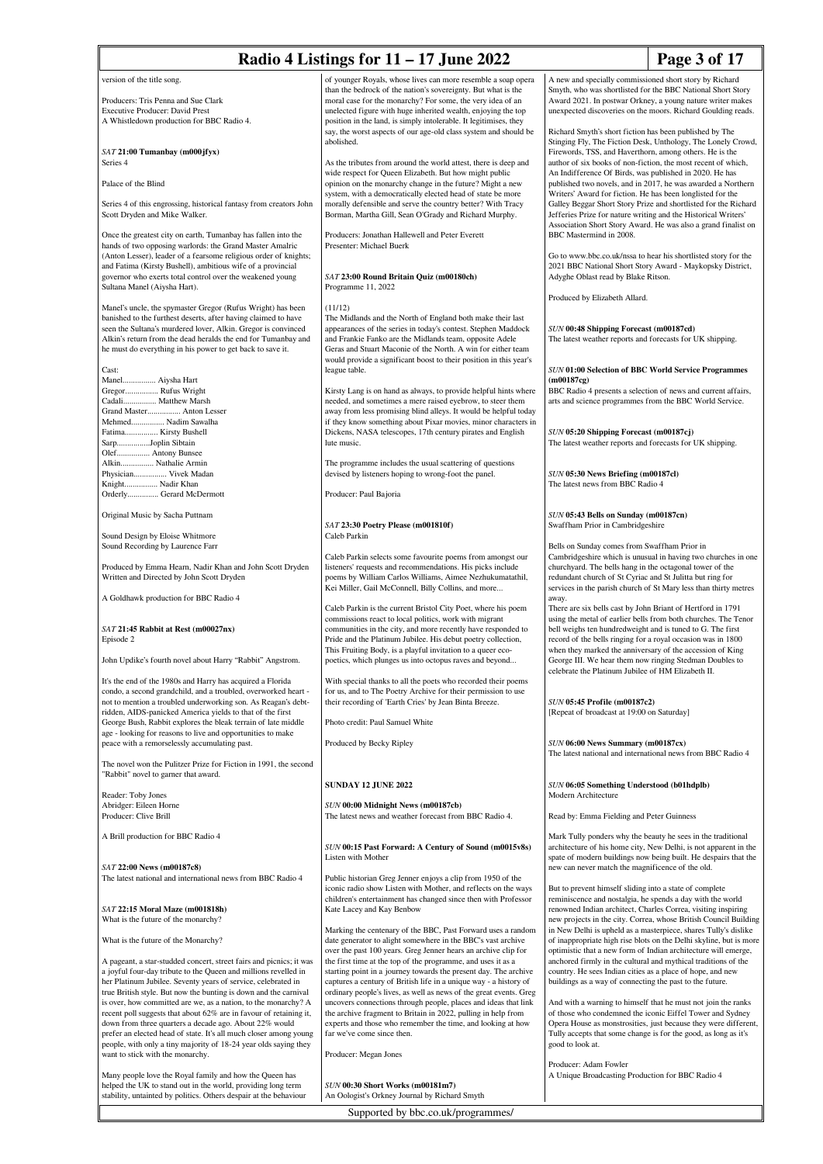| Radio 4 Listings for $11 - 17$ June 2022                                                                                                                                                                                                                                                                                                |                                                                                                                                                                                                                                                                             |                                                                                                                                                                                                                                                    | Page 3 of 17                                                                                                                                                                                            |
|-----------------------------------------------------------------------------------------------------------------------------------------------------------------------------------------------------------------------------------------------------------------------------------------------------------------------------------------|-----------------------------------------------------------------------------------------------------------------------------------------------------------------------------------------------------------------------------------------------------------------------------|----------------------------------------------------------------------------------------------------------------------------------------------------------------------------------------------------------------------------------------------------|---------------------------------------------------------------------------------------------------------------------------------------------------------------------------------------------------------|
| version of the title song.                                                                                                                                                                                                                                                                                                              | of younger Royals, whose lives can more resemble a soap opera<br>than the bedrock of the nation's sovereignty. But what is the                                                                                                                                              | A new and specially commissioned short story by Richard                                                                                                                                                                                            | Smyth, who was shortlisted for the BBC National Short Story                                                                                                                                             |
| Producers: Tris Penna and Sue Clark<br>Executive Producer: David Prest<br>A Whistledown production for BBC Radio 4.                                                                                                                                                                                                                     | moral case for the monarchy? For some, the very idea of an<br>unelected figure with huge inherited wealth, enjoying the top<br>position in the land, is simply intolerable. It legitimises, they                                                                            |                                                                                                                                                                                                                                                    | Award 2021. In postwar Orkney, a young nature writer makes<br>unexpected discoveries on the moors. Richard Goulding reads.                                                                              |
| SAT 21:00 Tumanbay (m000jfyx)                                                                                                                                                                                                                                                                                                           | say, the worst aspects of our age-old class system and should be<br>abolished.                                                                                                                                                                                              | Richard Smyth's short fiction has been published by The<br>Stinging Fly, The Fiction Desk, Unthology, The Lonely Crowd,<br>Firewords, TSS, and Haverthorn, among others. He is the                                                                 |                                                                                                                                                                                                         |
| Series 4                                                                                                                                                                                                                                                                                                                                | As the tributes from around the world attest, there is deep and<br>wide respect for Queen Elizabeth. But how might public                                                                                                                                                   | author of six books of non-fiction, the most recent of which,<br>An Indifference Of Birds, was published in 2020. He has                                                                                                                           |                                                                                                                                                                                                         |
| Palace of the Blind                                                                                                                                                                                                                                                                                                                     | opinion on the monarchy change in the future? Might a new<br>system, with a democratically elected head of state be more                                                                                                                                                    | Writers' Award for fiction. He has been longlisted for the                                                                                                                                                                                         | published two novels, and in 2017, he was awarded a Northern                                                                                                                                            |
| Series 4 of this engrossing, historical fantasy from creators John<br>Scott Dryden and Mike Walker.                                                                                                                                                                                                                                     | morally defensible and serve the country better? With Tracy<br>Borman, Martha Gill, Sean O'Grady and Richard Murphy.                                                                                                                                                        | Jefferies Prize for nature writing and the Historical Writers'                                                                                                                                                                                     | Galley Beggar Short Story Prize and shortlisted for the Richard<br>Association Short Story Award. He was also a grand finalist on                                                                       |
| Once the greatest city on earth, Tumanbay has fallen into the<br>hands of two opposing warlords: the Grand Master Amalric<br>(Anton Lesser), leader of a fearsome religious order of knights;                                                                                                                                           | Producers: Jonathan Hallewell and Peter Everett<br>Presenter: Michael Buerk                                                                                                                                                                                                 | BBC Mastermind in 2008.                                                                                                                                                                                                                            | Go to www.bbc.co.uk/nssa to hear his shortlisted story for the                                                                                                                                          |
| and Fatima (Kirsty Bushell), ambitious wife of a provincial<br>governor who exerts total control over the weakened young<br>Sultana Manel (Aiysha Hart).                                                                                                                                                                                | SAT 23:00 Round Britain Quiz (m00180ch)<br>Programme 11, 2022                                                                                                                                                                                                               | Adyghe Oblast read by Blake Ritson.                                                                                                                                                                                                                | 2021 BBC National Short Story Award - Maykopsky District,                                                                                                                                               |
| Manel's uncle, the spymaster Gregor (Rufus Wright) has been                                                                                                                                                                                                                                                                             | (11/12)                                                                                                                                                                                                                                                                     | Produced by Elizabeth Allard.                                                                                                                                                                                                                      |                                                                                                                                                                                                         |
| banished to the furthest deserts, after having claimed to have<br>seen the Sultana's murdered lover, Alkin. Gregor is convinced<br>Alkin's return from the dead heralds the end for Tumanbay and<br>he must do everything in his power to get back to save it.                                                                          | The Midlands and the North of England both make their last<br>appearances of the series in today's contest. Stephen Maddock<br>and Frankie Fanko are the Midlands team, opposite Adele<br>Geras and Stuart Maconie of the North. A win for either team                      | SUN 00:48 Shipping Forecast (m00187cd)<br>The latest weather reports and forecasts for UK shipping.                                                                                                                                                |                                                                                                                                                                                                         |
| Cast:<br>Manel Aiysha Hart                                                                                                                                                                                                                                                                                                              | would provide a significant boost to their position in this year's<br>league table.                                                                                                                                                                                         | <b>SUN 01:00 Selection of BBC World Service Programmes</b><br>(m00187cg)                                                                                                                                                                           |                                                                                                                                                                                                         |
| Gregor Rufus Wright<br>Cadali Matthew Marsh<br>Grand Master Anton Lesser                                                                                                                                                                                                                                                                | Kirsty Lang is on hand as always, to provide helpful hints where<br>needed, and sometimes a mere raised eyebrow, to steer them<br>away from less promising blind alleys. It would be helpful today                                                                          | arts and science programmes from the BBC World Service.                                                                                                                                                                                            | BBC Radio 4 presents a selection of news and current affairs,                                                                                                                                           |
| Mehmed Nadim Sawalha<br>Fatima Kirsty Bushell<br>SarpJoplin Sibtain                                                                                                                                                                                                                                                                     | if they know something about Pixar movies, minor characters in<br>Dickens, NASA telescopes, 17th century pirates and English<br>lute music.                                                                                                                                 | SUN 05:20 Shipping Forecast (m00187cj)<br>The latest weather reports and forecasts for UK shipping.                                                                                                                                                |                                                                                                                                                                                                         |
| Olef Antony Bunsee<br>Alkin Nathalie Armin<br>Physician Vivek Madan                                                                                                                                                                                                                                                                     | The programme includes the usual scattering of questions<br>devised by listeners hoping to wrong-foot the panel.                                                                                                                                                            | SUN 05:30 News Briefing (m00187cl)                                                                                                                                                                                                                 |                                                                                                                                                                                                         |
| Knight Nadir Khan<br>Orderly Gerard McDermott                                                                                                                                                                                                                                                                                           | Producer: Paul Bajoria                                                                                                                                                                                                                                                      | The latest news from BBC Radio 4                                                                                                                                                                                                                   |                                                                                                                                                                                                         |
| Original Music by Sacha Puttnam                                                                                                                                                                                                                                                                                                         |                                                                                                                                                                                                                                                                             | SUN 05:43 Bells on Sunday (m00187cn)                                                                                                                                                                                                               |                                                                                                                                                                                                         |
| Sound Design by Eloise Whitmore<br>Sound Recording by Laurence Farr                                                                                                                                                                                                                                                                     | SAT 23:30 Poetry Please (m001810f)<br>Caleb Parkin                                                                                                                                                                                                                          | Swaffham Prior in Cambridgeshire<br>Bells on Sunday comes from Swaffham Prior in                                                                                                                                                                   |                                                                                                                                                                                                         |
| Produced by Emma Hearn, Nadir Khan and John Scott Dryden<br>Written and Directed by John Scott Dryden                                                                                                                                                                                                                                   | Caleb Parkin selects some favourite poems from amongst our<br>listeners' requests and recommendations. His picks include<br>poems by William Carlos Williams, Aimee Nezhukumatathil,<br>Kei Miller, Gail McConnell, Billy Collins, and more                                 | churchyard. The bells hang in the octagonal tower of the<br>redundant church of St Cyriac and St Julitta but ring for                                                                                                                              | Cambridgeshire which is unusual in having two churches in one<br>services in the parish church of St Mary less than thirty metres                                                                       |
| A Goldhawk production for BBC Radio 4                                                                                                                                                                                                                                                                                                   | Caleb Parkin is the current Bristol City Poet, where his poem                                                                                                                                                                                                               | away.<br>There are six bells cast by John Briant of Hertford in 1791                                                                                                                                                                               |                                                                                                                                                                                                         |
| SAT 21:45 Rabbit at Rest (m00027nx)<br>Episode 2<br>John Updike's fourth novel about Harry "Rabbit" Angstrom.                                                                                                                                                                                                                           | commissions react to local politics, work with migrant<br>communities in the city, and more recently have responded to<br>Pride and the Platinum Jubilee. His debut poetry collection,<br>This Fruiting Body, is a playful invitation to a queer eco-                       | bell weighs ten hundredweight and is tuned to G. The first<br>record of the bells ringing for a royal occasion was in 1800<br>when they marked the anniversary of the accession of King<br>George III. We hear them now ringing Stedman Doubles to | using the metal of earlier bells from both churches. The Tenor                                                                                                                                          |
| It's the end of the 1980s and Harry has acquired a Florida                                                                                                                                                                                                                                                                              | poetics, which plunges us into octopus raves and beyond<br>With special thanks to all the poets who recorded their poems                                                                                                                                                    | celebrate the Platinum Jubilee of HM Elizabeth II.                                                                                                                                                                                                 |                                                                                                                                                                                                         |
| condo, a second grandchild, and a troubled, overworked heart -<br>not to mention a troubled underworking son. As Reagan's debt-<br>ridden, AIDS-panicked America yields to that of the first                                                                                                                                            | for us, and to The Poetry Archive for their permission to use<br>their recording of 'Earth Cries' by Jean Binta Breeze.                                                                                                                                                     | SUN 05:45 Profile (m00187c2)<br>[Repeat of broadcast at 19:00 on Saturday]                                                                                                                                                                         |                                                                                                                                                                                                         |
| George Bush, Rabbit explores the bleak terrain of late middle<br>age - looking for reasons to live and opportunities to make<br>peace with a remorselessly accumulating past.                                                                                                                                                           | Photo credit: Paul Samuel White<br>Produced by Becky Ripley                                                                                                                                                                                                                 | SUN 06:00 News Summary (m00187cx)                                                                                                                                                                                                                  |                                                                                                                                                                                                         |
| The novel won the Pulitzer Prize for Fiction in 1991, the second                                                                                                                                                                                                                                                                        |                                                                                                                                                                                                                                                                             | The latest national and international news from BBC Radio 4                                                                                                                                                                                        |                                                                                                                                                                                                         |
| 'Rabbit" novel to garner that award.                                                                                                                                                                                                                                                                                                    | <b>SUNDAY 12 JUNE 2022</b>                                                                                                                                                                                                                                                  | SUN 06:05 Something Understood (b01hdplb)<br>Modern Architecture                                                                                                                                                                                   |                                                                                                                                                                                                         |
| Reader: Toby Jones<br>Abridger: Eileen Horne<br>Producer: Clive Brill                                                                                                                                                                                                                                                                   | SUN 00:00 Midnight News (m00187cb)<br>The latest news and weather forecast from BBC Radio 4.                                                                                                                                                                                | Read by: Emma Fielding and Peter Guinness                                                                                                                                                                                                          |                                                                                                                                                                                                         |
| A Brill production for BBC Radio 4                                                                                                                                                                                                                                                                                                      | SUN 00:15 Past Forward: A Century of Sound (m0015v8s)<br>Listen with Mother                                                                                                                                                                                                 | Mark Tully ponders why the beauty he sees in the traditional                                                                                                                                                                                       | architecture of his home city, New Delhi, is not apparent in the<br>spate of modern buildings now being built. He despairs that the                                                                     |
| SAT 22:00 News (m00187c8)<br>The latest national and international news from BBC Radio 4                                                                                                                                                                                                                                                | Public historian Greg Jenner enjoys a clip from 1950 of the<br>iconic radio show Listen with Mother, and reflects on the ways                                                                                                                                               | new can never match the magnificence of the old.<br>But to prevent himself sliding into a state of complete                                                                                                                                        |                                                                                                                                                                                                         |
| SAT 22:15 Moral Maze (m001818h)<br>What is the future of the monarchy?                                                                                                                                                                                                                                                                  | children's entertainment has changed since then with Professor<br>Kate Lacey and Kay Benbow                                                                                                                                                                                 | reminiscence and nostalgia, he spends a day with the world<br>renowned Indian architect, Charles Correa, visiting inspiring                                                                                                                        | new projects in the city. Correa, whose British Council Building                                                                                                                                        |
| What is the future of the Monarchy?                                                                                                                                                                                                                                                                                                     | Marking the centenary of the BBC, Past Forward uses a random<br>date generator to alight somewhere in the BBC's vast archive<br>over the past 100 years. Greg Jenner hears an archive clip for                                                                              |                                                                                                                                                                                                                                                    | in New Delhi is upheld as a masterpiece, shares Tully's dislike<br>of inappropriate high rise blots on the Delhi skyline, but is more<br>optimistic that a new form of Indian architecture will emerge, |
| A pageant, a star-studded concert, street fairs and picnics; it was<br>a joyful four-day tribute to the Queen and millions revelled in<br>her Platinum Jubilee. Seventy years of service, celebrated in<br>true British style. But now the bunting is down and the carnival                                                             | the first time at the top of the programme, and uses it as a<br>starting point in a journey towards the present day. The archive<br>captures a century of British life in a unique way - a history of<br>ordinary people's lives, as well as news of the great events. Greg | anchored firmly in the cultural and mythical traditions of the<br>country. He sees Indian cities as a place of hope, and new<br>buildings as a way of connecting the past to the future.                                                           |                                                                                                                                                                                                         |
| is over, how committed are we, as a nation, to the monarchy? A<br>recent poll suggests that about 62% are in favour of retaining it,<br>down from three quarters a decade ago. About 22% would<br>prefer an elected head of state. It's all much closer among young<br>people, with only a tiny majority of 18-24 year olds saying they | uncovers connections through people, places and ideas that link<br>the archive fragment to Britain in 2022, pulling in help from<br>experts and those who remember the time, and looking at how<br>far we've come since then.                                               | Tully accepts that some change is for the good, as long as it's<br>good to look at.                                                                                                                                                                | And with a warning to himself that he must not join the ranks<br>of those who condemned the iconic Eiffel Tower and Sydney<br>Opera House as monstrosities, just because they were different,           |
| want to stick with the monarchy.                                                                                                                                                                                                                                                                                                        | Producer: Megan Jones                                                                                                                                                                                                                                                       | Producer: Adam Fowler                                                                                                                                                                                                                              |                                                                                                                                                                                                         |
| Many people love the Royal family and how the Queen has<br>helped the UK to stand out in the world, providing long term<br>stability, untainted by politics. Others despair at the behaviour                                                                                                                                            | <b>SUN 00:30 Short Works (m00181m7)</b><br>An Oologist's Orkney Journal by Richard Smyth                                                                                                                                                                                    | A Unique Broadcasting Production for BBC Radio 4                                                                                                                                                                                                   |                                                                                                                                                                                                         |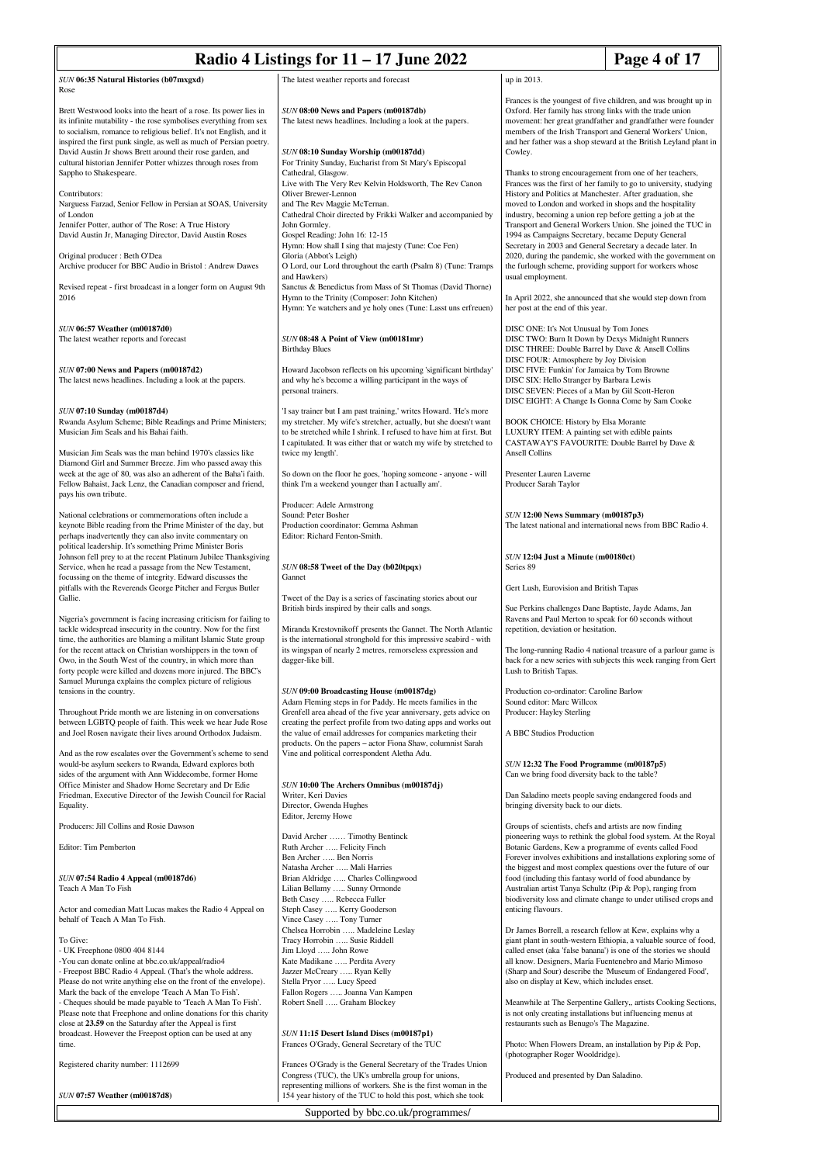| Radio 4 Listings for $11 - 17$ June 2022<br>Page 4 of 17                                                                                                                                                                                                                                                                                              |                                                                                                                                                                                                                                                                                                          |                                                                                                                                                                                                                                                       |                                                                                                                                     |
|-------------------------------------------------------------------------------------------------------------------------------------------------------------------------------------------------------------------------------------------------------------------------------------------------------------------------------------------------------|----------------------------------------------------------------------------------------------------------------------------------------------------------------------------------------------------------------------------------------------------------------------------------------------------------|-------------------------------------------------------------------------------------------------------------------------------------------------------------------------------------------------------------------------------------------------------|-------------------------------------------------------------------------------------------------------------------------------------|
| SUN 06:35 Natural Histories (b07mxgxd)                                                                                                                                                                                                                                                                                                                | The latest weather reports and forecast                                                                                                                                                                                                                                                                  | up in 2013.                                                                                                                                                                                                                                           |                                                                                                                                     |
| Rose<br>Brett Westwood looks into the heart of a rose. Its power lies in<br>its infinite mutability - the rose symbolises everything from sex<br>to socialism, romance to religious belief. It's not English, and it                                                                                                                                  | SUN 08:00 News and Papers (m00187db)<br>The latest news headlines. Including a look at the papers.                                                                                                                                                                                                       | Oxford. Her family has strong links with the trade union<br>members of the Irish Transport and General Workers' Union,                                                                                                                                | Frances is the youngest of five children, and was brought up in<br>movement: her great grandfather and grandfather were founder     |
| inspired the first punk single, as well as much of Persian poetry.<br>David Austin Jr shows Brett around their rose garden, and<br>cultural historian Jennifer Potter whizzes through roses from                                                                                                                                                      | SUN 08:10 Sunday Worship (m00187dd)<br>For Trinity Sunday, Eucharist from St Mary's Episcopal                                                                                                                                                                                                            | Cowley.                                                                                                                                                                                                                                               | and her father was a shop steward at the British Leyland plant in                                                                   |
| Sappho to Shakespeare.<br>Contributors:<br>Narguess Farzad, Senior Fellow in Persian at SOAS, University                                                                                                                                                                                                                                              | Cathedral, Glasgow.<br>Live with The Very Rev Kelvin Holdsworth, The Rev Canon<br>Oliver Brewer-Lennon<br>and The Rev Maggie McTernan.                                                                                                                                                                   | Thanks to strong encouragement from one of her teachers,<br>Frances was the first of her family to go to university, studying<br>History and Politics at Manchester. After graduation, she<br>moved to London and worked in shops and the hospitality |                                                                                                                                     |
| of London<br>Jennifer Potter, author of The Rose: A True History<br>David Austin Jr, Managing Director, David Austin Roses                                                                                                                                                                                                                            | Cathedral Choir directed by Frikki Walker and accompanied by<br>John Gormley.<br>Gospel Reading: John 16: 12-15<br>Hymn: How shall I sing that majesty (Tune: Coe Fen)                                                                                                                                   | industry, becoming a union rep before getting a job at the<br>Transport and General Workers Union. She joined the TUC in<br>1994 as Campaigns Secretary, became Deputy General<br>Secretary in 2003 and General Secretary a decade later. In          |                                                                                                                                     |
| Original producer: Beth O'Dea<br>Archive producer for BBC Audio in Bristol : Andrew Dawes                                                                                                                                                                                                                                                             | Gloria (Abbot's Leigh)<br>O Lord, our Lord throughout the earth (Psalm 8) (Tune: Tramps<br>and Hawkers)                                                                                                                                                                                                  | 2020, during the pandemic, she worked with the government on<br>the furlough scheme, providing support for workers whose<br>usual employment.                                                                                                         |                                                                                                                                     |
| Revised repeat - first broadcast in a longer form on August 9th<br>2016                                                                                                                                                                                                                                                                               | Sanctus & Benedictus from Mass of St Thomas (David Thorne)<br>Hymn to the Trinity (Composer: John Kitchen)<br>Hymn: Ye watchers and ye holy ones (Tune: Lasst uns erfreuen)                                                                                                                              | In April 2022, she announced that she would step down from<br>her post at the end of this year.                                                                                                                                                       |                                                                                                                                     |
| SUN 06:57 Weather (m00187d0)<br>The latest weather reports and forecast                                                                                                                                                                                                                                                                               | SUN 08:48 A Point of View (m00181mr)<br><b>Birthday Blues</b>                                                                                                                                                                                                                                            | DISC ONE: It's Not Unusual by Tom Jones<br>DISC TWO: Burn It Down by Dexys Midnight Runners<br>DISC THREE: Double Barrel by Dave & Ansell Collins<br>DISC FOUR: Atmosphere by Joy Division                                                            |                                                                                                                                     |
| SUN 07:00 News and Papers (m00187d2)<br>The latest news headlines. Including a look at the papers.                                                                                                                                                                                                                                                    | Howard Jacobson reflects on his upcoming 'significant birthday<br>and why he's become a willing participant in the ways of<br>personal trainers.                                                                                                                                                         | DISC FIVE: Funkin' for Jamaica by Tom Browne<br>DISC SIX: Hello Stranger by Barbara Lewis<br>DISC SEVEN: Pieces of a Man by Gil Scott-Heron<br>DISC EIGHT: A Change Is Gonna Come by Sam Cooke                                                        |                                                                                                                                     |
| SUN 07:10 Sunday (m00187d4)<br>Rwanda Asylum Scheme; Bible Readings and Prime Ministers;<br>Musician Jim Seals and his Bahai faith.<br>Musician Jim Seals was the man behind 1970's classics like                                                                                                                                                     | 'I say trainer but I am past training,' writes Howard. 'He's more<br>my stretcher. My wife's stretcher, actually, but she doesn't want<br>to be stretched while I shrink. I refused to have him at first. But<br>I capitulated. It was either that or watch my wife by stretched to<br>twice my length'. | <b>BOOK CHOICE: History by Elsa Morante</b><br>LUXURY ITEM: A painting set with edible paints<br>CASTAWAY'S FAVOURITE: Double Barrel by Dave &<br><b>Ansell Collins</b>                                                                               |                                                                                                                                     |
| Diamond Girl and Summer Breeze. Jim who passed away this<br>week at the age of 80, was also an adherent of the Baha'i faith.<br>Fellow Bahaist, Jack Lenz, the Canadian composer and friend,<br>pays his own tribute.                                                                                                                                 | So down on the floor he goes, 'hoping someone - anyone - will<br>think I'm a weekend younger than I actually am'.                                                                                                                                                                                        | Presenter Lauren Laverne<br>Producer Sarah Taylor                                                                                                                                                                                                     |                                                                                                                                     |
| National celebrations or commemorations often include a<br>keynote Bible reading from the Prime Minister of the day, but<br>perhaps inadvertently they can also invite commentary on<br>political leadership. It's something Prime Minister Boris                                                                                                     | Producer: Adele Armstrong<br>Sound: Peter Bosher<br>Production coordinator: Gemma Ashman<br>Editor: Richard Fenton-Smith.                                                                                                                                                                                | SUN 12:00 News Summary (m00187p3)<br>The latest national and international news from BBC Radio 4.                                                                                                                                                     |                                                                                                                                     |
| Johnson fell prey to at the recent Platinum Jubilee Thanksgiving<br>Service, when he read a passage from the New Testament,<br>focussing on the theme of integrity. Edward discusses the<br>pitfalls with the Reverends George Pitcher and Fergus Butler                                                                                              | SUN 08:58 Tweet of the Day (b020tpqx)<br>Gannet                                                                                                                                                                                                                                                          | SUN 12:04 Just a Minute (m00180ct)<br>Series 89<br>Gert Lush, Eurovision and British Tapas                                                                                                                                                            |                                                                                                                                     |
| Gallie.<br>Nigeria's government is facing increasing criticism for failing to<br>tackle widespread insecurity in the country. Now for the first                                                                                                                                                                                                       | Tweet of the Day is a series of fascinating stories about our<br>British birds inspired by their calls and songs.<br>Miranda Krestovnikoff presents the Gannet. The North Atlantic                                                                                                                       | Sue Perkins challenges Dane Baptiste, Jayde Adams, Jan<br>Ravens and Paul Merton to speak for 60 seconds without<br>repetition, deviation or hesitation.                                                                                              |                                                                                                                                     |
| time, the authorities are blaming a militant Islamic State group<br>for the recent attack on Christian worshippers in the town of<br>Owo, in the South West of the country, in which more than<br>forty people were killed and dozens more injured. The BBC's<br>Samuel Murunga explains the complex picture of religious<br>tensions in the country. | is the international stronghold for this impressive seabird - with<br>its wingspan of nearly 2 metres, remorseless expression and<br>dagger-like bill.<br>SUN 09:00 Broadcasting House (m00187dg)                                                                                                        | Lush to British Tapas.<br>Production co-ordinator: Caroline Barlow                                                                                                                                                                                    | The long-running Radio 4 national treasure of a parlour game is<br>back for a new series with subjects this week ranging from Gert  |
| Throughout Pride month we are listening in on conversations<br>between LGBTQ people of faith. This week we hear Jude Rose<br>and Joel Rosen navigate their lives around Orthodox Judaism.                                                                                                                                                             | Adam Fleming steps in for Paddy. He meets families in the<br>Grenfell area ahead of the five year anniversary, gets advice on<br>creating the perfect profile from two dating apps and works out<br>the value of email addresses for companies marketing their                                           | Sound editor: Marc Willcox<br>Producer: Hayley Sterling<br>A BBC Studios Production                                                                                                                                                                   |                                                                                                                                     |
| And as the row escalates over the Government's scheme to send<br>would-be asylum seekers to Rwanda, Edward explores both                                                                                                                                                                                                                              | products. On the papers – actor Fiona Shaw, columnist Sarah<br>Vine and political correspondent Aletha Adu.                                                                                                                                                                                              | SUN 12:32 The Food Programme (m00187p5)                                                                                                                                                                                                               |                                                                                                                                     |
| sides of the argument with Ann Widdecombe, former Home<br>Office Minister and Shadow Home Secretary and Dr Edie<br>Friedman, Executive Director of the Jewish Council for Racial                                                                                                                                                                      | SUN 10:00 The Archers Omnibus (m00187dj)<br>Writer, Keri Davies<br>Director, Gwenda Hughes                                                                                                                                                                                                               | Can we bring food diversity back to the table?<br>Dan Saladino meets people saving endangered foods and                                                                                                                                               |                                                                                                                                     |
| Equality.<br>Producers: Jill Collins and Rosie Dawson                                                                                                                                                                                                                                                                                                 | Editor, Jeremy Howe                                                                                                                                                                                                                                                                                      | bringing diversity back to our diets.<br>Groups of scientists, chefs and artists are now finding                                                                                                                                                      |                                                                                                                                     |
| Editor: Tim Pemberton                                                                                                                                                                                                                                                                                                                                 | David Archer  Timothy Bentinck<br>Ruth Archer  Felicity Finch<br>Ben Archer  Ben Norris                                                                                                                                                                                                                  | Botanic Gardens, Kew a programme of events called Food                                                                                                                                                                                                | pioneering ways to rethink the global food system. At the Royal<br>Forever involves exhibitions and installations exploring some of |
| SUN 07:54 Radio 4 Appeal (m00187d6)<br>Teach A Man To Fish                                                                                                                                                                                                                                                                                            | Natasha Archer  Mali Harries<br>Brian Aldridge  Charles Collingwood<br>Lilian Bellamy  Sunny Ormonde<br>Beth Casey  Rebecca Fuller                                                                                                                                                                       | the biggest and most complex questions over the future of our<br>food (including this fantasy world of food abundance by<br>Australian artist Tanya Schultz (Pip & Pop), ranging from                                                                 | biodiversity loss and climate change to under utilised crops and                                                                    |
| Actor and comedian Matt Lucas makes the Radio 4 Appeal on<br>behalf of Teach A Man To Fish.                                                                                                                                                                                                                                                           | Steph Casey  Kerry Gooderson<br>Vince Casey  Tony Turner<br>Chelsea Horrobin  Madeleine Leslay                                                                                                                                                                                                           | enticing flavours.<br>Dr James Borrell, a research fellow at Kew, explains why a                                                                                                                                                                      |                                                                                                                                     |
| To Give:<br>- UK Freephone 0800 404 8144<br>-You can donate online at bbc.co.uk/appeal/radio4<br>- Freepost BBC Radio 4 Appeal. (That's the whole address.<br>Please do not write anything else on the front of the envelope).<br>Mark the back of the envelope 'Teach A Man To Fish'.                                                                | Tracy Horrobin  Susie Riddell<br>Jim Lloyd  John Rowe<br>Kate Madikane  Perdita Avery<br>Jazzer McCreary  Ryan Kelly<br>Stella Pryor  Lucy Speed<br>Fallon Rogers  Joanna Van Kampen                                                                                                                     | called enset (aka 'false banana') is one of the stories we should<br>all know. Designers, María Fuentenebro and Mario Mimoso<br>(Sharp and Sour) describe the 'Museum of Endangered Food',<br>also on display at Kew, which includes enset.           | giant plant in south-western Ethiopia, a valuable source of food,                                                                   |
| - Cheques should be made payable to 'Teach A Man To Fish'.<br>Please note that Freephone and online donations for this charity<br>close at 23.59 on the Saturday after the Appeal is first<br>broadcast. However the Freepost option can be used at any                                                                                               | Robert Snell  Graham Blockey<br>SUN 11:15 Desert Island Discs (m00187p1)                                                                                                                                                                                                                                 | is not only creating installations but influencing menus at<br>restaurants such as Benugo's The Magazine.                                                                                                                                             | Meanwhile at The Serpentine Gallery,, artists Cooking Sections,                                                                     |
| time.<br>Registered charity number: 1112699                                                                                                                                                                                                                                                                                                           | Frances O'Grady, General Secretary of the TUC<br>Frances O'Grady is the General Secretary of the Trades Union                                                                                                                                                                                            | Photo: When Flowers Dream, an installation by Pip & Pop,<br>(photographer Roger Wooldridge).                                                                                                                                                          |                                                                                                                                     |
| SUN 07:57 Weather (m00187d8)                                                                                                                                                                                                                                                                                                                          | Congress (TUC), the UK's umbrella group for unions,<br>representing millions of workers. She is the first woman in the<br>154 year history of the TUC to hold this post, which she took                                                                                                                  | Produced and presented by Dan Saladino.                                                                                                                                                                                                               |                                                                                                                                     |
| Supported by bbc.co.uk/programmes/                                                                                                                                                                                                                                                                                                                    |                                                                                                                                                                                                                                                                                                          |                                                                                                                                                                                                                                                       |                                                                                                                                     |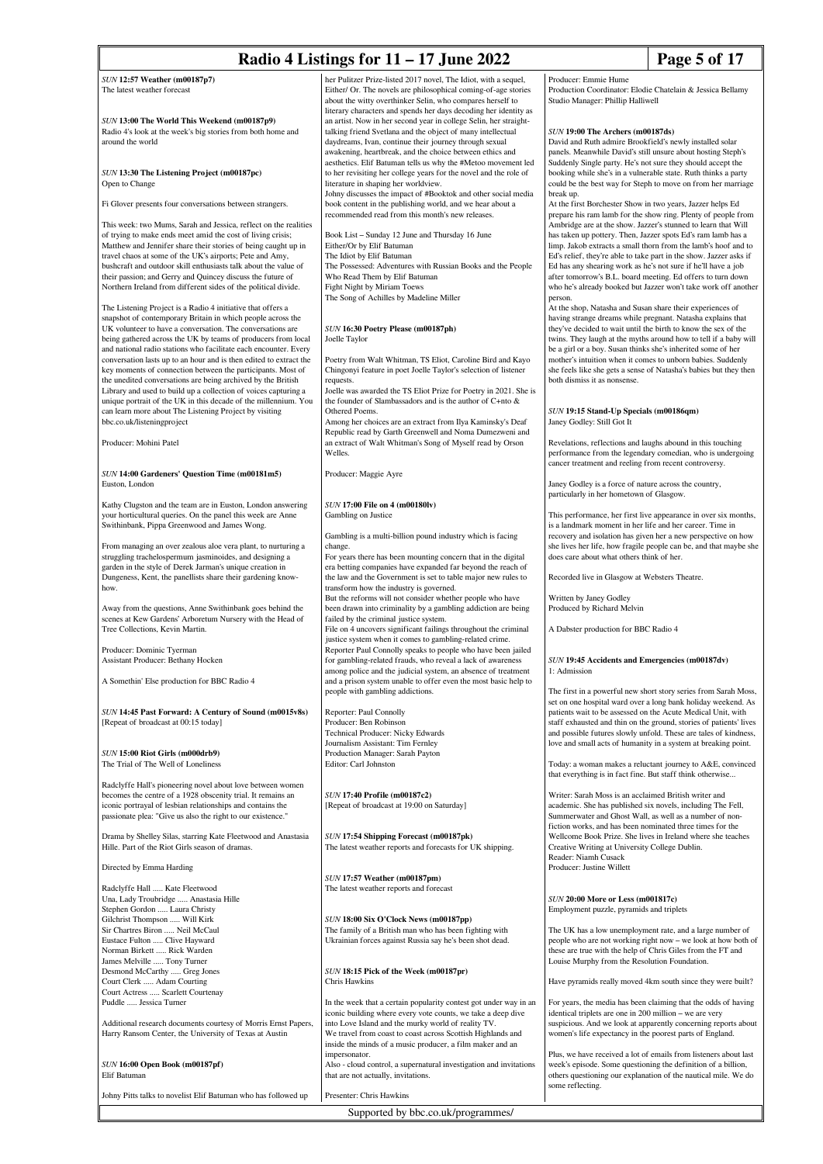# **Radio 4 Listings for 11 – 17 June 2022** Page 5 of 17

*SUN* **12:57 Weather (m00187p7)** The latest weather forecast

*SUN* **13:00 The World This Weekend (m00187p9)** Radio 4's look at the week's big stories from both home and around the world

*SUN* **13:30 The Listening Project (m00187pc)** Open to Change

Fi Glover presents four conversations between strangers.

This week: two Mums, Sarah and Jessica, reflect on the realities of trying to make ends meet amid the cost of living crisis; Matthew and Jennifer share their stories of being caught up in travel chaos at some of the UK's airports; Pete and Amy, bushcraft and outdoor skill enthusiasts talk about the value of their passion; and Gerry and Quincey discuss the future of Northern Ireland from different sides of the political divide.

The Listening Project is a Radio 4 initiative that offers a snapshot of contemporary Britain in which people across the UK volunteer to have a conversation. The conversations are being gathered across the UK by teams of producers from local and national radio stations who facilitate each encounter. Every conversation lasts up to an hour and is then edited to extract the key moments of connection between the participants. Most of the unedited conversations are being archived by the British Library and used to build up a collection of voices capturing a unique portrait of the UK in this decade of the millennium. You can learn more about The Listening Project by visiting bbc.co.uk/listeningproject

Producer: Mohini Patel

#### *SUN* **14:00 Gardeners' Question Time (m00181m5)** Euston, London

Kathy Clugston and the team are in Euston, London answering your horticultural queries. On the panel this week are Anne Swithinbank, Pippa Greenwood and James Wong.

From managing an over zealous aloe vera plant, to nurturing a struggling trachelospermum jasminoides, and designing a garden in the style of Derek Jarman's unique creation in Dungeness, Kent, the panellists share their gardening knowhow.

Away from the questions, Anne Swithinbank goes behind the scenes at Kew Gardens' Arboretum Nursery with the Head of Tree Collections, Kevin Martin.

Producer: Dominic Tyerman Assistant Producer: Bethany Hocken

A Somethin' Else production for BBC Radio 4

*SUN* **14:45 Past Forward: A Century of Sound (m0015v8s)** [Repeat of broadcast at 00:15 today]

#### *SUN* **15:00 Riot Girls (m000drb9)** The Trial of The Well of Loneline

Radclyffe Hall's pioneering novel about love between women becomes the centre of a 1928 obscenity trial. It remains an iconic portrayal of lesbian relationships and contains the passionate plea: "Give us also the right to our existence.

Drama by Shelley Silas, starring Kate Fleetwood and Anastasia Hille. Part of the Riot Girls season of dramas.

Directed by Emma Harding

Radclyffe Hall ..... Kate Fleetwood Una, Lady Troubridge ..... Anastasia Hille Stephen Gordon ..... Laura Christy Gilchrist Thompson ..... Will Kirk Sir Chartres Biron ..... Neil McCaul Eustace Fulton ..... Clive Hayward Norman Birkett ..... Rick Warden James Melville ..... Tony Turner Desmond McCarthy ..... Greg Jones Court Clerk ..... Adam Courting Court Actress ..... Scarlett Courtenay Puddle ..... Jessica Turner

Additional research documents courtesy of Morris Ernst Papers, Harry Ransom Center, the University of Texas at Austin

*SUN* **16:00 Open Book (m00187pf)** Elif Batuma

Johny Pitts talks to novelist Elif Batuman who has followed up

Supported by bbc.co.uk/programmes/

her Pulitzer Prize-listed 2017 novel. The Idiot, with a sequel, Either/ Or. The novels are philosophical coming-of-age stories about the witty overthinker Selin, who compares herself to literary characters and spends her days decoding her identity as an artist. Now in her second year in college Selin, her straighttalking friend Svetlana and the object of many intellectual daydreams, Ivan, continue their journey through sexual awakening, heartbreak, and the choice between ethics and aesthetics. Elif Batuman tells us why the #Metoo movement led to her revisiting her college years for the novel and the role of literature in shaping her worldview.

Johny discusses the impact of #Booktok and other social media book content in the publishing world, and we hear about a recommended read from this month's new releases.

Book List – Sunday 12 June and Thursday 16 June Either/Or by Elif Batuman The Idiot by Elif Batuman The Possessed: Adventures with Russian Books and the People Who Read Them by Elif Batuman Fight Night by Miriam Toews The Song of Achilles by Madeline Miller

*SUN* **16:30 Poetry Please (m00187ph)**

Joelle Taylor

Poetry from Walt Whitman, TS Eliot, Caroline Bird and Kayo Chingonyi feature in poet Joelle Taylor's selection of listener requests.

Joelle was awarded the TS Eliot Prize for Poetry in 2021. She is the founder of Slambassadors and is the author of C+nto & Othered Poems.

Among her choices are an extract from Ilya Kaminsky's Deaf Republic read by Garth Greenwell and Noma Dumezweni and an extract of Walt Whitman's Song of Myself read by Orson

Producer: Maggie Ayre

Welles.

#### *SUN* **17:00 File on 4 (m00180lv)** Gambling on Justice

Gambling is a multi-billion pound industry which is facing change.

For years there has been mounting concern that in the digital era betting companies have expanded far beyond the reach of the law and the Government is set to table major new rules to transform how the industry is governed.

But the reforms will not consider whether people who have been drawn into criminality by a gambling addiction are being failed by the criminal justice system.

File on 4 uncovers significant failings throughout the criminal justice system when it comes to gambling-related crime. Reporter Paul Connolly speaks to people who have been jailed for gambling-related frauds, who reveal a lack of awareness among police and the judicial system, an absence of treatment and a prison system unable to offer even the most basic help to people with gambling addictions.

Reporter: Paul Connolly Producer: Ben Robinson Technical Producer: Nicky Edwards Journalism Assistant: Tim Fernley Production Manager: Sarah Payton Editor: Carl Johnston

*SUN* **17:40 Profile (m00187c2)** [Repeat of broadcast at 19:00 on Saturday]

*SUN* **17:54 Shipping Forecast (m00187pk)** The latest weather reports and forecasts for UK shipping.

*SUN* **17:57 Weather (m00187pm)** The latest weather reports and forecast

*SUN* **18:00 Six O'Clock News (m00187pp)** The family of a British man who has been fighting with Ukrainian forces against Russia say he's been shot dead.

*SUN* **18:15 Pick of the Week (m00187pr)** Chris Hawkins

Presenter: Chris Hawkins

In the week that a certain popularity contest got under way in an iconic building where every vote counts, we take a deep dive into Love Island and the murky world of reality TV. We travel from coast to coast across Scottish Highlands and inside the minds of a music producer, a film maker and an impersonator. Also - cloud control, a supernatural investigation and invitations that are not actually, invitations.

Producer: Emmie Hume

Production Coordinator: Elodie Chatelain & Jessica Bellamy Studio Manager: Phillip Halliwell

#### *SUN* **19:00 The Archers (m00187ds)**

David and Ruth admire Brookfield's newly installed solar panels. Meanwhile David's still unsure about hosting Steph's uddenly Single party. He's not sure they should accept the booking while she's in a vulnerable state. Ruth thinks a party could be the best way for Steph to move on from her marriage break up.

At the first Borchester Show in two years, Jazzer helps Ed prepare his ram lamb for the show ring. Plenty of people from Ambridge are at the show. Jazzer's stunned to learn that Will has taken up pottery. Then, Jazzer spots Ed's ram lamb has a limp. Jakob extracts a small thorn from the lamb's hoof and to Ed's relief, they're able to take part in the show. Jazzer asks if Ed has any shearing work as he's not sure if he'll have a job after tomorrow's B.L. board meeting. Ed offers to turn down who he's already booked but Jazzer won't take work off another person.

At the shop, Natasha and Susan share their experiences of having strange dreams while pregnant. Natasha explains that they've decided to wait until the birth to know the sex of the twins. They laugh at the myths around how to tell if a baby will be a girl or a boy. Susan thinks she's inherited some of her mother's intuition when it comes to unborn babies. Suddenly she feels like she gets a sense of Natasha's babies but they then both dismiss it as nonsense.

*SUN* **19:15 Stand-Up Specials (m00186qm)** Janey Godley: Still Got It

Revelations, reflections and laughs abound in this touching performance from the legendary comedian, who is undergoing cancer treatment and reeling from recent controversy.

Janey Godley is a force of nature across the country, particularly in her hometown of Glasgow.

This performance, her first live appearance in over six months, is a landmark moment in her life and her career. Time in recovery and isolation has given her a new perspective on how she lives her life, how fragile people can be, and that maybe she does care about what others think of her.

Recorded live in Glasgow at Websters Theatre.

Written by Janey Godley Produced by Richard Melvin

A Dabster production for BBC Radio 4

#### *SUN* **19:45 Accidents and Emergencies (m00187dv)** 1: Admission

The first in a powerful new short story series from Sarah Moss, set on one hospital ward over a long bank holiday weekend. As patients wait to be assessed on the Acute Medical Unit, with staff exhausted and thin on the ground, stories of patients' lives and possible futures slowly unfold. These are tales of kindness, love and small acts of humanity in a system at breaking point.

Today: a woman makes a reluctant journey to A&E, convinced that everything is in fact fine. But staff think otherwise

Writer: Sarah Moss is an acclaimed British writer and academic. She has published six novels, including The Fell, Summerwater and Ghost Wall, as well as a number of nonfiction works, and has been nominated three times for the Wellcome Book Prize. She lives in Ireland where she teaches Creative Writing at University College Dublin. Reader: Niamh Cusack Producer: Justine Willett

*SUN* **20:00 More or Less (m001817c)** Employment puzzle, pyramids and triplets

The UK has a low unemployment rate, and a large number of people who are not working right now – we look at how both of these are true with the help of Chris Giles from the FT and Louise Murphy from the Resolution Foundation.

Have pyramids really moved 4km south since they were built?

For years, the media has been claiming that the odds of having identical triplets are one in 200 million – we are very suspicious. And we look at apparently concerning reports about women's life expectancy in the poorest parts of England.

Plus, we have received a lot of emails from listeners about last week's episode. Some questioning the definition of a billion, others questioning our explanation of the nautical mile. We do some reflecting.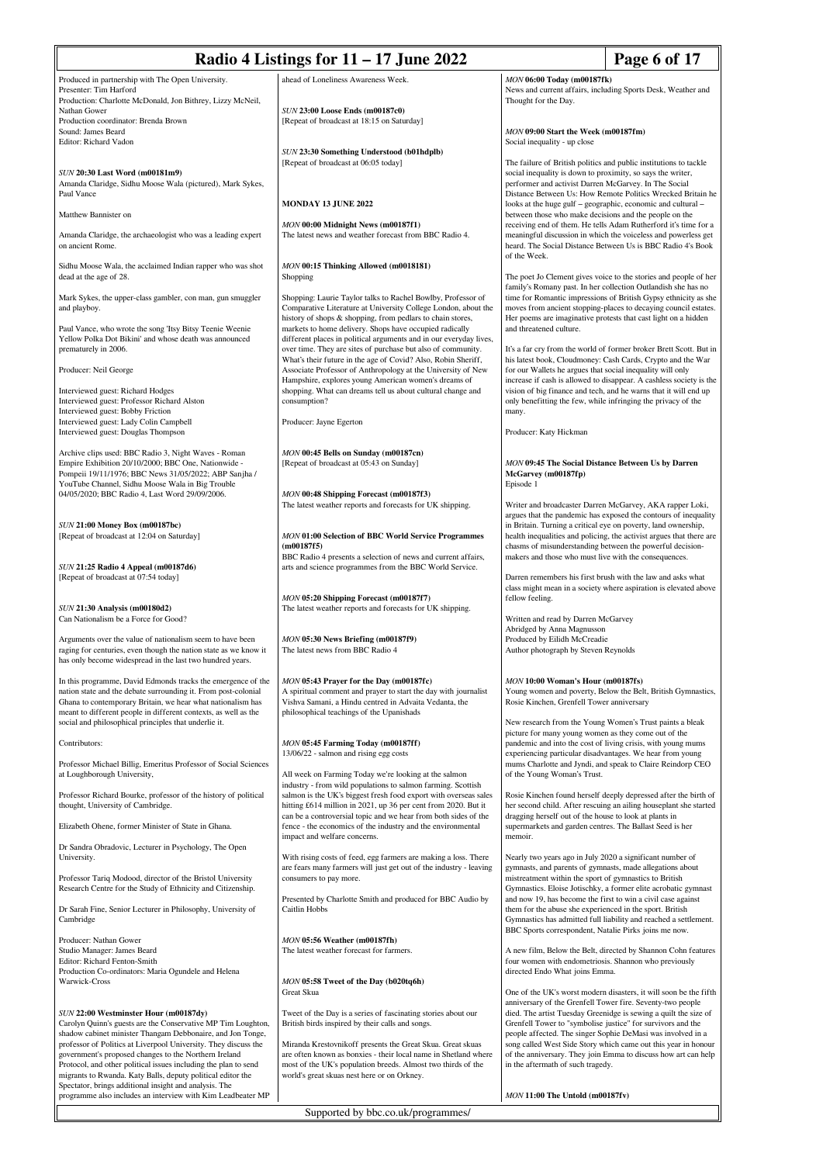| Radio 4 Listings for $11 - 17$ June 2022<br>Page 6 of 17                                                                                                                                                                                                                                                                                                           |                                                                                                                                                                                                                                                                                                                    |                                                                                                                                                                                   |                                                                                                                                                                                                                                                                     |
|--------------------------------------------------------------------------------------------------------------------------------------------------------------------------------------------------------------------------------------------------------------------------------------------------------------------------------------------------------------------|--------------------------------------------------------------------------------------------------------------------------------------------------------------------------------------------------------------------------------------------------------------------------------------------------------------------|-----------------------------------------------------------------------------------------------------------------------------------------------------------------------------------|---------------------------------------------------------------------------------------------------------------------------------------------------------------------------------------------------------------------------------------------------------------------|
| Produced in partnership with The Open University.<br>Presenter: Tim Harford<br>Production: Charlotte McDonald, Jon Bithrey, Lizzy McNeil,                                                                                                                                                                                                                          | ahead of Loneliness Awareness Week.                                                                                                                                                                                                                                                                                | MON 06:00 Today (m00187fk)<br>Thought for the Day.                                                                                                                                | News and current affairs, including Sports Desk, Weather and                                                                                                                                                                                                        |
| Nathan Gower<br>Production coordinator: Brenda Brown<br>Sound: James Beard                                                                                                                                                                                                                                                                                         | <b>SUN 23:00 Loose Ends (m00187c0)</b><br>[Repeat of broadcast at 18:15 on Saturday]                                                                                                                                                                                                                               | MON 09:00 Start the Week (m00187fm)                                                                                                                                               |                                                                                                                                                                                                                                                                     |
| Editor: Richard Vadon<br>SUN 20:30 Last Word (m00181m9)                                                                                                                                                                                                                                                                                                            | SUN 23:30 Something Understood (b01hdplb)<br>[Repeat of broadcast at 06:05 today]                                                                                                                                                                                                                                  | Social inequality - up close<br>The failure of British politics and public institutions to tackle<br>social inequality is down to proximity, so says the writer,                  |                                                                                                                                                                                                                                                                     |
| Amanda Claridge, Sidhu Moose Wala (pictured), Mark Sykes,<br>Paul Vance                                                                                                                                                                                                                                                                                            | <b>MONDAY 13 JUNE 2022</b>                                                                                                                                                                                                                                                                                         | performer and activist Darren McGarvey. In The Social<br>looks at the huge gulf – geographic, economic and cultural –                                                             | Distance Between Us: How Remote Politics Wrecked Britain he                                                                                                                                                                                                         |
| Matthew Bannister on                                                                                                                                                                                                                                                                                                                                               | MON 00:00 Midnight News (m00187f1)                                                                                                                                                                                                                                                                                 | between those who make decisions and the people on the                                                                                                                            | receiving end of them. He tells Adam Rutherford it's time for a                                                                                                                                                                                                     |
| Amanda Claridge, the archaeologist who was a leading expert<br>on ancient Rome.                                                                                                                                                                                                                                                                                    | The latest news and weather forecast from BBC Radio 4.                                                                                                                                                                                                                                                             | of the Week.                                                                                                                                                                      | meaningful discussion in which the voiceless and powerless get<br>heard. The Social Distance Between Us is BBC Radio 4's Book                                                                                                                                       |
| Sidhu Moose Wala, the acclaimed Indian rapper who was shot<br>dead at the age of 28.                                                                                                                                                                                                                                                                               | MON 00:15 Thinking Allowed (m0018181)<br>Shopping                                                                                                                                                                                                                                                                  |                                                                                                                                                                                   | The poet Jo Clement gives voice to the stories and people of her<br>family's Romany past. In her collection Outlandish she has no                                                                                                                                   |
| Mark Sykes, the upper-class gambler, con man, gun smuggler<br>and playboy.                                                                                                                                                                                                                                                                                         | Shopping: Laurie Taylor talks to Rachel Bowlby, Professor of<br>Comparative Literature at University College London, about the<br>history of shops & shopping, from pedlars to chain stores,                                                                                                                       |                                                                                                                                                                                   | time for Romantic impressions of British Gypsy ethnicity as she<br>moves from ancient stopping-places to decaying council estates.<br>Her poems are imaginative protests that cast light on a hidden                                                                |
| Paul Vance, who wrote the song 'Itsy Bitsy Teenie Weenie<br>Yellow Polka Dot Bikini' and whose death was announced<br>prematurely in 2006.                                                                                                                                                                                                                         | markets to home delivery. Shops have occupied radically<br>different places in political arguments and in our everyday lives,<br>over time. They are sites of purchase but also of community.<br>What's their future in the age of Covid? Also, Robin Sheriff,                                                     | and threatened culture.                                                                                                                                                           | It's a far cry from the world of former broker Brett Scott. But in<br>his latest book, Cloudmoney: Cash Cards, Crypto and the War                                                                                                                                   |
| Producer: Neil George                                                                                                                                                                                                                                                                                                                                              | Associate Professor of Anthropology at the University of New<br>Hampshire, explores young American women's dreams of                                                                                                                                                                                               | for our Wallets he argues that social inequality will only                                                                                                                        | increase if cash is allowed to disappear. A cashless society is the                                                                                                                                                                                                 |
| Interviewed guest: Richard Hodges<br>Interviewed guest: Professor Richard Alston<br>Interviewed guest: Bobby Friction                                                                                                                                                                                                                                              | shopping. What can dreams tell us about cultural change and<br>consumption?                                                                                                                                                                                                                                        | only benefitting the few, while infringing the privacy of the<br>many.                                                                                                            | vision of big finance and tech, and he warns that it will end up                                                                                                                                                                                                    |
| Interviewed guest: Lady Colin Campbell<br>Interviewed guest: Douglas Thompson                                                                                                                                                                                                                                                                                      | Producer: Jayne Egerton                                                                                                                                                                                                                                                                                            | Producer: Katy Hickman                                                                                                                                                            |                                                                                                                                                                                                                                                                     |
| Archive clips used: BBC Radio 3, Night Waves - Roman<br>Empire Exhibition 20/10/2000; BBC One, Nationwide -<br>Pompeii 19/11/1976; BBC News 31/05/2022; ABP Sanjha /<br>YouTube Channel, Sidhu Moose Wala in Big Trouble                                                                                                                                           | MON 00:45 Bells on Sunday (m00187cn)<br>[Repeat of broadcast at 05:43 on Sunday]                                                                                                                                                                                                                                   | MON 09:45 The Social Distance Between Us by Darren<br>McGarvey (m00187fp)<br>Episode 1                                                                                            |                                                                                                                                                                                                                                                                     |
| 04/05/2020; BBC Radio 4, Last Word 29/09/2006.                                                                                                                                                                                                                                                                                                                     | MON 00:48 Shipping Forecast (m00187f3)<br>The latest weather reports and forecasts for UK shipping.                                                                                                                                                                                                                |                                                                                                                                                                                   | Writer and broadcaster Darren McGarvey, AKA rapper Loki,<br>argues that the pandemic has exposed the contours of inequality                                                                                                                                         |
| <b>SUN 21:00 Money Box (m00187bc)</b><br>[Repeat of broadcast at 12:04 on Saturday]                                                                                                                                                                                                                                                                                | MON 01:00 Selection of BBC World Service Programmes<br>(m00187f5)                                                                                                                                                                                                                                                  | in Britain. Turning a critical eye on poverty, land ownership,<br>chasms of misunderstanding between the powerful decision-                                                       | health inequalities and policing, the activist argues that there are                                                                                                                                                                                                |
| SUN 21:25 Radio 4 Appeal (m00187d6)<br>[Repeat of broadcast at 07:54 today]                                                                                                                                                                                                                                                                                        | BBC Radio 4 presents a selection of news and current affairs,<br>arts and science programmes from the BBC World Service.                                                                                                                                                                                           | makers and those who must live with the consequences.                                                                                                                             | Darren remembers his first brush with the law and asks what<br>class might mean in a society where aspiration is elevated above                                                                                                                                     |
| SUN 21:30 Analysis (m00180d2)<br>Can Nationalism be a Force for Good?                                                                                                                                                                                                                                                                                              | MON 05:20 Shipping Forecast (m00187f7)<br>The latest weather reports and forecasts for UK shipping.                                                                                                                                                                                                                | fellow feeling.<br>Written and read by Darren McGarvey                                                                                                                            |                                                                                                                                                                                                                                                                     |
| Arguments over the value of nationalism seem to have been<br>raging for centuries, even though the nation state as we know it<br>has only become widespread in the last two hundred years.                                                                                                                                                                         | <b>MON 05:30 News Briefing (m00187f9)</b><br>The latest news from BBC Radio 4                                                                                                                                                                                                                                      | Abridged by Anna Magnusson<br>Produced by Eilidh McCreadie<br>Author photograph by Steven Reynolds                                                                                |                                                                                                                                                                                                                                                                     |
| In this programme, David Edmonds tracks the emergence of the<br>nation state and the debate surrounding it. From post-colonial<br>Ghana to contemporary Britain, we hear what nationalism has<br>meant to different people in different contexts, as well as the<br>social and philosophical principles that underlie it.                                          | MON 05:43 Prayer for the Day (m00187fc)<br>A spiritual comment and prayer to start the day with journalist<br>Vishva Samani, a Hindu centred in Advaita Vedanta, the<br>philosophical teachings of the Upanishads                                                                                                  | MON 10:00 Woman's Hour (m00187fs)<br>Rosie Kinchen, Grenfell Tower anniversary<br>New research from the Young Women's Trust paints a bleak                                        | Young women and poverty, Below the Belt, British Gymnastics,                                                                                                                                                                                                        |
| Contributors:                                                                                                                                                                                                                                                                                                                                                      | MON 05:45 Farming Today (m00187ff)<br>13/06/22 - salmon and rising egg costs                                                                                                                                                                                                                                       | picture for many young women as they come out of the<br>pandemic and into the cost of living crisis, with young mums<br>experiencing particular disadvantages. We hear from young |                                                                                                                                                                                                                                                                     |
| Professor Michael Billig, Emeritus Professor of Social Sciences<br>at Loughborough University,                                                                                                                                                                                                                                                                     | All week on Farming Today we're looking at the salmon<br>industry - from wild populations to salmon farming. Scottish                                                                                                                                                                                              | of the Young Woman's Trust.                                                                                                                                                       | mums Charlotte and Jyndi, and speak to Claire Reindorp CEO                                                                                                                                                                                                          |
| Professor Richard Bourke, professor of the history of political<br>thought, University of Cambridge.                                                                                                                                                                                                                                                               | salmon is the UK's biggest fresh food export with overseas sales<br>hitting £614 million in 2021, up 36 per cent from 2020. But it<br>can be a controversial topic and we hear from both sides of the                                                                                                              | dragging herself out of the house to look at plants in                                                                                                                            | Rosie Kinchen found herself deeply depressed after the birth of<br>her second child. After rescuing an ailing houseplant she started                                                                                                                                |
| Elizabeth Ohene, former Minister of State in Ghana.                                                                                                                                                                                                                                                                                                                | fence - the economics of the industry and the environmental<br>impact and welfare concerns.                                                                                                                                                                                                                        | supermarkets and garden centres. The Ballast Seed is her<br>memoir.                                                                                                               |                                                                                                                                                                                                                                                                     |
| Dr Sandra Obradovic, Lecturer in Psychology, The Open<br>University.                                                                                                                                                                                                                                                                                               | With rising costs of feed, egg farmers are making a loss. There<br>are fears many farmers will just get out of the industry - leaving                                                                                                                                                                              | Nearly two years ago in July 2020 a significant number of<br>gymnasts, and parents of gymnasts, made allegations about                                                            |                                                                                                                                                                                                                                                                     |
| Professor Tariq Modood, director of the Bristol University<br>Research Centre for the Study of Ethnicity and Citizenship.                                                                                                                                                                                                                                          | consumers to pay more.<br>Presented by Charlotte Smith and produced for BBC Audio by                                                                                                                                                                                                                               | mistreatment within the sport of gymnastics to British<br>and now 19, has become the first to win a civil case against                                                            | Gymnastics. Eloise Jotischky, a former elite acrobatic gymnast                                                                                                                                                                                                      |
| Dr Sarah Fine, Senior Lecturer in Philosophy, University of<br>Cambridge                                                                                                                                                                                                                                                                                           | <b>Caitlin Hobbs</b>                                                                                                                                                                                                                                                                                               | them for the abuse she experienced in the sport. British<br>BBC Sports correspondent, Natalie Pirks joins me now.                                                                 | Gymnastics has admitted full liability and reached a settlement.                                                                                                                                                                                                    |
| Producer: Nathan Gower<br>Studio Manager: James Beard<br>Editor: Richard Fenton-Smith<br>Production Co-ordinators: Maria Ogundele and Helena                                                                                                                                                                                                                       | MON 05:56 Weather (m00187fh)<br>The latest weather forecast for farmers.                                                                                                                                                                                                                                           | four women with endometriosis. Shannon who previously<br>directed Endo What joins Emma.                                                                                           | A new film, Below the Belt, directed by Shannon Cohn features                                                                                                                                                                                                       |
| Warwick-Cross                                                                                                                                                                                                                                                                                                                                                      | MON 05:58 Tweet of the Day (b020tq6h)<br>Great Skua                                                                                                                                                                                                                                                                |                                                                                                                                                                                   | One of the UK's worst modern disasters, it will soon be the fifth                                                                                                                                                                                                   |
| SUN 22:00 Westminster Hour (m00187dy)<br>Carolyn Quinn's guests are the Conservative MP Tim Loughton,<br>shadow cabinet minister Thangam Debbonaire, and Jon Tonge,<br>professor of Politics at Liverpool University. They discuss the<br>government's proposed changes to the Northern Ireland<br>Protocol, and other political issues including the plan to send | Tweet of the Day is a series of fascinating stories about our<br>British birds inspired by their calls and songs.<br>Miranda Krestovnikoff presents the Great Skua. Great skuas<br>are often known as bonxies - their local name in Shetland where<br>most of the UK's population breeds. Almost two thirds of the | anniversary of the Grenfell Tower fire. Seventy-two people<br>Grenfell Tower to "symbolise justice" for survivors and the<br>in the aftermath of such tragedy.                    | died. The artist Tuesday Greenidge is sewing a quilt the size of<br>people affected. The singer Sophie DeMasi was involved in a<br>song called West Side Story which came out this year in honour<br>of the anniversary. They join Emma to discuss how art can help |
| migrants to Rwanda. Katy Balls, deputy political editor the<br>Spectator, brings additional insight and analysis. The<br>programme also includes an interview with Kim Leadbeater MP                                                                                                                                                                               | world's great skuas nest here or on Orkney.                                                                                                                                                                                                                                                                        | MON 11:00 The Untold (m00187fv)                                                                                                                                                   |                                                                                                                                                                                                                                                                     |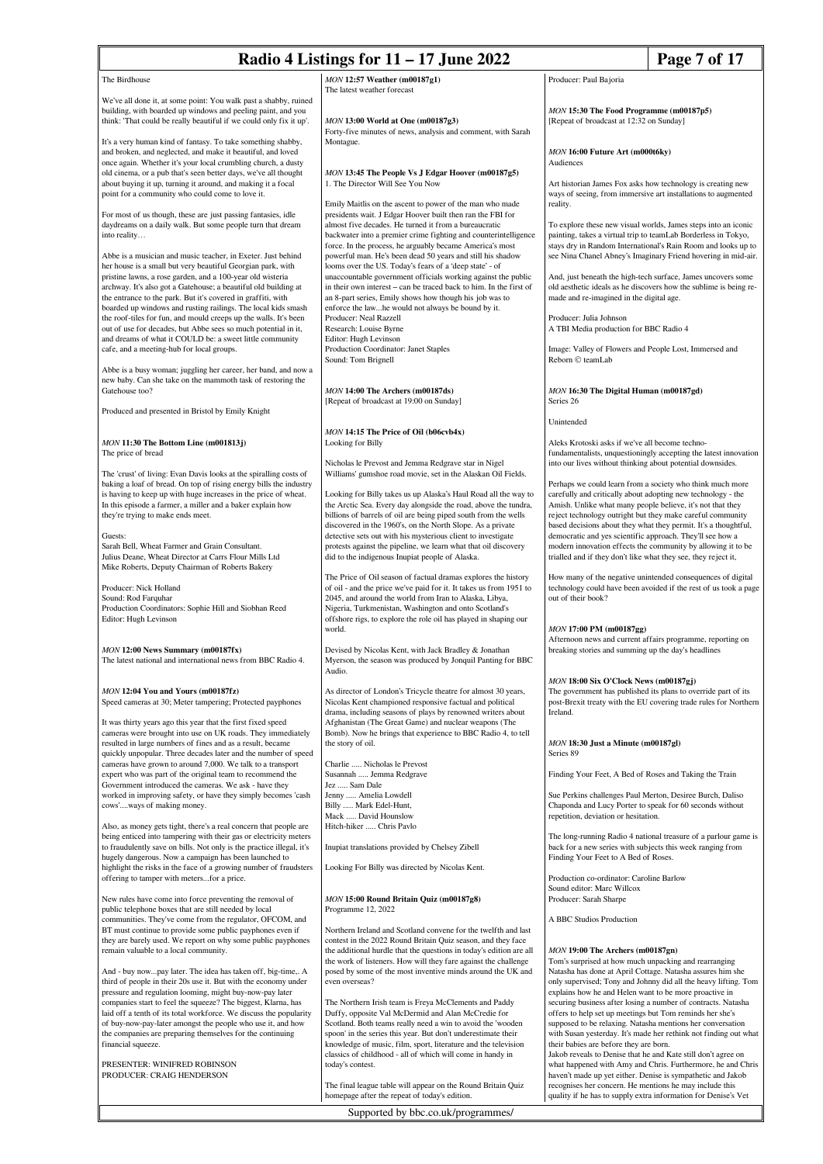| Radio 4 Listings for $11 - 17$ June 2022<br>Page 7 of 17                                                                                                                                                                                                       |                                                                                                                                                                                                                                                                                                                                     |                                                                                                                                                                                                                                                                                                                          |  |
|----------------------------------------------------------------------------------------------------------------------------------------------------------------------------------------------------------------------------------------------------------------|-------------------------------------------------------------------------------------------------------------------------------------------------------------------------------------------------------------------------------------------------------------------------------------------------------------------------------------|--------------------------------------------------------------------------------------------------------------------------------------------------------------------------------------------------------------------------------------------------------------------------------------------------------------------------|--|
| The Birdhouse                                                                                                                                                                                                                                                  | MON 12:57 Weather (m00187g1)                                                                                                                                                                                                                                                                                                        | Producer: Paul Bajoria                                                                                                                                                                                                                                                                                                   |  |
| We've all done it, at some point: You walk past a shabby, ruined                                                                                                                                                                                               | The latest weather forecast                                                                                                                                                                                                                                                                                                         |                                                                                                                                                                                                                                                                                                                          |  |
| building, with boarded up windows and peeling paint, and you<br>think: 'That could be really beautiful if we could only fix it up'.                                                                                                                            | MON 13:00 World at One (m00187g3)<br>Forty-five minutes of news, analysis and comment, with Sarah                                                                                                                                                                                                                                   | MON 15:30 The Food Programme (m00187p5)<br>[Repeat of broadcast at 12:32 on Sunday]                                                                                                                                                                                                                                      |  |
| It's a very human kind of fantasy. To take something shabby,<br>and broken, and neglected, and make it beautiful, and loved<br>once again. Whether it's your local crumbling church, a dusty                                                                   | Montague.                                                                                                                                                                                                                                                                                                                           | MON 16:00 Future Art (m000t6ky)<br>Audiences                                                                                                                                                                                                                                                                             |  |
| old cinema, or a pub that's seen better days, we've all thought<br>about buying it up, turning it around, and making it a focal<br>point for a community who could come to love it.                                                                            | MON 13:45 The People Vs J Edgar Hoover (m00187g5)<br>1. The Director Will See You Now                                                                                                                                                                                                                                               | Art historian James Fox asks how technology is creating new<br>ways of seeing, from immersive art installations to augmented                                                                                                                                                                                             |  |
| For most of us though, these are just passing fantasies, idle<br>daydreams on a daily walk. But some people turn that dream<br>into reality                                                                                                                    | Emily Maitlis on the ascent to power of the man who made<br>presidents wait. J Edgar Hoover built then ran the FBI for<br>almost five decades. He turned it from a bureaucratic<br>backwater into a premier crime fighting and counterintelligence                                                                                  | reality.<br>To explore these new visual worlds, James steps into an iconic<br>painting, takes a virtual trip to teamLab Borderless in Tokyo,                                                                                                                                                                             |  |
| Abbe is a musician and music teacher, in Exeter. Just behind<br>her house is a small but very beautiful Georgian park, with<br>pristine lawns, a rose garden, and a 100-year old wisteria                                                                      | force. In the process, he arguably became America's most<br>powerful man. He's been dead 50 years and still his shadow<br>looms over the US. Today's fears of a 'deep state' - of<br>unaccountable government officials working against the public                                                                                  | stays dry in Random International's Rain Room and looks up to<br>see Nina Chanel Abney's Imaginary Friend hovering in mid-air.<br>And, just beneath the high-tech surface, James uncovers some                                                                                                                           |  |
| archway. It's also got a Gatehouse; a beautiful old building at<br>the entrance to the park. But it's covered in graffiti, with<br>boarded up windows and rusting railings. The local kids smash                                                               | in their own interest – can be traced back to him. In the first of<br>an 8-part series, Emily shows how though his job was to<br>enforce the lawhe would not always be bound by it.                                                                                                                                                 | old aesthetic ideals as he discovers how the sublime is being re-<br>made and re-imagined in the digital age.                                                                                                                                                                                                            |  |
| the roof-tiles for fun, and mould creeps up the walls. It's been<br>out of use for decades, but Abbe sees so much potential in it,<br>and dreams of what it COULD be: a sweet little community                                                                 | Producer: Neal Razzell<br>Research: Louise Byrne<br>Editor: Hugh Levinson<br>Production Coordinator: Janet Staples                                                                                                                                                                                                                  | Producer: Julia Johnson<br>A TBI Media production for BBC Radio 4                                                                                                                                                                                                                                                        |  |
| cafe, and a meeting-hub for local groups.<br>Abbe is a busy woman; juggling her career, her band, and now a<br>new baby. Can she take on the mammoth task of restoring the                                                                                     | Sound: Tom Brignell                                                                                                                                                                                                                                                                                                                 | Image: Valley of Flowers and People Lost, Immersed and<br>Reborn © teamLab                                                                                                                                                                                                                                               |  |
| Gatehouse too?<br>Produced and presented in Bristol by Emily Knight                                                                                                                                                                                            | $MON$ 14:00 The Archers (m00187ds)<br>[Repeat of broadcast at 19:00 on Sunday]                                                                                                                                                                                                                                                      | MON 16:30 The Digital Human (m00187gd)<br>Series 26                                                                                                                                                                                                                                                                      |  |
|                                                                                                                                                                                                                                                                | MON 14:15 The Price of Oil (b06cvb4x)                                                                                                                                                                                                                                                                                               | Unintended                                                                                                                                                                                                                                                                                                               |  |
| MON 11:30 The Bottom Line (m001813j)<br>The price of bread                                                                                                                                                                                                     | Looking for Billy<br>Nicholas le Prevost and Jemma Redgrave star in Nigel                                                                                                                                                                                                                                                           | Aleks Krotoski asks if we've all become techno-<br>fundamentalists, unquestioningly accepting the latest innovation<br>into our lives without thinking about potential downsides.                                                                                                                                        |  |
| The 'crust' of living: Evan Davis looks at the spiralling costs of<br>baking a loaf of bread. On top of rising energy bills the industry                                                                                                                       | Williams' gumshoe road movie, set in the Alaskan Oil Fields.                                                                                                                                                                                                                                                                        | Perhaps we could learn from a society who think much more                                                                                                                                                                                                                                                                |  |
| is having to keep up with huge increases in the price of wheat.<br>In this episode a farmer, a miller and a baker explain how<br>they're trying to make ends meet.<br>Guests:                                                                                  | Looking for Billy takes us up Alaska's Haul Road all the way to<br>the Arctic Sea. Every day alongside the road, above the tundra,<br>billions of barrels of oil are being piped south from the wells<br>discovered in the 1960's, on the North Slope. As a private<br>detective sets out with his mysterious client to investigate | carefully and critically about adopting new technology - the<br>Amish. Unlike what many people believe, it's not that they<br>reject technology outright but they make careful community<br>based decisions about they what they permit. It's a thoughtful,<br>democratic and yes scientific approach. They'll see how a |  |
| Sarah Bell, Wheat Farmer and Grain Consultant.<br>Julius Deane, Wheat Director at Carrs Flour Mills Ltd<br>Mike Roberts, Deputy Chairman of Roberts Bakery                                                                                                     | protests against the pipeline, we learn what that oil discovery<br>did to the indigenous Inupiat people of Alaska.<br>The Price of Oil season of factual dramas explores the history                                                                                                                                                | modern innovation effects the community by allowing it to be<br>trialled and if they don't like what they see, they reject it,<br>How many of the negative unintended consequences of digital                                                                                                                            |  |
| Producer: Nick Holland<br>Sound: Rod Farquhar<br>Production Coordinators: Sophie Hill and Siobhan Reed<br>Editor: Hugh Levinson                                                                                                                                | of oil - and the price we've paid for it. It takes us from 1951 to<br>2045, and around the world from Iran to Alaska, Libya,<br>Nigeria, Turkmenistan, Washington and onto Scotland's<br>offshore rigs, to explore the role oil has played in shaping our                                                                           | technology could have been avoided if the rest of us took a page<br>out of their book?                                                                                                                                                                                                                                   |  |
| MON 12:00 News Summary (m00187fx)<br>The latest national and international news from BBC Radio 4.                                                                                                                                                              | world.<br>Devised by Nicolas Kent, with Jack Bradley & Jonathan<br>Myerson, the season was produced by Jonquil Panting for BBC                                                                                                                                                                                                      | MON 17:00 PM (m00187gg)<br>Afternoon news and current affairs programme, reporting on<br>breaking stories and summing up the day's headlines                                                                                                                                                                             |  |
| MON 12:04 You and Yours (m00187fz)                                                                                                                                                                                                                             | Audio.<br>As director of London's Tricycle theatre for almost 30 years,                                                                                                                                                                                                                                                             | MON 18:00 Six O'Clock News (m00187gj)<br>The government has published its plans to override part of its                                                                                                                                                                                                                  |  |
| Speed cameras at 30; Meter tampering; Protected payphones<br>It was thirty years ago this year that the first fixed speed                                                                                                                                      | Nicolas Kent championed responsive factual and political<br>drama, including seasons of plays by renowned writers about<br>Afghanistan (The Great Game) and nuclear weapons (The                                                                                                                                                    | post-Brexit treaty with the EU covering trade rules for Northern<br>Ireland.                                                                                                                                                                                                                                             |  |
| cameras were brought into use on UK roads. They immediately<br>resulted in large numbers of fines and as a result, became<br>quickly unpopular. Three decades later and the number of speed                                                                    | Bomb). Now he brings that experience to BBC Radio 4, to tell<br>the story of oil.<br>Charlie  Nicholas le Prevost                                                                                                                                                                                                                   | MON 18:30 Just a Minute (m00187gl)<br>Series 89                                                                                                                                                                                                                                                                          |  |
| cameras have grown to around 7,000. We talk to a transport<br>expert who was part of the original team to recommend the<br>Government introduced the cameras. We ask - have they                                                                               | Susannah  Jemma Redgrave<br>Jez  Sam Dale                                                                                                                                                                                                                                                                                           | Finding Your Feet, A Bed of Roses and Taking the Train                                                                                                                                                                                                                                                                   |  |
| worked in improving safety, or have they simply becomes 'cash<br>cows'ways of making money.                                                                                                                                                                    | Jenny  Amelia Lowdell<br>Billy  Mark Edel-Hunt,<br>Mack  David Hounslow                                                                                                                                                                                                                                                             | Sue Perkins challenges Paul Merton, Desiree Burch, Daliso<br>Chaponda and Lucy Porter to speak for 60 seconds without<br>repetition, deviation or hesitation.                                                                                                                                                            |  |
| Also, as money gets tight, there's a real concern that people are<br>being enticed into tampering with their gas or electricity meters<br>to fraudulently save on bills. Not only is the practice illegal, it's                                                | Hitch-hiker  Chris Pavlo<br>Inupiat translations provided by Chelsey Zibell                                                                                                                                                                                                                                                         | The long-running Radio 4 national treasure of a parlour game is<br>back for a new series with subjects this week ranging from                                                                                                                                                                                            |  |
| hugely dangerous. Now a campaign has been launched to<br>highlight the risks in the face of a growing number of fraudsters<br>offering to tamper with metersfor a price.                                                                                       | Looking For Billy was directed by Nicolas Kent.                                                                                                                                                                                                                                                                                     | Finding Your Feet to A Bed of Roses.<br>Production co-ordinator: Caroline Barlow                                                                                                                                                                                                                                         |  |
| New rules have come into force preventing the removal of<br>public telephone boxes that are still needed by local<br>communities. They've come from the regulator, OFCOM, and                                                                                  | MON 15:00 Round Britain Quiz (m00187g8)<br>Programme 12, 2022                                                                                                                                                                                                                                                                       | Sound editor: Marc Willcox<br>Producer: Sarah Sharpe<br>A BBC Studios Production                                                                                                                                                                                                                                         |  |
| BT must continue to provide some public payphones even if<br>they are barely used. We report on why some public payphones<br>remain valuable to a local community.                                                                                             | Northern Ireland and Scotland convene for the twelfth and last<br>contest in the 2022 Round Britain Quiz season, and they face<br>the additional hurdle that the questions in today's edition are all                                                                                                                               | MON 19:00 The Archers (m00187gn)                                                                                                                                                                                                                                                                                         |  |
| And - buy nowpay later. The idea has taken off, big-time,. A<br>third of people in their 20s use it. But with the economy under                                                                                                                                | the work of listeners. How will they fare against the challenge<br>posed by some of the most inventive minds around the UK and<br>even overseas?                                                                                                                                                                                    | Tom's surprised at how much unpacking and rearranging<br>Natasha has done at April Cottage. Natasha assures him she<br>only supervised; Tony and Johnny did all the heavy lifting. Tom                                                                                                                                   |  |
| pressure and regulation looming, might buy-now-pay later<br>companies start to feel the squeeze? The biggest, Klarna, has<br>laid off a tenth of its total workforce. We discuss the popularity<br>of buy-now-pay-later amongst the people who use it, and how | The Northern Irish team is Freya McClements and Paddy<br>Duffy, opposite Val McDermid and Alan McCredie for<br>Scotland. Both teams really need a win to avoid the 'wooden                                                                                                                                                          | explains how he and Helen want to be more proactive in<br>securing business after losing a number of contracts. Natasha<br>offers to help set up meetings but Tom reminds her she's<br>supposed to be relaxing. Natasha mentions her conversation                                                                        |  |
| the companies are preparing themselves for the continuing<br>financial squeeze.                                                                                                                                                                                | spoon' in the series this year. But don't underestimate their<br>knowledge of music, film, sport, literature and the television<br>classics of childhood - all of which will come in handy in                                                                                                                                       | with Susan yesterday. It's made her rethink not finding out what<br>their babies are before they are born.                                                                                                                                                                                                               |  |
| PRESENTER: WINIFRED ROBINSON<br>PRODUCER: CRAIG HENDERSON                                                                                                                                                                                                      | today's contest.<br>The final league table will appear on the Round Britain Quiz                                                                                                                                                                                                                                                    | Jakob reveals to Denise that he and Kate still don't agree on<br>what happened with Amy and Chris. Furthermore, he and Chris<br>haven't made up yet either. Denise is sympathetic and Jakob<br>recognises her concern. He mentions he may include this                                                                   |  |
|                                                                                                                                                                                                                                                                | homepage after the repeat of today's edition.                                                                                                                                                                                                                                                                                       | quality if he has to supply extra information for Denise's Vet                                                                                                                                                                                                                                                           |  |
| Supported by bbc.co.uk/programmes/                                                                                                                                                                                                                             |                                                                                                                                                                                                                                                                                                                                     |                                                                                                                                                                                                                                                                                                                          |  |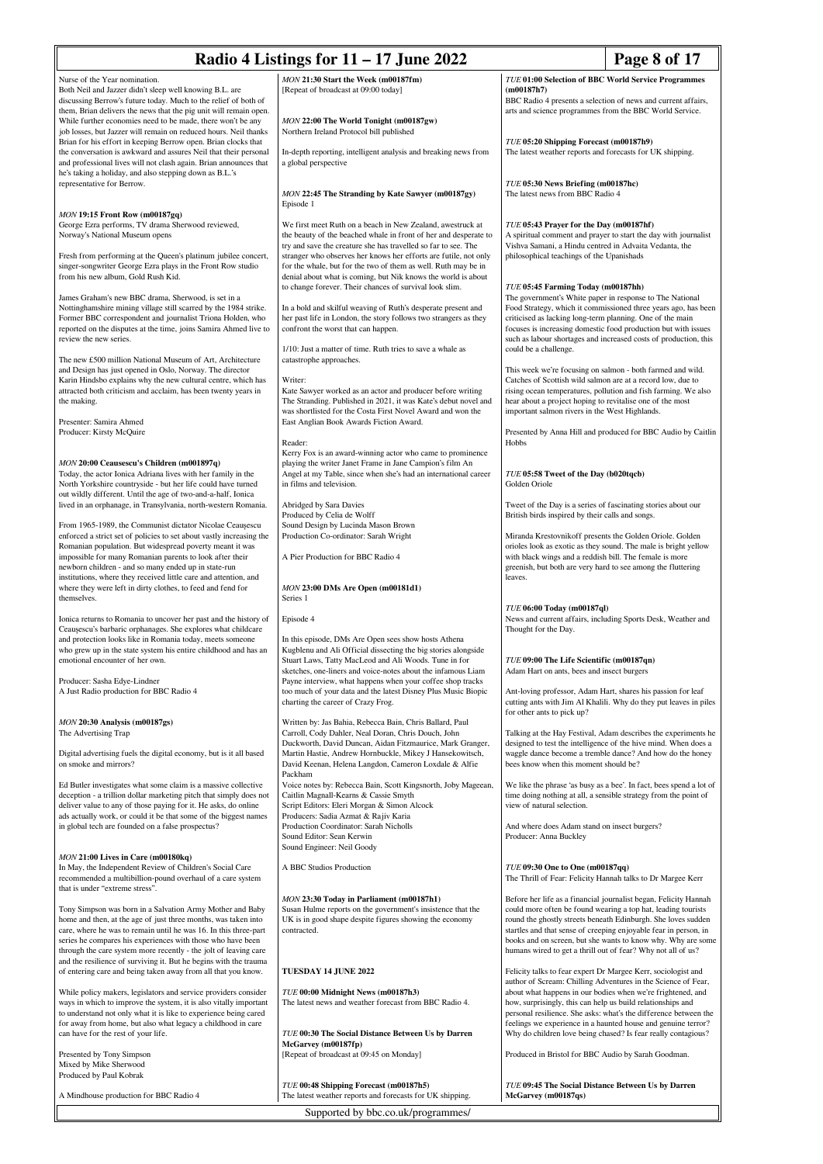| Radio 4 Listings for 11 - 17 June 2022<br>Page 8 of 17                                                                                                                                                                                                                                                                                                                                                  |                                                                                                                                                                                                                                                                                                                                  |                                                                                                                                                                                                                                                                                                                                                                     |                                                                                                                                                                                                                                                                       |
|---------------------------------------------------------------------------------------------------------------------------------------------------------------------------------------------------------------------------------------------------------------------------------------------------------------------------------------------------------------------------------------------------------|----------------------------------------------------------------------------------------------------------------------------------------------------------------------------------------------------------------------------------------------------------------------------------------------------------------------------------|---------------------------------------------------------------------------------------------------------------------------------------------------------------------------------------------------------------------------------------------------------------------------------------------------------------------------------------------------------------------|-----------------------------------------------------------------------------------------------------------------------------------------------------------------------------------------------------------------------------------------------------------------------|
| Nurse of the Year nomination.<br>Both Neil and Jazzer didn't sleep well knowing B.L. are<br>discussing Berrow's future today. Much to the relief of both of<br>them, Brian delivers the news that the pig unit will remain open.                                                                                                                                                                        | MON 21:30 Start the Week (m00187fm)<br>[Repeat of broadcast at 09:00 today]                                                                                                                                                                                                                                                      | TUE 01:00 Selection of BBC World Service Programmes<br>(m00187h7)<br>arts and science programmes from the BBC World Service.                                                                                                                                                                                                                                        | BBC Radio 4 presents a selection of news and current affairs,                                                                                                                                                                                                         |
| While further economies need to be made, there won't be any<br>job losses, but Jazzer will remain on reduced hours. Neil thanks<br>Brian for his effort in keeping Berrow open. Brian clocks that<br>the conversation is awkward and assures Neil that their personal                                                                                                                                   | MON 22:00 The World Tonight (m00187gw)<br>Northern Ireland Protocol bill published<br>In-depth reporting, intelligent analysis and breaking news from                                                                                                                                                                            | TUE 05:20 Shipping Forecast (m00187h9)<br>The latest weather reports and forecasts for UK shipping.                                                                                                                                                                                                                                                                 |                                                                                                                                                                                                                                                                       |
| and professional lives will not clash again. Brian announces that<br>he's taking a holiday, and also stepping down as B.L.'s<br>representative for Berrow.                                                                                                                                                                                                                                              | a global perspective<br>MON 22:45 The Stranding by Kate Sawyer (m00187gy)                                                                                                                                                                                                                                                        | TUE 05:30 News Briefing (m00187hc)<br>The latest news from BBC Radio 4                                                                                                                                                                                                                                                                                              |                                                                                                                                                                                                                                                                       |
| MON 19:15 Front Row (m00187gq)<br>George Ezra performs, TV drama Sherwood reviewed,<br>Norway's National Museum opens                                                                                                                                                                                                                                                                                   | Episode 1<br>We first meet Ruth on a beach in New Zealand, awestruck at<br>the beauty of the beached whale in front of her and desperate to                                                                                                                                                                                      | TUE 05:43 Prayer for the Day (m00187hf)<br>A spiritual comment and prayer to start the day with journalist<br>Vishva Samani, a Hindu centred in Advaita Vedanta, the                                                                                                                                                                                                |                                                                                                                                                                                                                                                                       |
| Fresh from performing at the Queen's platinum jubilee concert,<br>singer-songwriter George Ezra plays in the Front Row studio<br>from his new album, Gold Rush Kid.                                                                                                                                                                                                                                     | try and save the creature she has travelled so far to see. The<br>stranger who observes her knows her efforts are futile, not only<br>for the whale, but for the two of them as well. Ruth may be in<br>denial about what is coming, but Nik knows the world is about<br>to change forever. Their chances of survival look slim. | philosophical teachings of the Upanishads                                                                                                                                                                                                                                                                                                                           |                                                                                                                                                                                                                                                                       |
| James Graham's new BBC drama, Sherwood, is set in a<br>Nottinghamshire mining village still scarred by the 1984 strike.<br>Former BBC correspondent and journalist Triona Holden, who<br>reported on the disputes at the time, joins Samira Ahmed live to<br>review the new series.                                                                                                                     | In a bold and skilful weaving of Ruth's desperate present and<br>her past life in London, the story follows two strangers as they<br>confront the worst that can happen.                                                                                                                                                         | TUE 05:45 Farming Today (m00187hh)<br>The government's White paper in response to The National<br>Food Strategy, which it commissioned three years ago, has been<br>criticised as lacking long-term planning. One of the main<br>focuses is increasing domestic food production but with issues<br>such as labour shortages and increased costs of production, this |                                                                                                                                                                                                                                                                       |
| The new £500 million National Museum of Art, Architecture<br>and Design has just opened in Oslo, Norway. The director<br>Karin Hindsbo explains why the new cultural centre, which has                                                                                                                                                                                                                  | 1/10: Just a matter of time. Ruth tries to save a whale as<br>catastrophe approaches.<br>Writer:                                                                                                                                                                                                                                 | could be a challenge.<br>This week we're focusing on salmon - both farmed and wild.<br>Catches of Scottish wild salmon are at a record low, due to                                                                                                                                                                                                                  |                                                                                                                                                                                                                                                                       |
| attracted both criticism and acclaim, has been twenty years in<br>the making.<br>Presenter: Samira Ahmed                                                                                                                                                                                                                                                                                                | Kate Sawyer worked as an actor and producer before writing<br>The Stranding. Published in 2021, it was Kate's debut novel and<br>was shortlisted for the Costa First Novel Award and won the<br>East Anglian Book Awards Fiction Award.                                                                                          | hear about a project hoping to revitalise one of the most<br>important salmon rivers in the West Highlands.                                                                                                                                                                                                                                                         | rising ocean temperatures, pollution and fish farming. We also                                                                                                                                                                                                        |
| Producer: Kirsty McQuire<br>MON 20:00 Ceausescu's Children (m001897q)                                                                                                                                                                                                                                                                                                                                   | Reader:<br>Kerry Fox is an award-winning actor who came to prominence<br>playing the writer Janet Frame in Jane Campion's film An                                                                                                                                                                                                | Hobbs                                                                                                                                                                                                                                                                                                                                                               | Presented by Anna Hill and produced for BBC Audio by Caitlin                                                                                                                                                                                                          |
| Today, the actor Ionica Adriana lives with her family in the<br>North Yorkshire countryside - but her life could have turned<br>out wildly different. Until the age of two-and-a-half, Ionica<br>lived in an orphanage, in Transylvania, north-western Romania.                                                                                                                                         | Angel at my Table, since when she's had an international career<br>in films and television.<br>Abridged by Sara Davies                                                                                                                                                                                                           | TUE 05:58 Tweet of the Day (b020tqcb)<br>Golden Oriole<br>Tweet of the Day is a series of fascinating stories about our                                                                                                                                                                                                                                             |                                                                                                                                                                                                                                                                       |
| From 1965-1989, the Communist dictator Nicolae Ceauşescu<br>enforced a strict set of policies to set about vastly increasing the<br>Romanian population. But widespread poverty meant it was<br>impossible for many Romanian parents to look after their<br>newborn children - and so many ended up in state-run<br>institutions, where they received little care and attention, and                    | Produced by Celia de Wolff<br>Sound Design by Lucinda Mason Brown<br>Production Co-ordinator: Sarah Wright<br>A Pier Production for BBC Radio 4                                                                                                                                                                                  | British birds inspired by their calls and songs.<br>Miranda Krestovnikoff presents the Golden Oriole. Golden<br>with black wings and a reddish bill. The female is more<br>greenish, but both are very hard to see among the fluttering<br>leaves.                                                                                                                  | orioles look as exotic as they sound. The male is bright yellow                                                                                                                                                                                                       |
| where they were left in dirty clothes, to feed and fend for<br>themselves.                                                                                                                                                                                                                                                                                                                              | MON 23:00 DMs Are Open (m00181d1)<br>Series 1                                                                                                                                                                                                                                                                                    | TUE 06:00 Today (m00187ql)                                                                                                                                                                                                                                                                                                                                          |                                                                                                                                                                                                                                                                       |
| Ionica returns to Romania to uncover her past and the history of<br>Ceauşescu's barbaric orphanages. She explores what childcare<br>and protection looks like in Romania today, meets someone<br>who grew up in the state system his entire childhood and has an<br>emotional encounter of her own.                                                                                                     | Episode 4<br>In this episode, DMs Are Open sees show hosts Athena<br>Kugblenu and Ali Official dissecting the big stories alongside<br>Stuart Laws, Tatty MacLeod and Ali Woods. Tune in for                                                                                                                                     | Thought for the Day.<br>TUE 09:00 The Life Scientific (m00187qn)                                                                                                                                                                                                                                                                                                    | News and current affairs, including Sports Desk, Weather and                                                                                                                                                                                                          |
| Producer: Sasha Edye-Lindner<br>A Just Radio production for BBC Radio 4                                                                                                                                                                                                                                                                                                                                 | sketches, one-liners and voice-notes about the infamous Liam<br>Payne interview, what happens when your coffee shop tracks<br>too much of your data and the latest Disney Plus Music Biopic<br>charting the career of Crazy Frog.                                                                                                | Adam Hart on ants, bees and insect burgers<br>Ant-loving professor, Adam Hart, shares his passion for leaf<br>for other ants to pick up?                                                                                                                                                                                                                            | cutting ants with Jim Al Khalili. Why do they put leaves in piles                                                                                                                                                                                                     |
| MON 20:30 Analysis (m00187gs)<br>The Advertising Trap<br>Digital advertising fuels the digital economy, but is it all based                                                                                                                                                                                                                                                                             | Written by: Jas Bahia, Rebecca Bain, Chris Ballard, Paul<br>Carroll, Cody Dahler, Neal Doran, Chris Douch, John<br>Duckworth, David Duncan, Aidan Fitzmaurice, Mark Granger,<br>Martin Hastie, Andrew Hornbuckle, Mikey J Hansekowitsch,                                                                                         |                                                                                                                                                                                                                                                                                                                                                                     | Talking at the Hay Festival, Adam describes the experiments he<br>designed to test the intelligence of the hive mind. When does a<br>waggle dance become a tremble dance? And how do the honey                                                                        |
| on smoke and mirrors?<br>Ed Butler investigates what some claim is a massive collective                                                                                                                                                                                                                                                                                                                 | David Keenan, Helena Langdon, Cameron Loxdale & Alfie<br>Packham<br>Voice notes by: Rebecca Bain, Scott Kingsnorth, Joby Mageean,                                                                                                                                                                                                | bees know when this moment should be?                                                                                                                                                                                                                                                                                                                               | We like the phrase 'as busy as a bee'. In fact, bees spend a lot of                                                                                                                                                                                                   |
| deception - a trillion dollar marketing pitch that simply does not<br>deliver value to any of those paying for it. He asks, do online<br>ads actually work, or could it be that some of the biggest names<br>in global tech are founded on a false prospectus?                                                                                                                                          | Caitlin Magnall-Kearns & Cassie Smyth<br>Script Editors: Eleri Morgan & Simon Alcock<br>Producers: Sadia Azmat & Rajiv Karia<br>Production Coordinator: Sarah Nicholls<br>Sound Editor: Sean Kerwin                                                                                                                              | view of natural selection.<br>And where does Adam stand on insect burgers?<br>Producer: Anna Buckley                                                                                                                                                                                                                                                                | time doing nothing at all, a sensible strategy from the point of                                                                                                                                                                                                      |
| MON 21:00 Lives in Care (m00180kq)<br>In May, the Independent Review of Children's Social Care<br>recommended a multibillion-pound overhaul of a care system<br>that is under "extreme stress".                                                                                                                                                                                                         | Sound Engineer: Neil Goody<br>A BBC Studios Production                                                                                                                                                                                                                                                                           | TUE 09:30 One to One (m00187qq)<br>The Thrill of Fear: Felicity Hannah talks to Dr Margee Kerr                                                                                                                                                                                                                                                                      |                                                                                                                                                                                                                                                                       |
| Tony Simpson was born in a Salvation Army Mother and Baby<br>home and then, at the age of just three months, was taken into<br>care, where he was to remain until he was 16. In this three-part<br>series he compares his experiences with those who have been<br>through the care system more recently - the jolt of leaving care<br>and the resilience of surviving it. But he begins with the trauma | MON 23:30 Today in Parliament (m00187h1)<br>Susan Hulme reports on the government's insistence that the<br>UK is in good shape despite figures showing the economy<br>contracted.                                                                                                                                                | could more often be found wearing a top hat, leading tourists<br>humans wired to get a thrill out of fear? Why not all of us?                                                                                                                                                                                                                                       | Before her life as a financial journalist began, Felicity Hannah<br>round the ghostly streets beneath Edinburgh. She loves sudden<br>startles and that sense of creeping enjoyable fear in person, in<br>books and on screen, but she wants to know why. Why are some |
| of entering care and being taken away from all that you know.                                                                                                                                                                                                                                                                                                                                           | <b>TUESDAY 14 JUNE 2022</b>                                                                                                                                                                                                                                                                                                      | Felicity talks to fear expert Dr Margee Kerr, sociologist and                                                                                                                                                                                                                                                                                                       | author of Scream: Chilling Adventures in the Science of Fear,                                                                                                                                                                                                         |
| While policy makers, legislators and service providers consider<br>ways in which to improve the system, it is also vitally important<br>to understand not only what it is like to experience being cared<br>for away from home, but also what legacy a childhood in care<br>can have for the rest of your life.                                                                                         | TUE 00:00 Midnight News (m00187h3)<br>The latest news and weather forecast from BBC Radio 4.<br>TUE 00:30 The Social Distance Between Us by Darren                                                                                                                                                                               | about what happens in our bodies when we're frightened, and<br>how, surprisingly, this can help us build relationships and                                                                                                                                                                                                                                          | personal resilience. She asks: what's the difference between the<br>feelings we experience in a haunted house and genuine terror?<br>Why do children love being chased? Is fear really contagious?                                                                    |
| Presented by Tony Simpson<br>Mixed by Mike Sherwood                                                                                                                                                                                                                                                                                                                                                     | McGarvey (m00187fp)<br>[Repeat of broadcast at 09:45 on Monday]                                                                                                                                                                                                                                                                  | Produced in Bristol for BBC Audio by Sarah Goodman.                                                                                                                                                                                                                                                                                                                 |                                                                                                                                                                                                                                                                       |
| Produced by Paul Kobrak<br>A Mindhouse production for BBC Radio 4                                                                                                                                                                                                                                                                                                                                       | TUE 00:48 Shipping Forecast (m00187h5)<br>The latest weather reports and forecasts for UK shipping.                                                                                                                                                                                                                              | TUE 09:45 The Social Distance Between Us by Darren<br>McGarvey (m00187qs)                                                                                                                                                                                                                                                                                           |                                                                                                                                                                                                                                                                       |
| Supported by bbc.co.uk/programmes/                                                                                                                                                                                                                                                                                                                                                                      |                                                                                                                                                                                                                                                                                                                                  |                                                                                                                                                                                                                                                                                                                                                                     |                                                                                                                                                                                                                                                                       |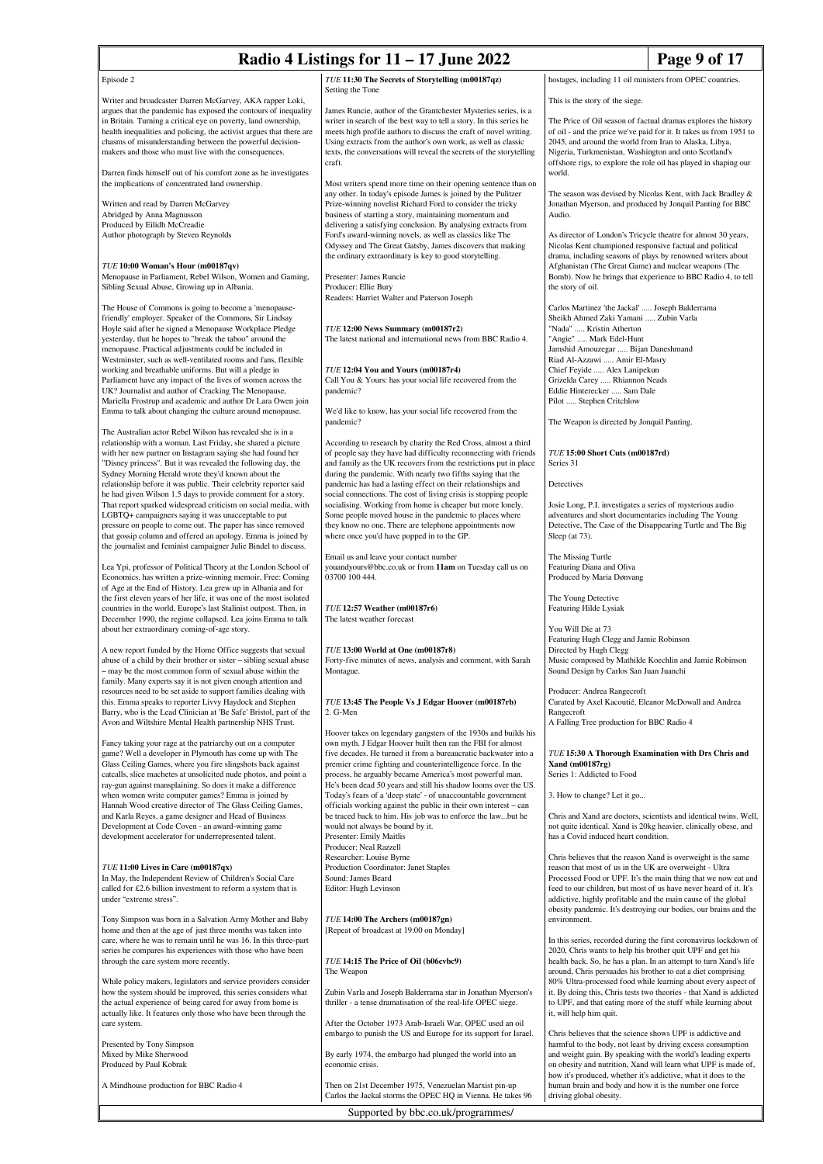## **Radio 4 Listings for 11 – 17 June 2022** Page 9 of 17

#### Episode 2

Writer and broadcaster Darren McGarvey, AKA rapper Loki, argues that the pandemic has exposed the contours of inequality in Britain. Turning a critical eye on poverty, land ownership, health inequalities and policing, the activist argues that there are chasms of misunderstanding between the powerful decisionmakers and those who must live with the consequences

Darren finds himself out of his comfort zone as he investigates the implications of concentrated land ownership.

Written and read by Darren McGarvey Abridged by Anna Magnusson Produced by Eilidh McCreadie Author photograph by Steven Reynolds

### *TUE* **10:00 Woman's Hour (m00187qv)**

Menopause in Parliament, Rebel Wilson, Women and Gaming, Sibling Sexual Abuse, Growing up in Albania.

The House of Commons is going to become a 'menopausefriendly' employer. Speaker of the Commons, Sir Lindsay Hoyle said after he signed a Menopause Workplace Pledge yesterday, that he hopes to "break the taboo" around the menopause. Practical adjustments could be included in Westminster, such as well-ventilated rooms and fans, flexible working and breathable uniforms. But will a pledge in Parliament have any impact of the lives of women across the UK? Journalist and author of Cracking The Menopause, Mariella Frostrup and academic and author Dr Lara Owen join Emma to talk about changing the culture around menopause.

The Australian actor Rebel Wilson has revealed she is in a relationship with a woman. Last Friday, she shared a picture with her new partner on Instagram saying she had found her "Disney princess". But it was revealed the following day, the Sydney Morning Herald wrote they'd known about the relationship before it was public. Their celebrity reporter said he had given Wilson 1.5 days to provide comment for a story. That report sparked widespread criticism on social media, with LGBTQ+ campaigners saying it was unacceptable to put pressure on people to come out. The paper has since removed that gossip column and offered an apology. Emma is joined by the journalist and feminist campaigner Julie Bindel to discuss

Lea Ypi, professor of Political Theory at the London School of Economics, has written a prize-winning memoir, Free: Coming of Age at the End of History. Lea grew up in Albania and for the first eleven years of her life, it was one of the most isolated countries in the world, Europe's last Stalinist outpost. Then, in December 1990, the regime collapsed. Lea joins Emma to talk about her extraordinary coming-of-age story.

A new report funded by the Home Office suggests that sexual abuse of a child by their brother or sister – sibling sexual abuse – may be the most common form of sexual abuse within the family. Many experts say it is not given enough attention and resources need to be set aside to support families dealing with this. Emma speaks to reporter Livvy Haydock and Stephen Barry, who is the Lead Clinician at 'Be Safe' Bristol, part of the Avon and Wiltshire Mental Health partnership NHS Trust.

Fancy taking your rage at the patriarchy out on a computer game? Well a developer in Plymouth has come up with The Glass Ceiling Games, where you fire slingshots back against catcalls, slice machetes at unsolicited nude photos, and point a ray-gun against mansplaining. So does it make a difference when women write computer games? Emma is joined by Hannah Wood creative director of The Glass Ceiling Games, and Karla Reyes, a game designer and Head of Business Development at Code Coven - an award-winning game development accelerator for underrepresented talent.

#### *TUE* **11:00 Lives in Care (m00187qx)**

In May, the Independent Review of Children's Social Care called for £2.6 billion investment to reform a system that is under "extreme stress".

Tony Simpson was born in a Salvation Army Mother and Baby home and then at the age of just three months was taken into care, where he was to remain until he was 16. In this three-part series he compares his experiences with those who have been through the care system more recently.

While policy makers, legislators and service providers consider how the system should be improved, this series considers what the actual experience of being cared for away from home is actually like. It features only those who have been through the care system.

Presented by Tony Simpson Mixed by Mike Sherwood Produced by Paul Kobrak

A Mindhouse production for BBC Radio 4

*TUE* **11:30 The Secrets of Storytelling (m00187qz)** Setting the Tone

James Runcie, author of the Grantchester Mysteries series, is a writer in search of the best way to tell a story. In this series he meets high profile authors to discuss the craft of novel writing. Using extracts from the author's own work, as well as classic texts, the conversations will reveal the secrets of the storytelling craft.

Most writers spend more time on their opening sentence than on any other. In today's episode James is joined by the Pulitzer Prize-winning novelist Richard Ford to consider the tricky business of starting a story, maintaining momentum and delivering a satisfying conclusion. By analysing extracts from Ford's award-winning novels, as well as classics like The Odyssey and The Great Gatsby, James discovers that making the ordinary extraordinary is key to good storytelling.

Presenter: James Runcie Producer: Ellie Bury Readers: Harriet Walter and Paterson Joseph

*TUE* **12:00 News Summary (m00187r2)** The latest national and international news from BBC Radio 4.

*TUE* **12:04 You and Yours (m00187r4)** Call You & Yours: has your social life recovered from the pandemic?

We'd like to know, has your social life recovered from the pandemic?

According to research by charity the Red Cross, almost a third of people say they have had difficulty reconnecting with friends and family as the UK recovers from the restrictions put in place during the pandemic. With nearly two fifths saying that the pandemic has had a lasting effect on their relationships and social connections. The cost of living crisis is stopping people socialising. Working from home is cheaper but more lonely. Some people moved house in the pandemic to places where they know no one. There are telephone appointments now where once you'd have popped in to the GP.

Email us and leave your contact number youandyours@bbc.co.uk or from **11am** on Tuesday call us on 03700 100 444.

*TUE* **12:57 Weather (m00187r6)** The latest weather forecast

*TUE* **13:00 World at One (m00187r8)** Forty-five minutes of news, analysis and comment, with Sarah Montague.

#### *TUE* **13:45 The People Vs J Edgar Hoover (m00187rb)** 2. G-Men

Hoover takes on legendary gangsters of the 1930s and builds his own myth. J Edgar Hoover built then ran the FBI for almost five decades. He turned it from a bureaucratic backwater into a premier crime fighting and counterintelligence force. In the process, he arguably became America's most powerful man. He's been dead 50 years and still his shadow looms over the US. Today's fears of a 'deep state' - of unaccountable government officials working against the public in their own interest – can be traced back to him. His job was to enforce the law...but he would not always be bound by it. Presenter: Emily Maitlis Producer: Neal Razzell Researcher: Louise Byrne Production Coordinator: Janet Staples Sound: James Beard Editor: Hugh Levinson

*TUE* **14:00 The Archers (m00187gn)** [Repeat of broadcast at 19:00 on Monday]

#### *TUE* **14:15 The Price of Oil (b06cvbc9)** The Weapon

Zubin Varla and Joseph Balderrama star in Jonathan Myerson's thriller - a tense dramatisation of the real-life OPEC siege.

After the October 1973 Arab-Israeli War, OPEC used an oil embargo to punish the US and Europe for its support for Israel.

By early 1974, the embargo had plunged the world into an economic crisis.

Then on 21st December 1975, Venezuelan Marxist pin-up Carlos the Jackal storms the OPEC HO in Vienna. He takes 96

Supported by bbc.co.uk/programmes/

hostages, including 11 oil ministers from OPEC countries.

This is the story of the siege.

The Price of Oil season of factual dramas explores the history of oil - and the price we've paid for it. It takes us from 1951 to 2045, and around the world from Iran to Alaska, Libya, Nigeria, Turkmenistan, Washington and onto Scotland's offshore rigs, to explore the role oil has played in shaping our world.

The season was devised by Nicolas Kent, with Jack Bradley & Jonathan Myerson, and produced by Jonquil Panting for BBC Audio.

As director of London's Tricycle theatre for almost 30 years, Nicolas Kent championed responsive factual and political drama, including seasons of plays by renowned writers about Afghanistan (The Great Game) and nuclear weapons (The Bomb). Now he brings that experience to BBC Radio 4, to tell the story of oil.

Carlos Martinez 'the Jackal' ..... Joseph Balderrama Sheikh Ahmed Zaki Yamani ..... Zubin Varla "Nada" ..... Kristin Atherton "Angie" ..... Mark Edel-Hunt Jamshid Amouzegar ..... Bijan Daneshmand Riad Al-Azzawi ..... Amir El-Masry Chief Feyide ..... Alex Lanipekun Grizelda Carey ..... Rhiannon Neads Eddie Hinterecker ..... Sam Dale Pilot ..... Stephen Critchlow

The Weapon is directed by Jonquil Panting.

*TUE* **15:00 Short Cuts (m00187rd)** Series 31

**Detectives** 

Josie Long, P.I. investigates a series of mysterious audio adventures and short documentaries including The Young Detective, The Case of the Disappearing Turtle and The Big Sleep (at 73).

The Missing Turtle Featuring Diana and Oliva Produced by Maria Dønvang

The Young Detective Featuring Hilde Lysiak

You Will Die at 73 Featuring Hugh Clegg and Jamie Robinson Directed by Hugh Clegg Music composed by Mathilde Koechlin and Jamie Robinson Sound Design by Carlos San Juan Juanchi

Producer: Andrea Rangecroft Curated by Axel Kacoutié, Eleanor McDowall and Andrea Rangecroft A Falling Tree production for BBC Radio 4

*TUE* **15:30 A Thorough Examination with Drs Chris and Xand (m00187rg)** Series 1: Addicted to Food

3. How to change? Let it go...

Chris and Xand are doctors, scientists and identical twins. Well, not quite identical. Xand is 20kg heavier, clinically obese, and has a Covid induced heart condition.

Chris believes that the reason Xand is overweight is the same reason that most of us in the UK are overweight - Ultra Processed Food or UPF. It's the main thing that we now eat and feed to our children, but most of us have never heard of it. It's addictive, highly profitable and the main cause of the global obesity pandemic. It's destroying our bodies, our brains and the environment.

In this series, recorded during the first coronavirus lockdown of 2020, Chris wants to help his brother quit UPF and get his health back. So, he has a plan. In an attempt to turn Xand's life around, Chris persuades his brother to eat a diet comprising 80% Ultra-processed food while learning about every aspect of it. By doing this, Chris tests two theories - that Xand is addicted to UPF, and that eating more of the stuff while learning about it, will help him quit.

Chris believes that the science shows UPF is addictive and harmful to the body, not least by driving excess consumption and weight gain. By speaking with the world's leading experts on obesity and nutrition, Xand will learn what UPF is made of, how it's produced, whether it's addictive, what it does to the human brain and body and how it is the number one force driving global obesity.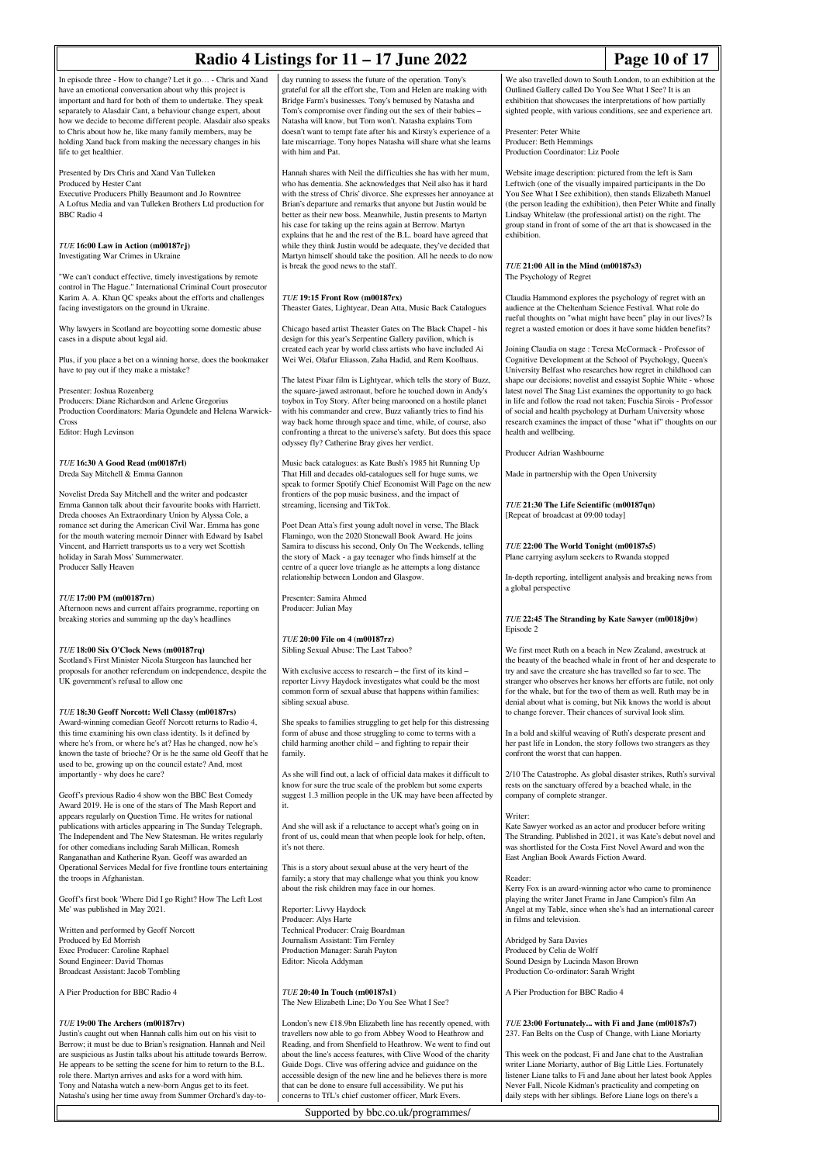# **Radio 4 Listings for 11 – 17 June 2022** Page 10 of 17

In episode three - How to change? Let it go… - Chris and Xand have an emotional conversation about why this project is important and hard for both of them to undertake. They speak separately to Alasdair Cant, a behaviour change expert, about how we decide to become different people. Alasdair also speaks to Chris about how he, like many family members, may be holding Xand back from making the necessary changes in his life to get healthier.

Presented by Drs Chris and Xand Van Tulleken Produced by Hester Cant Executive Producers Philly Beaumont and Jo Rowntree

A Loftus Media and van Tulleken Brothers Ltd production for BBC Radio 4

*TUE* **16:00 Law in Action (m00187rj)** Investigating War Crimes in Ukraine

"We can't conduct effective, timely investigations by remote control in The Hague." International Criminal Court prosecutor Karim A. A. Khan QC speaks about the efforts and challenges facing investigators on the ground in Ukraine.

Why lawyers in Scotland are boycotting some domestic abuse cases in a dispute about legal aid.

Plus, if you place a bet on a winning horse, does the bookmaker have to pay out if they make a mistake?

Presenter: Joshua Rozenberg Producers: Diane Richardson and Arlene Gregorius Production Coordinators: Maria Ogundele and Helena Warwick-Cross

Editor: Hugh Levinson

*TUE* **16:30 A Good Read (m00187rl)** Dreda Say Mitchell & Emma Gannon

Novelist Dreda Say Mitchell and the writer and podcaster Emma Gannon talk about their favourite books with Harriett. Dreda chooses An Extraordinary Union by Alyssa Cole, a romance set during the American Civil War. Emma has gone for the mouth watering memoir Dinner with Edward by Isabel Vincent, and Harriett transports us to a very wet Scottish holiday in Sarah Moss' Summerwater. Producer Sally Heaven

### *TUE* **17:00 PM (m00187rn)**

Afternoon news and current affairs programme, reporting on breaking stories and summing up the day's headlines

### *TUE* **18:00 Six O'Clock News (m00187rq)**

Scotland's First Minister Nicola Sturgeon has launched her proposals for another referendum on independence, despite the UK government's refusal to allow one

#### *TUE* **18:30 Geoff Norcott: Well Classy (m00187rs)**

Award-winning comedian Geoff Norcott returns to Radio 4, this time examining his own class identity. Is it defined by where he's from, or where he's at? Has he changed, now he's known the taste of brioche? Or is he the same old Geoff that he used to be, growing up on the council estate? And, most importantly - why does he care?

Geoff's previous Radio 4 show won the BBC Best Comedy Award 2019. He is one of the stars of The Mash Report and appears regularly on Question Time. He writes for national publications with articles appearing in The Sunday Telegraph The Independent and The New Statesman. He writes regularly for other comedians including Sarah Millican, Romesh Ranganathan and Katherine Ryan. Geoff was awarded an Operational Services Medal for five frontline tours entertaining the troops in Afghanistan

Geoff's first book 'Where Did I go Right? How The Left Lost Me' was published in May 2021.

Written and performed by Geoff Norcott Produced by Ed Morrish Exec Producer: Caroline Raphael Sound Engineer: David Tho Broadcast Assistant: Jacob Tombling

A Pier Production for BBC Radio 4

#### *TUE* **19:00 The Archers (m00187rv)**

Justin's caught out when Hannah calls him out on his visit to Berrow; it must be due to Brian's resignation. Hannah and Neil are suspicious as Justin talks about his attitude towards Berrow. He appears to be setting the scene for him to return to the B.L. role there. Martyn arrives and asks for a word with him. Tony and Natasha watch a new-born Angus get to its feet. Natasha's using her time away from Summer Orchard's day-today running to assess the future of the operation. Tony's grateful for all the effort she, Tom and Helen are making with Bridge Farm's businesses. Tony's bemused by Natasha and Tom's compromise over finding out the sex of their babies – Natasha will know, but Tom won't. Natasha explains Tom doesn't want to tempt fate after his and Kirsty's experience of a late miscarriage. Tony hopes Natasha will share what she learns with him and Pat.

Hannah shares with Neil the difficulties she has with her mum, who has dementia. She acknowledges that Neil also has it hard with the stress of Chris' divorce. She expresses her annoyance at Brian's departure and remarks that anyone but Justin would be better as their new boss. Meanwhile, Justin presents to Martyn his case for taking up the reins again at Berrow. Martyn explains that he and the rest of the B.L. board have agreed that while they think Justin would be adequate, they've decided that Martyn himself should take the position. All he needs to do now is break the good news to the staff.

#### *TUE* **19:15 Front Row (m00187rx)**

Theaster Gates, Lightyear, Dean Atta, Music Back Catalogues

Chicago based artist Theaster Gates on The Black Chapel - his design for this year's Serpentine Gallery pavilion, which is created each year by world class artists who have included Ai Wei Wei, Olafur Eliasson, Zaha Hadid, and Rem Koolhau

The latest Pixar film is Lightyear, which tells the story of Buzz, the square-jawed astronaut, before he touched down in Andy's toybox in Toy Story. After being marooned on a hostile planet with his commander and crew, Buzz valiantly tries to find his way back home through space and time, while, of course, also confronting a threat to the universe's safety. But does this space odyssey fly? Catherine Bray gives her verdict.

Music back catalogues: as Kate Bush's 1985 hit Running Up That Hill and decades old-catalogues sell for huge sums, we speak to former Spotify Chief Economist Will Page on the new frontiers of the pop music business, and the impact of streaming, licensing and TikTok.

Poet Dean Atta's first young adult novel in verse, The Black Flamingo, won the 2020 Stonewall Book Award. He joins Samira to discuss his second, Only On The Weekends, telling the story of Mack - a gay teenager who finds himself at the centre of a queer love triangle as he attempts a long distance relationship between London and Glasgow.

Presenter: Samira Ahmed Producer: Julian May

#### *TUE* **20:00 File on 4 (m00187rz)** Sibling Sexual Abuse: The Last Taboo?

With exclusive access to research – the first of its kind – reporter Livvy Haydock investigates what could be the most common form of sexual abuse that happens within families: sibling sexual abuse.

She speaks to families struggling to get help for this distressing form of abuse and those struggling to come to terms with a child harming another child – and fighting to repair their family.

As she will find out, a lack of official data makes it difficult to know for sure the true scale of the problem but some experts suggest 1.3 million people in the UK may have been affected by it.

And she will ask if a reluctance to accept what's going on in front of us, could mean that when people look for help, often, it's not there.

This is a story about sexual abuse at the very heart of the family; a story that may challenge what you think you know about the risk children may face in our homes.

Reporter: Livvy Haydock Producer: Alys Harte Technical Producer: Craig Boardman Journalism Assistant: Tim Fernley Production Manager: Sarah Payton Editor: Nicola Addyman

*TUE* **20:40 In Touch (m00187s1)** The New Elizabeth Line; Do You See What I See?

London's new £18.9bn Elizabeth line has recently opened, with travellers now able to go from Abbey Wood to Heathrow and Reading, and from Shenfield to Heathrow. We went to find out about the line's access features, with Clive Wood of the charity Guide Dogs. Clive was offering advice and guidance on the accessible design of the new line and he believes there is more that can be done to ensure full accessibility. We put his concerns to TfL's chief customer officer, Mark Evers.

Supported by bbc.co.uk/programmes/

We also travelled down to South London, to an exhibition at the Outlined Gallery called Do You See What I See? It is an exhibition that showcases the interpretations of how partially sighted people, with various conditions, see and experience art.

Presenter: Peter White Producer: Beth Hemmings Production Coordinator: Liz Poole

Website image description: pictured from the left is Sam Leftwich (one of the visually impaired participants in the Do You See What I See exhibition), then stands Elizabeth Mar (the person leading the exhibition), then Peter White and finally Lindsay Whitelaw (the professional artist) on the right. The group stand in front of some of the art that is showcased in the exhibition.

*TUE* **21:00 All in the Mind (m00187s3)** The Psychology of Regret

Claudia Hammond explores the psychology of regret with an audience at the Cheltenham Science Festival. What role do rueful thoughts on "what might have been" play in our lives? Is regret a wasted emotion or does it have some hidden benefits?

Joining Claudia on stage : Teresa McCormack - Professor of Cognitive Development at the School of Psychology, Queen's University Belfast who researches how regret in childhood can shape our decisions; novelist and essayist Sophie White - whose latest novel The Snag List examines the opportunity to go back in life and follow the road not taken; Fuschia Sirois - Professor of social and health psychology at Durham University whose research examines the impact of those "what if" thoughts on our health and wellbeing.

Producer Adrian Washbourne

Made in partnership with the Open University

*TUE* **21:30 The Life Scientific (m00187qn)** [Repeat of broadcast at 09:00 today]

*TUE* **22:00 The World Tonight (m00187s5)** Plane carrying asylum seekers to Rwanda stopped

In-depth reporting, intelligent analysis and breaking news from a global perspective

*TUE* **22:45 The Stranding by Kate Sawyer (m0018j0w)** Episode 2

We first meet Ruth on a beach in New Zealand, awestruck at the beauty of the beached whale in front of her and desperate to try and save the creature she has travelled so far to see. The stranger who observes her knows her efforts are futile, not only for the whale, but for the two of them as well. Ruth may be in denial about what is coming, but Nik knows the world is about to change forever. Their chances of survival look slim.

In a bold and skilful weaving of Ruth's desperate present and her past life in London, the story follows two strangers as they confront the worst that can happen.

2/10 The Catastrophe. As global disaster strikes, Ruth's survival rests on the sanctuary offered by a beached whale, in the company of complete stranger.

#### Writer:

Kate Sawyer worked as an actor and producer before writing The Stranding. Published in 2021, it was Kate's debut novel and was shortlisted for the Costa First Novel Award and won the East Anglian Book Awards Fiction Award.

Reader:

Kerry Fox is an award-winning actor who came to prominence playing the writer Janet Frame in Jane Campion's film An Angel at my Table, since when she's had an international career in films and television.

Abridged by Sara Davies Produced by Celia de Wolff Sound Design by Lucinda Mason Brown Production Co-ordinator: Sarah Wright

A Pier Production for BBC Radio 4

*TUE* **23:00 Fortunately... with Fi and Jane (m00187s7)** 237. Fan Belts on the Cusp of Change, with Liane Moriarty

This week on the podcast, Fi and Jane chat to the Australian writer Liane Moriarty, author of Big Little Lies. Fortunately listener Liane talks to Fi and Jane about her latest book Apples Never Fall, Nicole Kidman's practicality and competing on daily steps with her siblings. Before Liane logs on there's a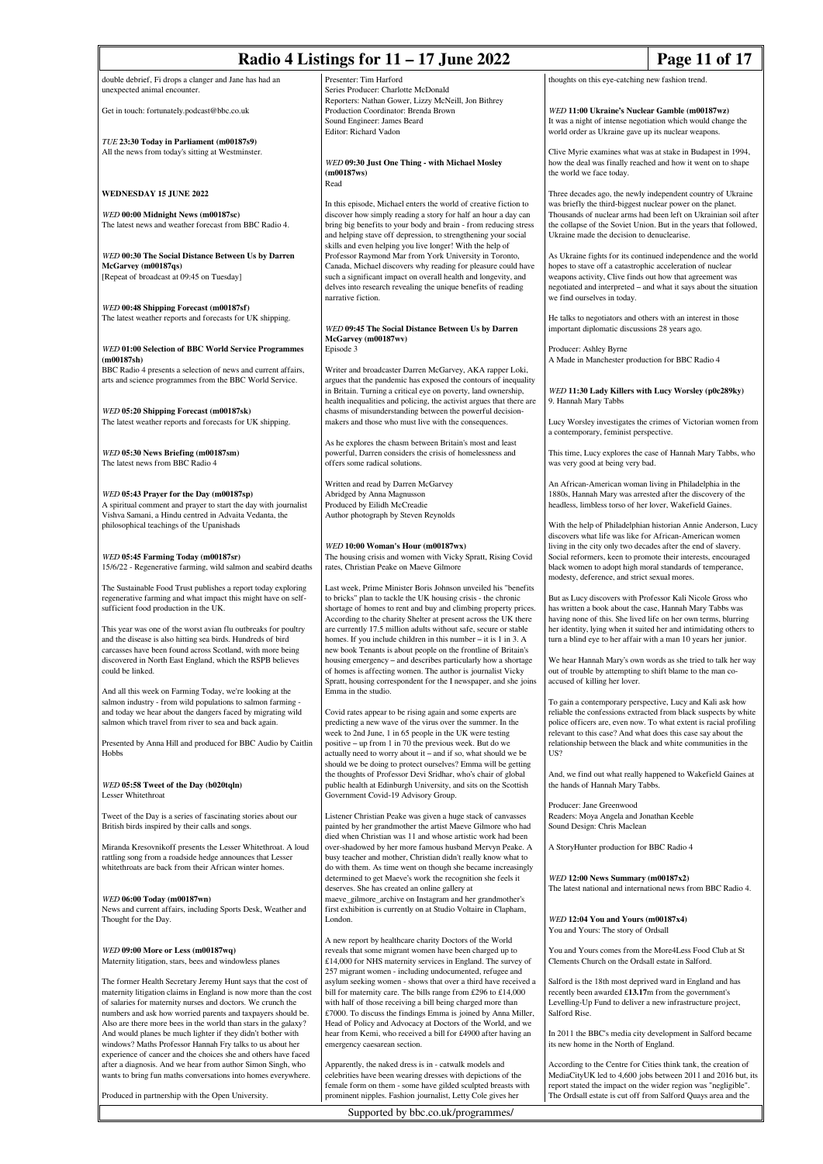| Radio 4 Listings for $11 - 17$ June 2022<br>Page 11 of 17                                                                       |                                                                                                                                    |                                                                                                                                   |                                                                   |
|---------------------------------------------------------------------------------------------------------------------------------|------------------------------------------------------------------------------------------------------------------------------------|-----------------------------------------------------------------------------------------------------------------------------------|-------------------------------------------------------------------|
| double debrief, Fi drops a clanger and Jane has had an                                                                          | Presenter: Tim Harford                                                                                                             | thoughts on this eye-catching new fashion trend.                                                                                  |                                                                   |
| unexpected animal encounter.                                                                                                    | Series Producer: Charlotte McDonald<br>Reporters: Nathan Gower, Lizzy McNeill, Jon Bithrey                                         |                                                                                                                                   |                                                                   |
| Get in touch: fortunately.podcast@bbc.co.uk                                                                                     | Production Coordinator: Brenda Brown                                                                                               | WED 11:00 Ukraine's Nuclear Gamble (m00187wz)                                                                                     |                                                                   |
|                                                                                                                                 | Sound Engineer: James Beard<br>Editor: Richard Vadon                                                                               | It was a night of intense negotiation which would change the<br>world order as Ukraine gave up its nuclear weapons.               |                                                                   |
| TUE 23:30 Today in Parliament (m00187s9)                                                                                        |                                                                                                                                    |                                                                                                                                   |                                                                   |
| All the news from today's sitting at Westminster.                                                                               | WED 09:30 Just One Thing - with Michael Mosley                                                                                     | Clive Myrie examines what was at stake in Budapest in 1994,<br>how the deal was finally reached and how it went on to shape       |                                                                   |
|                                                                                                                                 | $(m00187$ <sub>WS</sub> $)$                                                                                                        | the world we face today.                                                                                                          |                                                                   |
| <b>WEDNESDAY 15 JUNE 2022</b>                                                                                                   | Read                                                                                                                               | Three decades ago, the newly independent country of Ukraine                                                                       |                                                                   |
| WED 00:00 Midnight News (m00187sc)                                                                                              | In this episode, Michael enters the world of creative fiction to<br>discover how simply reading a story for half an hour a day can | was briefly the third-biggest nuclear power on the planet.                                                                        | Thousands of nuclear arms had been left on Ukrainian soil after   |
| The latest news and weather forecast from BBC Radio 4.                                                                          | bring big benefits to your body and brain - from reducing stress                                                                   |                                                                                                                                   | the collapse of the Soviet Union. But in the years that followed, |
|                                                                                                                                 | and helping stave off depression, to strengthening your social<br>skills and even helping you live longer! With the help of        | Ukraine made the decision to denuclearise.                                                                                        |                                                                   |
| WED 00:30 The Social Distance Between Us by Darren                                                                              | Professor Raymond Mar from York University in Toronto,                                                                             |                                                                                                                                   | As Ukraine fights for its continued independence and the world    |
| McGarvey (m00187qs)<br>[Repeat of broadcast at 09:45 on Tuesday]                                                                | Canada, Michael discovers why reading for pleasure could have<br>such a significant impact on overall health and longevity, and    | hopes to stave off a catastrophic acceleration of nuclear<br>weapons activity, Clive finds out how that agreement was             |                                                                   |
|                                                                                                                                 | delves into research revealing the unique benefits of reading                                                                      |                                                                                                                                   | negotiated and interpreted – and what it says about the situation |
| WED 00:48 Shipping Forecast (m00187sf)                                                                                          | narrative fiction.                                                                                                                 | we find ourselves in today.                                                                                                       |                                                                   |
| The latest weather reports and forecasts for UK shipping.                                                                       | WED 09:45 The Social Distance Between Us by Darren                                                                                 | He talks to negotiators and others with an interest in those<br>important diplomatic discussions 28 years ago.                    |                                                                   |
|                                                                                                                                 | McGarvey (m00187wv)                                                                                                                |                                                                                                                                   |                                                                   |
| <b>WED 01:00 Selection of BBC World Service Programmes</b><br>(m00187sh)                                                        | Episode 3                                                                                                                          | Producer: Ashley Byrne<br>A Made in Manchester production for BBC Radio 4                                                         |                                                                   |
| BBC Radio 4 presents a selection of news and current affairs,                                                                   | Writer and broadcaster Darren McGarvey, AKA rapper Loki,                                                                           |                                                                                                                                   |                                                                   |
| arts and science programmes from the BBC World Service.                                                                         | argues that the pandemic has exposed the contours of inequality<br>in Britain. Turning a critical eye on poverty, land ownership,  | WED 11:30 Lady Killers with Lucy Worsley (p0c289ky)                                                                               |                                                                   |
|                                                                                                                                 | health inequalities and policing, the activist argues that there are                                                               | 9. Hannah Mary Tabbs                                                                                                              |                                                                   |
| WED 05:20 Shipping Forecast (m00187sk)<br>The latest weather reports and forecasts for UK shipping.                             | chasms of misunderstanding between the powerful decision-<br>makers and those who must live with the consequences.                 |                                                                                                                                   | Lucy Worsley investigates the crimes of Victorian women from      |
|                                                                                                                                 |                                                                                                                                    | a contemporary, feminist perspective.                                                                                             |                                                                   |
| WED 05:30 News Briefing (m00187sm)                                                                                              | As he explores the chasm between Britain's most and least<br>powerful, Darren considers the crisis of homelessness and             | This time, Lucy explores the case of Hannah Mary Tabbs, who                                                                       |                                                                   |
| The latest news from BBC Radio 4                                                                                                | offers some radical solutions.                                                                                                     | was very good at being very bad.                                                                                                  |                                                                   |
|                                                                                                                                 | Written and read by Darren McGarvey                                                                                                | An African-American woman living in Philadelphia in the                                                                           |                                                                   |
| WED 05:43 Prayer for the Day (m00187sp)<br>A spiritual comment and prayer to start the day with journalist                      | Abridged by Anna Magnusson<br>Produced by Eilidh McCreadie                                                                         | 1880s, Hannah Mary was arrested after the discovery of the<br>headless, limbless torso of her lover, Wakefield Gaines.            |                                                                   |
| Vishva Samani, a Hindu centred in Advaita Vedanta, the                                                                          | Author photograph by Steven Reynolds                                                                                               |                                                                                                                                   |                                                                   |
| philosophical teachings of the Upanishads                                                                                       |                                                                                                                                    | discovers what life was like for African-American women                                                                           | With the help of Philadelphian historian Annie Anderson, Lucy     |
|                                                                                                                                 | WED 10:00 Woman's Hour (m00187wx)                                                                                                  | living in the city only two decades after the end of slavery.                                                                     |                                                                   |
| WED 05:45 Farming Today (m00187sr)<br>15/6/22 - Regenerative farming, wild salmon and seabird deaths                            | The housing crisis and women with Vicky Spratt, Rising Covid<br>rates, Christian Peake on Maeve Gilmore                            | Social reformers, keen to promote their interests, encouraged<br>black women to adopt high moral standards of temperance,         |                                                                   |
| The Sustainable Food Trust publishes a report today exploring                                                                   | Last week, Prime Minister Boris Johnson unveiled his "benefits                                                                     | modesty, deference, and strict sexual mores.                                                                                      |                                                                   |
| regenerative farming and what impact this might have on self-                                                                   | to bricks" plan to tackle the UK housing crisis - the chronic                                                                      | But as Lucy discovers with Professor Kali Nicole Gross who                                                                        |                                                                   |
| sufficient food production in the UK.                                                                                           | shortage of homes to rent and buy and climbing property prices.<br>According to the charity Shelter at present across the UK there | has written a book about the case, Hannah Mary Tabbs was<br>having none of this. She lived life on her own terms, blurring        |                                                                   |
| This year was one of the worst avian flu outbreaks for poultry                                                                  | are currently 17.5 million adults without safe, secure or stable                                                                   | her identity, lying when it suited her and intimidating others to                                                                 |                                                                   |
| and the disease is also hitting sea birds. Hundreds of bird<br>carcasses have been found across Scotland, with more being       | homes. If you include children in this number – it is 1 in 3. A<br>new book Tenants is about people on the frontline of Britain's  | turn a blind eye to her affair with a man 10 years her junior.                                                                    |                                                                   |
| discovered in North East England, which the RSPB believes<br>could be linked.                                                   | housing emergency – and describes particularly how a shortage<br>of homes is affecting women. The author is journalist Vicky       | We hear Hannah Mary's own words as she tried to talk her way<br>out of trouble by attempting to shift blame to the man co-        |                                                                   |
|                                                                                                                                 | Spratt, housing correspondent for the I newspaper, and she joins                                                                   | accused of killing her lover.                                                                                                     |                                                                   |
| And all this week on Farming Today, we're looking at the<br>salmon industry - from wild populations to salmon farming -         | Emma in the studio.                                                                                                                | To gain a contemporary perspective, Lucy and Kali ask how                                                                         |                                                                   |
| and today we hear about the dangers faced by migrating wild<br>salmon which travel from river to sea and back again.            | Covid rates appear to be rising again and some experts are<br>predicting a new wave of the virus over the summer. In the           | reliable the confessions extracted from black suspects by white                                                                   |                                                                   |
|                                                                                                                                 | week to 2nd June, 1 in 65 people in the UK were testing                                                                            | police officers are, even now. To what extent is racial profiling<br>relevant to this case? And what does this case say about the |                                                                   |
| Presented by Anna Hill and produced for BBC Audio by Caitlin<br>Hobbs                                                           | positive – up from 1 in 70 the previous week. But do we<br>actually need to worry about it – and if so, what should we be          | relationship between the black and white communities in the<br>US?                                                                |                                                                   |
|                                                                                                                                 | should we be doing to protect ourselves? Emma will be getting                                                                      |                                                                                                                                   |                                                                   |
| WED 05:58 Tweet of the Day (b020tqln)                                                                                           | the thoughts of Professor Devi Sridhar, who's chair of global<br>public health at Edinburgh University, and sits on the Scottish   | And, we find out what really happened to Wakefield Gaines at<br>the hands of Hannah Mary Tabbs.                                   |                                                                   |
| Lesser Whitethroat                                                                                                              | Government Covid-19 Advisory Group.                                                                                                |                                                                                                                                   |                                                                   |
| Tweet of the Day is a series of fascinating stories about our                                                                   | Listener Christian Peake was given a huge stack of canvasses                                                                       | Producer: Jane Greenwood<br>Readers: Moya Angela and Jonathan Keeble                                                              |                                                                   |
| British birds inspired by their calls and songs.                                                                                | painted by her grandmother the artist Maeve Gilmore who had<br>died when Christian was 11 and whose artistic work had been         | Sound Design: Chris Maclean                                                                                                       |                                                                   |
| Miranda Kresovnikoff presents the Lesser Whitethroat. A loud                                                                    | over-shadowed by her more famous husband Mervyn Peake. A                                                                           | A StoryHunter production for BBC Radio 4                                                                                          |                                                                   |
| rattling song from a roadside hedge announces that Lesser<br>whitethroats are back from their African winter homes.             | busy teacher and mother, Christian didn't really know what to<br>do with them. As time went on though she became increasingly      |                                                                                                                                   |                                                                   |
|                                                                                                                                 | determined to get Maeve's work the recognition she feels it                                                                        | <b>WED 12:00 News Summary (m00187x2)</b><br>The latest national and international news from BBC Radio 4.                          |                                                                   |
| WED 06:00 Today (m00187wn)                                                                                                      | deserves. She has created an online gallery at<br>maeve_gilmore_archive on Instagram and her grandmother's                         |                                                                                                                                   |                                                                   |
| News and current affairs, including Sports Desk, Weather and<br>Thought for the Day.                                            | first exhibition is currently on at Studio Voltaire in Clapham,<br>London.                                                         | <b>WED 12:04 You and Yours (m00187x4)</b>                                                                                         |                                                                   |
|                                                                                                                                 |                                                                                                                                    | You and Yours: The story of Ordsall                                                                                               |                                                                   |
| WED 09:00 More or Less (m00187wq)                                                                                               | A new report by healthcare charity Doctors of the World<br>reveals that some migrant women have been charged up to                 | You and Yours comes from the More4Less Food Club at St                                                                            |                                                                   |
| Maternity litigation, stars, bees and windowless planes                                                                         | £14,000 for NHS maternity services in England. The survey of                                                                       | Clements Church on the Ordsall estate in Salford.                                                                                 |                                                                   |
| The former Health Secretary Jeremy Hunt says that the cost of                                                                   | 257 migrant women - including undocumented, refugee and<br>asylum seeking women - shows that over a third have received a          | Salford is the 18th most deprived ward in England and has                                                                         |                                                                   |
| maternity litigation claims in England is now more than the cost<br>of salaries for maternity nurses and doctors. We crunch the | bill for maternity care. The bills range from £296 to £14,000<br>with half of those receiving a bill being charged more than       | recently been awarded £13.17m from the government's<br>Levelling-Up Fund to deliver a new infrastructure project,                 |                                                                   |
| numbers and ask how worried parents and taxpayers should be.                                                                    | £7000. To discuss the findings Emma is joined by Anna Miller,                                                                      | Salford Rise.                                                                                                                     |                                                                   |
| Also are there more bees in the world than stars in the galaxy?<br>And would planes be much lighter if they didn't bother with  | Head of Policy and Advocacy at Doctors of the World, and we<br>hear from Kemi, who received a bill for £4900 after having an       | In 2011 the BBC's media city development in Salford became                                                                        |                                                                   |
| windows? Maths Professor Hannah Fry talks to us about her                                                                       | emergency caesarean section.                                                                                                       | its new home in the North of England.                                                                                             |                                                                   |
| experience of cancer and the choices she and others have faced<br>after a diagnosis. And we hear from author Simon Singh, who   | Apparently, the naked dress is in - catwalk models and                                                                             | According to the Centre for Cities think tank, the creation of                                                                    |                                                                   |
| wants to bring fun maths conversations into homes everywhere.                                                                   | celebrities have been wearing dresses with depictions of the<br>female form on them - some have gilded sculpted breasts with       | report stated the impact on the wider region was "negligible".                                                                    | MediaCityUK led to 4,600 jobs between 2011 and 2016 but, its      |
| Produced in partnership with the Open University.                                                                               | prominent nipples. Fashion journalist, Letty Cole gives her                                                                        | The Ordsall estate is cut off from Salford Quays area and the                                                                     |                                                                   |
|                                                                                                                                 | Supported by bbc.co.uk/programmes/                                                                                                 |                                                                                                                                   |                                                                   |
|                                                                                                                                 |                                                                                                                                    |                                                                                                                                   |                                                                   |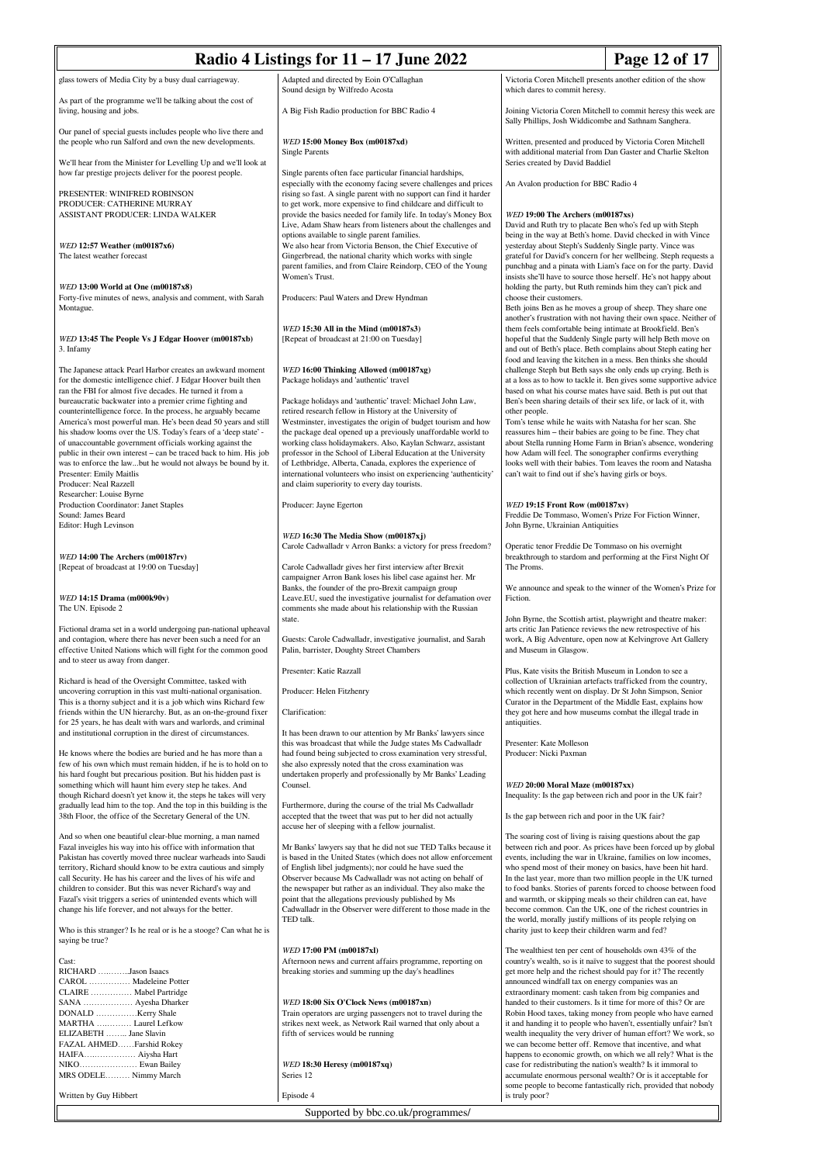| Radio 4 Listings for $11 - 17$ June 2022                                                                                                                                                                                                                                                                                                                                                                                                                                                                                                                                                          |                                                                                                                                                                                                                                                                                                                                                                                                                                                                                                                                |                                                                                                                                                                                                                                                                                                                                                                                                                                                                                              | Page 12 of 17                                                                                                                                                                                                                                                                                                                                                                                                                                                                 |
|---------------------------------------------------------------------------------------------------------------------------------------------------------------------------------------------------------------------------------------------------------------------------------------------------------------------------------------------------------------------------------------------------------------------------------------------------------------------------------------------------------------------------------------------------------------------------------------------------|--------------------------------------------------------------------------------------------------------------------------------------------------------------------------------------------------------------------------------------------------------------------------------------------------------------------------------------------------------------------------------------------------------------------------------------------------------------------------------------------------------------------------------|----------------------------------------------------------------------------------------------------------------------------------------------------------------------------------------------------------------------------------------------------------------------------------------------------------------------------------------------------------------------------------------------------------------------------------------------------------------------------------------------|-------------------------------------------------------------------------------------------------------------------------------------------------------------------------------------------------------------------------------------------------------------------------------------------------------------------------------------------------------------------------------------------------------------------------------------------------------------------------------|
| glass towers of Media City by a busy dual carriageway.                                                                                                                                                                                                                                                                                                                                                                                                                                                                                                                                            | Adapted and directed by Eoin O'Callaghan<br>Sound design by Wilfredo Acosta                                                                                                                                                                                                                                                                                                                                                                                                                                                    | which dares to commit heresy.                                                                                                                                                                                                                                                                                                                                                                                                                                                                | Victoria Coren Mitchell presents another edition of the show                                                                                                                                                                                                                                                                                                                                                                                                                  |
| As part of the programme we'll be talking about the cost of<br>living, housing and jobs.                                                                                                                                                                                                                                                                                                                                                                                                                                                                                                          | A Big Fish Radio production for BBC Radio 4                                                                                                                                                                                                                                                                                                                                                                                                                                                                                    | Sally Phillips, Josh Widdicombe and Sathnam Sanghera.                                                                                                                                                                                                                                                                                                                                                                                                                                        | Joining Victoria Coren Mitchell to commit heresy this week are                                                                                                                                                                                                                                                                                                                                                                                                                |
| Our panel of special guests includes people who live there and<br>the people who run Salford and own the new developments.                                                                                                                                                                                                                                                                                                                                                                                                                                                                        | WED 15:00 Money Box (m00187xd)                                                                                                                                                                                                                                                                                                                                                                                                                                                                                                 | Written, presented and produced by Victoria Coren Mitchell<br>with additional material from Dan Gaster and Charlie Skelton                                                                                                                                                                                                                                                                                                                                                                   |                                                                                                                                                                                                                                                                                                                                                                                                                                                                               |
| We'll hear from the Minister for Levelling Up and we'll look at<br>how far prestige projects deliver for the poorest people.                                                                                                                                                                                                                                                                                                                                                                                                                                                                      | <b>Single Parents</b><br>Single parents often face particular financial hardships,                                                                                                                                                                                                                                                                                                                                                                                                                                             | Series created by David Baddiel                                                                                                                                                                                                                                                                                                                                                                                                                                                              |                                                                                                                                                                                                                                                                                                                                                                                                                                                                               |
| PRESENTER: WINIFRED ROBINSON<br>PRODUCER: CATHERINE MURRAY                                                                                                                                                                                                                                                                                                                                                                                                                                                                                                                                        | especially with the economy facing severe challenges and prices<br>rising so fast. A single parent with no support can find it harder<br>to get work, more expensive to find childcare and difficult to                                                                                                                                                                                                                                                                                                                        | An Avalon production for BBC Radio 4                                                                                                                                                                                                                                                                                                                                                                                                                                                         |                                                                                                                                                                                                                                                                                                                                                                                                                                                                               |
| ASSISTANT PRODUCER: LINDA WALKER                                                                                                                                                                                                                                                                                                                                                                                                                                                                                                                                                                  | provide the basics needed for family life. In today's Money Box<br>Live, Adam Shaw hears from listeners about the challenges and<br>options available to single parent families.                                                                                                                                                                                                                                                                                                                                               | WED 19:00 The Archers (m00187xs)<br>David and Ruth try to placate Ben who's fed up with Steph                                                                                                                                                                                                                                                                                                                                                                                                | being in the way at Beth's home. David checked in with Vince                                                                                                                                                                                                                                                                                                                                                                                                                  |
| WED 12:57 Weather (m00187x6)<br>The latest weather forecast                                                                                                                                                                                                                                                                                                                                                                                                                                                                                                                                       | We also hear from Victoria Benson, the Chief Executive of<br>Gingerbread, the national charity which works with single<br>parent families, and from Claire Reindorp, CEO of the Young<br>Women's Trust.                                                                                                                                                                                                                                                                                                                        | yesterday about Steph's Suddenly Single party. Vince was                                                                                                                                                                                                                                                                                                                                                                                                                                     | grateful for David's concern for her wellbeing. Steph requests a<br>punchbag and a pinata with Liam's face on for the party. David<br>insists she'll have to source those herself. He's not happy about                                                                                                                                                                                                                                                                       |
| WED 13:00 World at One (m00187x8)<br>Forty-five minutes of news, analysis and comment, with Sarah<br>Montague.                                                                                                                                                                                                                                                                                                                                                                                                                                                                                    | Producers: Paul Waters and Drew Hyndman                                                                                                                                                                                                                                                                                                                                                                                                                                                                                        | holding the party, but Ruth reminds him they can't pick and<br>choose their customers.<br>Beth joins Ben as he moves a group of sheep. They share one<br>another's frustration with not having their own space. Neither of<br>them feels comfortable being intimate at Brookfield. Ben's<br>hopeful that the Suddenly Single party will help Beth move on<br>and out of Beth's place. Beth complains about Steph eating her<br>food and leaving the kitchen in a mess. Ben thinks she should |                                                                                                                                                                                                                                                                                                                                                                                                                                                                               |
| WED 13:45 The People Vs J Edgar Hoover (m00187xb)<br>3. Infamy                                                                                                                                                                                                                                                                                                                                                                                                                                                                                                                                    | <i>WED</i> 15:30 All in the Mind (m00187s3)<br>[Repeat of broadcast at 21:00 on Tuesday]                                                                                                                                                                                                                                                                                                                                                                                                                                       |                                                                                                                                                                                                                                                                                                                                                                                                                                                                                              |                                                                                                                                                                                                                                                                                                                                                                                                                                                                               |
| The Japanese attack Pearl Harbor creates an awkward moment<br>for the domestic intelligence chief. J Edgar Hoover built then<br>ran the FBI for almost five decades. He turned it from a                                                                                                                                                                                                                                                                                                                                                                                                          | WED 16:00 Thinking Allowed (m00187xg)<br>Package holidays and 'authentic' travel                                                                                                                                                                                                                                                                                                                                                                                                                                               |                                                                                                                                                                                                                                                                                                                                                                                                                                                                                              | challenge Steph but Beth says she only ends up crying. Beth is<br>at a loss as to how to tackle it. Ben gives some supportive advice<br>based on what his course mates have said. Beth is put out that                                                                                                                                                                                                                                                                        |
| bureaucratic backwater into a premier crime fighting and<br>counterintelligence force. In the process, he arguably became<br>America's most powerful man. He's been dead 50 years and still<br>his shadow looms over the US. Today's fears of a 'deep state' -<br>of unaccountable government officials working against the<br>public in their own interest – can be traced back to him. His job<br>was to enforce the lawbut he would not always be bound by it.<br>Presenter: Emily Maitlis                                                                                                     | Package holidays and 'authentic' travel: Michael John Law,<br>retired research fellow in History at the University of<br>Westminster, investigates the origin of budget tourism and how<br>the package deal opened up a previously unaffordable world to<br>working class holidaymakers. Also, Kaylan Schwarz, assistant<br>professor in the School of Liberal Education at the University<br>of Lethbridge, Alberta, Canada, explores the experience of<br>international volunteers who insist on experiencing 'authenticity' | other people.<br>Tom's tense while he waits with Natasha for her scan. She<br>reassures him – their babies are going to be fine. They chat<br>how Adam will feel. The sonographer confirms everything<br>can't wait to find out if she's having girls or boys.                                                                                                                                                                                                                               | Ben's been sharing details of their sex life, or lack of it, with<br>about Stella running Home Farm in Brian's absence, wondering<br>looks well with their babies. Tom leaves the room and Natasha                                                                                                                                                                                                                                                                            |
| Producer: Neal Razzell<br>Researcher: Louise Byrne<br>Production Coordinator: Janet Staples                                                                                                                                                                                                                                                                                                                                                                                                                                                                                                       | and claim superiority to every day tourists.<br>Producer: Jayne Egerton                                                                                                                                                                                                                                                                                                                                                                                                                                                        | WED 19:15 Front Row (m00187xv)                                                                                                                                                                                                                                                                                                                                                                                                                                                               |                                                                                                                                                                                                                                                                                                                                                                                                                                                                               |
| Sound: James Beard<br>Editor: Hugh Levinson                                                                                                                                                                                                                                                                                                                                                                                                                                                                                                                                                       |                                                                                                                                                                                                                                                                                                                                                                                                                                                                                                                                | Freddie De Tommaso, Women's Prize For Fiction Winner,<br>John Byrne, Ukrainian Antiquities                                                                                                                                                                                                                                                                                                                                                                                                   |                                                                                                                                                                                                                                                                                                                                                                                                                                                                               |
| WED 14:00 The Archers (m00187rv)                                                                                                                                                                                                                                                                                                                                                                                                                                                                                                                                                                  | WED 16:30 The Media Show (m00187xj)<br>Carole Cadwalladr v Arron Banks: a victory for press freedom?                                                                                                                                                                                                                                                                                                                                                                                                                           | Operatic tenor Freddie De Tommaso on his overnight                                                                                                                                                                                                                                                                                                                                                                                                                                           | breakthrough to stardom and performing at the First Night Of                                                                                                                                                                                                                                                                                                                                                                                                                  |
| [Repeat of broadcast at 19:00 on Tuesday]                                                                                                                                                                                                                                                                                                                                                                                                                                                                                                                                                         | Carole Cadwalladr gives her first interview after Brexit<br>campaigner Arron Bank loses his libel case against her. Mr<br>Banks, the founder of the pro-Brexit campaign group                                                                                                                                                                                                                                                                                                                                                  | The Proms.                                                                                                                                                                                                                                                                                                                                                                                                                                                                                   | We announce and speak to the winner of the Women's Prize for                                                                                                                                                                                                                                                                                                                                                                                                                  |
| WED 14:15 Drama (m000k90v)<br>The UN. Episode 2                                                                                                                                                                                                                                                                                                                                                                                                                                                                                                                                                   | Leave.EU, sued the investigative journalist for defamation over<br>comments she made about his relationship with the Russian<br>state.                                                                                                                                                                                                                                                                                                                                                                                         | Fiction.                                                                                                                                                                                                                                                                                                                                                                                                                                                                                     | John Byrne, the Scottish artist, playwright and theatre maker:                                                                                                                                                                                                                                                                                                                                                                                                                |
| Fictional drama set in a world undergoing pan-national upheaval<br>and contagion, where there has never been such a need for an<br>effective United Nations which will fight for the common good<br>and to steer us away from danger.                                                                                                                                                                                                                                                                                                                                                             | Guests: Carole Cadwalladr, investigative journalist, and Sarah<br>Palin, barrister, Doughty Street Chambers                                                                                                                                                                                                                                                                                                                                                                                                                    | arts critic Jan Patience reviews the new retrospective of his<br>and Museum in Glasgow.                                                                                                                                                                                                                                                                                                                                                                                                      | work, A Big Adventure, open now at Kelvingrove Art Gallery                                                                                                                                                                                                                                                                                                                                                                                                                    |
| Richard is head of the Oversight Committee, tasked with<br>uncovering corruption in this vast multi-national organisation.<br>This is a thorny subject and it is a job which wins Richard few<br>friends within the UN hierarchy. But, as an on-the-ground fixer<br>for 25 years, he has dealt with wars and warlords, and criminal<br>and institutional corruption in the direst of circumstances.                                                                                                                                                                                               | Presenter: Katie Razzall<br>Producer: Helen Fitzhenry<br>Clarification:                                                                                                                                                                                                                                                                                                                                                                                                                                                        | Plus, Kate visits the British Museum in London to see a<br>which recently went on display. Dr St John Simpson, Senior<br>Curator in the Department of the Middle East, explains how<br>they got here and how museums combat the illegal trade in<br>antiquities.                                                                                                                                                                                                                             | collection of Ukrainian artefacts trafficked from the country,                                                                                                                                                                                                                                                                                                                                                                                                                |
| He knows where the bodies are buried and he has more than a<br>few of his own which must remain hidden, if he is to hold on to                                                                                                                                                                                                                                                                                                                                                                                                                                                                    | It has been drawn to our attention by Mr Banks' lawyers since<br>this was broadcast that while the Judge states Ms Cadwalladr<br>had found being subjected to cross examination very stressful,<br>she also expressly noted that the cross examination was                                                                                                                                                                                                                                                                     | Presenter: Kate Molleson<br>Producer: Nicki Paxman                                                                                                                                                                                                                                                                                                                                                                                                                                           |                                                                                                                                                                                                                                                                                                                                                                                                                                                                               |
| his hard fought but precarious position. But his hidden past is<br>something which will haunt him every step he takes. And<br>though Richard doesn't yet know it, the steps he takes will very                                                                                                                                                                                                                                                                                                                                                                                                    | undertaken properly and professionally by Mr Banks' Leading<br>Counsel.                                                                                                                                                                                                                                                                                                                                                                                                                                                        | WED 20:00 Moral Maze (m00187xx)<br>Inequality: Is the gap between rich and poor in the UK fair?                                                                                                                                                                                                                                                                                                                                                                                              |                                                                                                                                                                                                                                                                                                                                                                                                                                                                               |
| gradually lead him to the top. And the top in this building is the<br>38th Floor, the office of the Secretary General of the UN.                                                                                                                                                                                                                                                                                                                                                                                                                                                                  | Furthermore, during the course of the trial Ms Cadwalladr<br>accepted that the tweet that was put to her did not actually<br>accuse her of sleeping with a fellow journalist.                                                                                                                                                                                                                                                                                                                                                  | Is the gap between rich and poor in the UK fair?                                                                                                                                                                                                                                                                                                                                                                                                                                             |                                                                                                                                                                                                                                                                                                                                                                                                                                                                               |
| And so when one beautiful clear-blue morning, a man named<br>Fazal inveigles his way into his office with information that<br>Pakistan has covertly moved three nuclear warheads into Saudi<br>territory, Richard should know to be extra cautious and simply<br>call Security. He has his career and the lives of his wife and<br>children to consider. But this was never Richard's way and<br>Fazal's visit triggers a series of unintended events which will<br>change his life forever, and not always for the better.<br>Who is this stranger? Is he real or is he a stooge? Can what he is | Mr Banks' lawyers say that he did not sue TED Talks because it<br>is based in the United States (which does not allow enforcement<br>of English libel judgments); nor could he have sued the<br>Observer because Ms Cadwalladr was not acting on behalf of<br>the newspaper but rather as an individual. They also make the<br>point that the allegations previously published by Ms<br>Cadwalladr in the Observer were different to those made in the<br>TED talk.                                                            | The soaring cost of living is raising questions about the gap<br>the world, morally justify millions of its people relying on<br>charity just to keep their children warm and fed?                                                                                                                                                                                                                                                                                                           | between rich and poor. As prices have been forced up by global<br>events, including the war in Ukraine, families on low incomes,<br>who spend most of their money on basics, have been hit hard.<br>In the last year, more than two million people in the UK turned<br>to food banks. Stories of parents forced to choose between food<br>and warmth, or skipping meals so their children can eat, have<br>become common. Can the UK, one of the richest countries in         |
| saying be true?                                                                                                                                                                                                                                                                                                                                                                                                                                                                                                                                                                                   | WED 17:00 PM (m00187xl)                                                                                                                                                                                                                                                                                                                                                                                                                                                                                                        | The wealthiest ten per cent of households own 43% of the                                                                                                                                                                                                                                                                                                                                                                                                                                     |                                                                                                                                                                                                                                                                                                                                                                                                                                                                               |
| Cast:<br>RICHARD Jason Isaacs<br>CAROL  Madeleine Potter<br>CLAIRE  Mabel Partridge<br>SANA  Ayesha Dharker<br>DONALD Kerry Shale<br>MARTHA  Laurel Lefkow<br>ELIZABETH  Jane Slavin<br>FAZAL AHMEDFarshid Rokey<br>HAIFA Aiysha Hart                                                                                                                                                                                                                                                                                                                                                             | Afternoon news and current affairs programme, reporting on<br>breaking stories and summing up the day's headlines<br>WED 18:00 Six O'Clock News (m00187xn)<br>Train operators are urging passengers not to travel during the<br>strikes next week, as Network Rail warned that only about a<br>fifth of services would be running                                                                                                                                                                                              | announced windfall tax on energy companies was an<br>extraordinary moment: cash taken from big companies and<br>we can become better off. Remove that incentive, and what                                                                                                                                                                                                                                                                                                                    | country's wealth, so is it naïve to suggest that the poorest should<br>get more help and the richest should pay for it? The recently<br>handed to their customers. Is it time for more of this? Or are<br>Robin Hood taxes, taking money from people who have earned<br>it and handing it to people who haven't, essentially unfair? Isn't<br>wealth inequality the very driver of human effort? We work, so<br>happens to economic growth, on which we all rely? What is the |
| NIKO Ewan Bailey<br>MRS ODELE Nimmy March                                                                                                                                                                                                                                                                                                                                                                                                                                                                                                                                                         | WED 18:30 Heresy (m00187xq)<br>Series 12                                                                                                                                                                                                                                                                                                                                                                                                                                                                                       | case for redistributing the nation's wealth? Is it immoral to                                                                                                                                                                                                                                                                                                                                                                                                                                | accumulate enormous personal wealth? Or is it acceptable for<br>some people to become fantastically rich, provided that nobody                                                                                                                                                                                                                                                                                                                                                |
| Written by Guy Hibbert                                                                                                                                                                                                                                                                                                                                                                                                                                                                                                                                                                            | Episode 4                                                                                                                                                                                                                                                                                                                                                                                                                                                                                                                      | is truly poor?                                                                                                                                                                                                                                                                                                                                                                                                                                                                               |                                                                                                                                                                                                                                                                                                                                                                                                                                                                               |
|                                                                                                                                                                                                                                                                                                                                                                                                                                                                                                                                                                                                   | Supported by bbc.co.uk/programmes/                                                                                                                                                                                                                                                                                                                                                                                                                                                                                             |                                                                                                                                                                                                                                                                                                                                                                                                                                                                                              |                                                                                                                                                                                                                                                                                                                                                                                                                                                                               |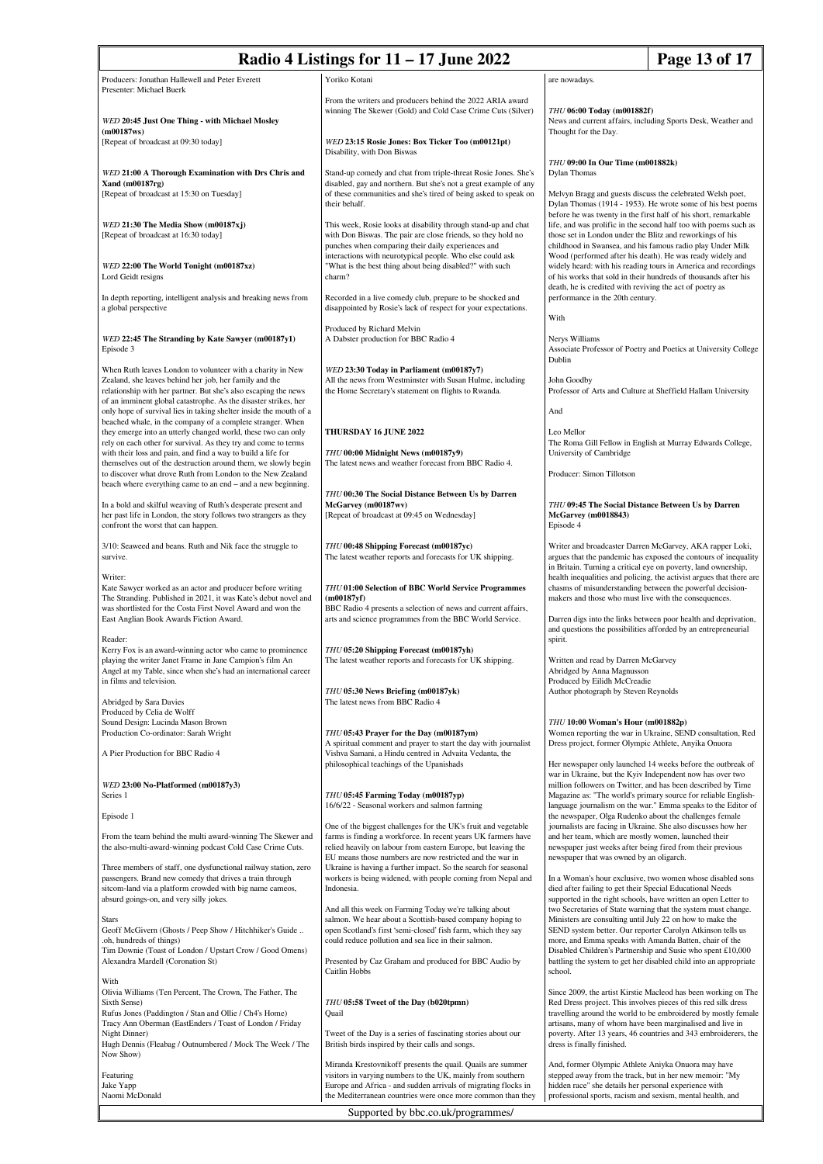| Producers: Jonathan Hallewell and Peter Everett<br>Yoriko Kotani<br>are nowadays.<br>Presenter: Michael Buerk<br>From the writers and producers behind the 2022 ARIA award<br>winning The Skewer (Gold) and Cold Case Crime Cuts (Silver)<br>THU 06:00 Today (m001882f)<br>News and current affairs, including Sports Desk, Weather and<br>WED 20:45 Just One Thing - with Michael Mosley<br>$(m00187$ ws)<br>Thought for the Day.<br>[Repeat of broadcast at 09:30 today]<br>WED 23:15 Rosie Jones: Box Ticker Too (m00121pt)<br>Disability, with Don Biswas<br>THU 09:00 In Our Time (m001882k)<br>WED 21:00 A Thorough Examination with Drs Chris and<br>Stand-up comedy and chat from triple-threat Rosie Jones. She's<br>Dylan Thomas |  |
|--------------------------------------------------------------------------------------------------------------------------------------------------------------------------------------------------------------------------------------------------------------------------------------------------------------------------------------------------------------------------------------------------------------------------------------------------------------------------------------------------------------------------------------------------------------------------------------------------------------------------------------------------------------------------------------------------------------------------------------------|--|
|                                                                                                                                                                                                                                                                                                                                                                                                                                                                                                                                                                                                                                                                                                                                            |  |
|                                                                                                                                                                                                                                                                                                                                                                                                                                                                                                                                                                                                                                                                                                                                            |  |
|                                                                                                                                                                                                                                                                                                                                                                                                                                                                                                                                                                                                                                                                                                                                            |  |
|                                                                                                                                                                                                                                                                                                                                                                                                                                                                                                                                                                                                                                                                                                                                            |  |
|                                                                                                                                                                                                                                                                                                                                                                                                                                                                                                                                                                                                                                                                                                                                            |  |
| Xand (m00187rg)<br>disabled, gay and northern. But she's not a great example of any<br>[Repeat of broadcast at 15:30 on Tuesday]<br>of these communities and she's tired of being asked to speak on<br>Melvyn Bragg and guests discuss the celebrated Welsh poet,<br>Dylan Thomas (1914 - 1953). He wrote some of his best poems<br>their behalf.<br>before he was twenty in the first half of his short, remarkable                                                                                                                                                                                                                                                                                                                       |  |
| WED 21:30 The Media Show (m00187xj)<br>This week, Rosie looks at disability through stand-up and chat<br>life, and was prolific in the second half too with poems such as<br>[Repeat of broadcast at 16:30 today]<br>with Don Biswas. The pair are close friends, so they hold no<br>those set in London under the Blitz and reworkings of his<br>punches when comparing their daily experiences and<br>childhood in Swansea, and his famous radio play Under Milk                                                                                                                                                                                                                                                                         |  |
| interactions with neurotypical people. Who else could ask<br>Wood (performed after his death). He was ready widely and<br>"What is the best thing about being disabled?" with such<br>WED 22:00 The World Tonight (m00187xz)<br>widely heard: with his reading tours in America and recordings<br>Lord Geidt resigns<br>charm?<br>of his works that sold in their hundreds of thousands after his<br>death, he is credited with reviving the act of poetry as                                                                                                                                                                                                                                                                              |  |
| In depth reporting, intelligent analysis and breaking news from<br>Recorded in a live comedy club, prepare to be shocked and<br>performance in the 20th century.<br>disappointed by Rosie's lack of respect for your expectations.<br>a global perspective<br>With                                                                                                                                                                                                                                                                                                                                                                                                                                                                         |  |
| Produced by Richard Melvin<br>WED 22:45 The Stranding by Kate Sawyer (m00187y1)<br>A Dabster production for BBC Radio 4<br>Nerys Williams<br>Associate Professor of Poetry and Poetics at University College<br>Episode 3                                                                                                                                                                                                                                                                                                                                                                                                                                                                                                                  |  |
| Dublin                                                                                                                                                                                                                                                                                                                                                                                                                                                                                                                                                                                                                                                                                                                                     |  |
| When Ruth leaves London to volunteer with a charity in New<br>WED 23:30 Today in Parliament (m00187y7)<br>Zealand, she leaves behind her job, her family and the<br>All the news from Westminster with Susan Hulme, including<br>John Goodby<br>relationship with her partner. But she's also escaping the news<br>the Home Secretary's statement on flights to Rwanda.<br>Professor of Arts and Culture at Sheffield Hallam University<br>of an imminent global catastrophe. As the disaster strikes, her                                                                                                                                                                                                                                 |  |
| only hope of survival lies in taking shelter inside the mouth of a<br>And<br>beached whale, in the company of a complete stranger. When<br>THURSDAY 16 JUNE 2022<br>Leo Mellor<br>they emerge into an utterly changed world, these two can only                                                                                                                                                                                                                                                                                                                                                                                                                                                                                            |  |
| rely on each other for survival. As they try and come to terms<br>The Roma Gill Fellow in English at Murray Edwards College,<br>THU 00:00 Midnight News (m00187y9)<br>University of Cambridge<br>with their loss and pain, and find a way to build a life for                                                                                                                                                                                                                                                                                                                                                                                                                                                                              |  |
| The latest news and weather forecast from BBC Radio 4.<br>themselves out of the destruction around them, we slowly begin<br>Producer: Simon Tillotson<br>to discover what drove Ruth from London to the New Zealand                                                                                                                                                                                                                                                                                                                                                                                                                                                                                                                        |  |
| beach where everything came to an end – and a new beginning.<br>THU 00:30 The Social Distance Between Us by Darren                                                                                                                                                                                                                                                                                                                                                                                                                                                                                                                                                                                                                         |  |
| McGarvey (m00187wv)<br>THU 09:45 The Social Distance Between Us by Darren<br>In a bold and skilful weaving of Ruth's desperate present and<br>McGarvey (m0018843)<br>her past life in London, the story follows two strangers as they<br>[Repeat of broadcast at 09:45 on Wednesday]<br>confront the worst that can happen.<br>Episode 4                                                                                                                                                                                                                                                                                                                                                                                                   |  |
| THU 00:48 Shipping Forecast (m00187yc)<br>3/10: Seaweed and beans. Ruth and Nik face the struggle to<br>Writer and broadcaster Darren McGarvey, AKA rapper Loki,<br>survive.<br>The latest weather reports and forecasts for UK shipping.<br>argues that the pandemic has exposed the contours of inequality<br>in Britain. Turning a critical eye on poverty, land ownership,                                                                                                                                                                                                                                                                                                                                                             |  |
| health inequalities and policing, the activist argues that there are<br>Writer:<br>THU 01:00 Selection of BBC World Service Programmes<br>chasms of misunderstanding between the powerful decision-<br>Kate Sawyer worked as an actor and producer before writing<br>The Stranding. Published in 2021, it was Kate's debut novel and<br>makers and those who must live with the consequences.<br>(m00187yf)<br>was shortlisted for the Costa First Novel Award and won the<br>BBC Radio 4 presents a selection of news and current affairs,                                                                                                                                                                                                |  |
| East Anglian Book Awards Fiction Award.<br>arts and science programmes from the BBC World Service.<br>Darren digs into the links between poor health and deprivation,<br>and questions the possibilities afforded by an entrepreneurial<br>spirit.                                                                                                                                                                                                                                                                                                                                                                                                                                                                                         |  |
| Reader:<br>Kerry Fox is an award-winning actor who came to prominence<br>THU 05:20 Shipping Forecast (m00187yh)                                                                                                                                                                                                                                                                                                                                                                                                                                                                                                                                                                                                                            |  |
| playing the writer Janet Frame in Jane Campion's film An<br>The latest weather reports and forecasts for UK shipping.<br>Written and read by Darren McGarvey<br>Angel at my Table, since when she's had an international career<br>Abridged by Anna Magnusson<br>in films and television.<br>Produced by Eilidh McCreadie                                                                                                                                                                                                                                                                                                                                                                                                                  |  |
| THU 05:30 News Briefing (m00187yk)<br>Author photograph by Steven Reynolds<br>Abridged by Sara Davies<br>The latest news from BBC Radio 4<br>Produced by Celia de Wolff                                                                                                                                                                                                                                                                                                                                                                                                                                                                                                                                                                    |  |
| THU 10:00 Woman's Hour (m001882p)<br>Sound Design: Lucinda Mason Brown                                                                                                                                                                                                                                                                                                                                                                                                                                                                                                                                                                                                                                                                     |  |
| THU 05:43 Prayer for the Day (m00187ym)<br>Women reporting the war in Ukraine, SEND consultation, Red<br>Production Co-ordinator: Sarah Wright<br>A spiritual comment and prayer to start the day with journalist<br>Dress project, former Olympic Athlete, Anyika Onuora<br>A Pier Production for BBC Radio 4<br>Vishva Samani, a Hindu centred in Advaita Vedanta, the                                                                                                                                                                                                                                                                                                                                                                   |  |
| philosophical teachings of the Upanishads<br>Her newspaper only launched 14 weeks before the outbreak of<br>war in Ukraine, but the Kyiv Independent now has over two                                                                                                                                                                                                                                                                                                                                                                                                                                                                                                                                                                      |  |
| million followers on Twitter, and has been described by Time<br>WED 23:00 No-Platformed (m00187y3)<br>Series 1<br>THU 05:45 Farming Today (m00187yp)<br>Magazine as: "The world's primary source for reliable English-<br>16/6/22 - Seasonal workers and salmon farming<br>language journalism on the war." Emma speaks to the Editor of                                                                                                                                                                                                                                                                                                                                                                                                   |  |
| Episode 1<br>the newspaper, Olga Rudenko about the challenges female<br>One of the biggest challenges for the UK's fruit and vegetable<br>journalists are facing in Ukraine. She also discusses how her                                                                                                                                                                                                                                                                                                                                                                                                                                                                                                                                    |  |
| From the team behind the multi award-winning The Skewer and<br>farms is finding a workforce. In recent years UK farmers have<br>and her team, which are mostly women, launched their<br>the also-multi-award-winning podcast Cold Case Crime Cuts.<br>newspaper just weeks after being fired from their previous<br>relied heavily on labour from eastern Europe, but leaving the<br>EU means those numbers are now restricted and the war in<br>newspaper that was owned by an oligarch.                                                                                                                                                                                                                                                  |  |
| Three members of staff, one dysfunctional railway station, zero<br>Ukraine is having a further impact. So the search for seasonal<br>passengers. Brand new comedy that drives a train through<br>workers is being widened, with people coming from Nepal and<br>In a Woman's hour exclusive, two women whose disabled sons<br>sitcom-land via a platform crowded with big name cameos,<br>Indonesia.<br>died after failing to get their Special Educational Needs                                                                                                                                                                                                                                                                          |  |
| absurd goings-on, and very silly jokes.<br>supported in the right schools, have written an open Letter to<br>And all this week on Farming Today we're talking about<br>two Secretaries of State warning that the system must change.                                                                                                                                                                                                                                                                                                                                                                                                                                                                                                       |  |
| salmon. We hear about a Scottish-based company hoping to<br>Ministers are consulting until July 22 on how to make the<br><b>Stars</b><br>Geoff McGivern (Ghosts / Peep Show / Hitchhiker's Guide<br>open Scotland's first 'semi-closed' fish farm, which they say<br>SEND system better. Our reporter Carolyn Atkinson tells us<br>more, and Emma speaks with Amanda Batten, chair of the<br>.oh, hundreds of things)<br>could reduce pollution and sea lice in their salmon.                                                                                                                                                                                                                                                              |  |
| Tim Downie (Toast of London / Upstart Crow / Good Omens)<br>Disabled Children's Partnership and Susie who spent £10,000<br>Alexandra Mardell (Coronation St)<br>Presented by Caz Graham and produced for BBC Audio by<br>battling the system to get her disabled child into an appropriate<br>Caitlin Hobbs<br>school.                                                                                                                                                                                                                                                                                                                                                                                                                     |  |
| With<br>Olivia Williams (Ten Percent, The Crown, The Father, The<br>Since 2009, the artist Kirstie Macleod has been working on The                                                                                                                                                                                                                                                                                                                                                                                                                                                                                                                                                                                                         |  |
| THU 05:58 Tweet of the Day (b020tpmn)<br>Red Dress project. This involves pieces of this red silk dress<br>Sixth Sense)<br>Rufus Jones (Paddington / Stan and Ollie / Ch4's Home)<br>travelling around the world to be embroidered by mostly female<br>Quail                                                                                                                                                                                                                                                                                                                                                                                                                                                                               |  |
| Tracy Ann Oberman (EastEnders / Toast of London / Friday<br>artisans, many of whom have been marginalised and live in<br>Night Dinner)<br>Tweet of the Day is a series of fascinating stories about our<br>poverty. After 13 years, 46 countries and 343 embroiderers, the                                                                                                                                                                                                                                                                                                                                                                                                                                                                 |  |
| Hugh Dennis (Fleabag / Outnumbered / Mock The Week / The<br>British birds inspired by their calls and songs.<br>dress is finally finished.<br>Now Show)                                                                                                                                                                                                                                                                                                                                                                                                                                                                                                                                                                                    |  |
| Miranda Krestovnikoff presents the quail. Quails are summer<br>And, former Olympic Athlete Aniyka Onuora may have<br>Featuring<br>visitors in varying numbers to the UK, mainly from southern<br>stepped away from the track, but in her new memoir: "My                                                                                                                                                                                                                                                                                                                                                                                                                                                                                   |  |
| Europe and Africa - and sudden arrivals of migrating flocks in<br>hidden race" she details her personal experience with<br>Jake Yapp<br>Naomi McDonald<br>professional sports, racism and sexism, mental health, and<br>the Mediterranean countries were once more common than they                                                                                                                                                                                                                                                                                                                                                                                                                                                        |  |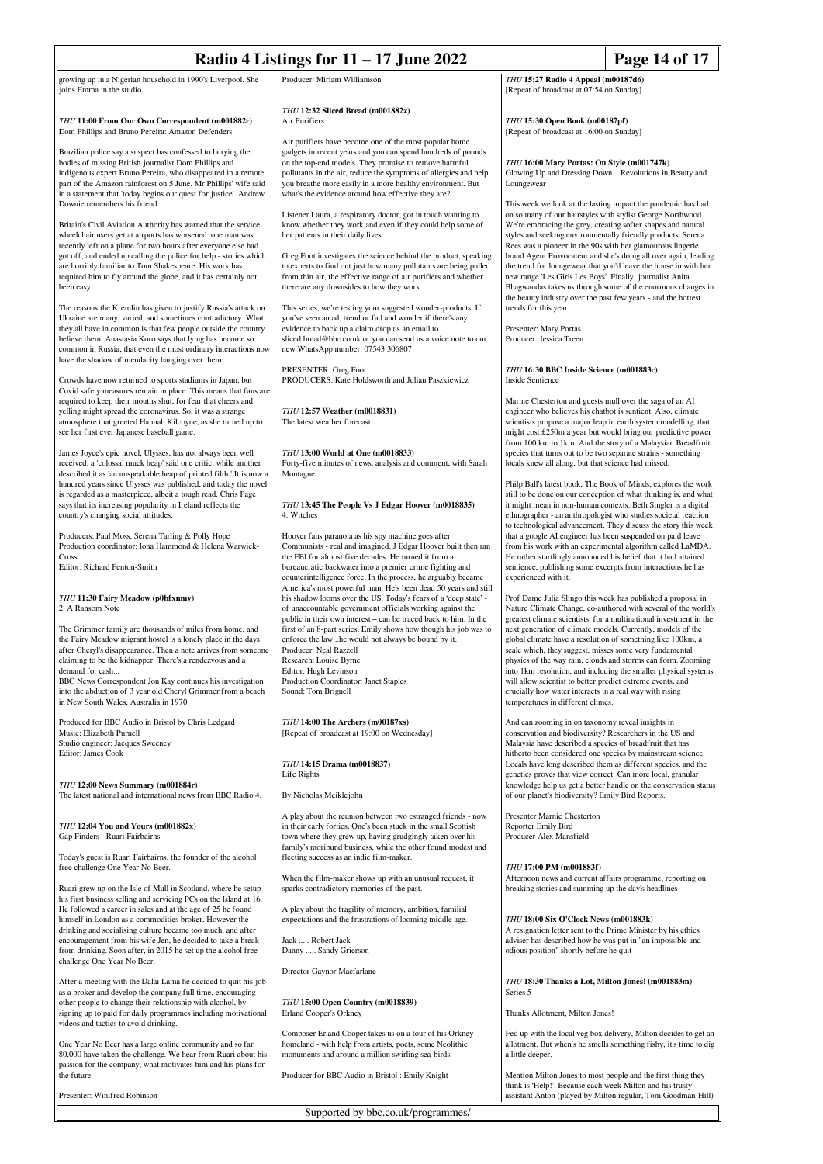| Radio 4 Listings for $11 - 17$ June 2022                                                                                                                                                                                                                                                                                                                                                                                                           |                                                                                                                                                                                                                                                                                                                                                                                                                          |                                                                                                                                                                                                                                                                                                                                                                                                                                                                                                                                                                                                                                                                                                                   | Page 14 of 17                                                                                                                                                                                  |
|----------------------------------------------------------------------------------------------------------------------------------------------------------------------------------------------------------------------------------------------------------------------------------------------------------------------------------------------------------------------------------------------------------------------------------------------------|--------------------------------------------------------------------------------------------------------------------------------------------------------------------------------------------------------------------------------------------------------------------------------------------------------------------------------------------------------------------------------------------------------------------------|-------------------------------------------------------------------------------------------------------------------------------------------------------------------------------------------------------------------------------------------------------------------------------------------------------------------------------------------------------------------------------------------------------------------------------------------------------------------------------------------------------------------------------------------------------------------------------------------------------------------------------------------------------------------------------------------------------------------|------------------------------------------------------------------------------------------------------------------------------------------------------------------------------------------------|
| growing up in a Nigerian household in 1990's Liverpool. She<br>joins Emma in the studio.                                                                                                                                                                                                                                                                                                                                                           | Producer: Miriam Williamson                                                                                                                                                                                                                                                                                                                                                                                              | THU 15:27 Radio 4 Appeal (m00187d6)<br>[Repeat of broadcast at 07:54 on Sunday]                                                                                                                                                                                                                                                                                                                                                                                                                                                                                                                                                                                                                                   |                                                                                                                                                                                                |
|                                                                                                                                                                                                                                                                                                                                                                                                                                                    | THU 12:32 Sliced Bread (m001882z)                                                                                                                                                                                                                                                                                                                                                                                        |                                                                                                                                                                                                                                                                                                                                                                                                                                                                                                                                                                                                                                                                                                                   |                                                                                                                                                                                                |
| THU 11:00 From Our Own Correspondent (m001882r)<br>Dom Phillips and Bruno Pereira: Amazon Defenders                                                                                                                                                                                                                                                                                                                                                | Air Purifiers                                                                                                                                                                                                                                                                                                                                                                                                            | THU 15:30 Open Book (m00187pf)<br>[Repeat of broadcast at 16:00 on Sunday]                                                                                                                                                                                                                                                                                                                                                                                                                                                                                                                                                                                                                                        |                                                                                                                                                                                                |
| Brazilian police say a suspect has confessed to burying the<br>bodies of missing British journalist Dom Phillips and<br>indigenous expert Bruno Pereira, who disappeared in a remote<br>part of the Amazon rainforest on 5 June. Mr Phillips' wife said<br>in a statement that 'today begins our quest for justice'. Andrew<br>Downie remembers his friend.                                                                                        | Air purifiers have become one of the most popular home<br>gadgets in recent years and you can spend hundreds of pounds<br>on the top-end models. They promise to remove harmful<br>pollutants in the air, reduce the symptoms of allergies and help<br>you breathe more easily in a more healthy environment. But<br>what's the evidence around how effective they are?                                                  | THU 16:00 Mary Portas: On Style (m001747k)<br>Glowing Up and Dressing Down Revolutions in Beauty and<br>Loungewear<br>This week we look at the lasting impact the pandemic has had<br>on so many of our hairstyles with stylist George Northwood.<br>We're embracing the grey, creating softer shapes and natural<br>styles and seeking environmentally friendly products. Serena<br>Rees was a pioneer in the 90s with her glamourous lingerie<br>brand Agent Provocateur and she's doing all over again, leading<br>the trend for loungewear that you'd leave the house in with her<br>new range 'Les Girls Les Boys'. Finally, journalist Anita<br>Bhagwandas takes us through some of the enormous changes in |                                                                                                                                                                                                |
| Britain's Civil Aviation Authority has warned that the service<br>wheelchair users get at airports has worsened: one man was<br>recently left on a plane for two hours after everyone else had<br>got off, and ended up calling the police for help - stories which<br>are horribly familiar to Tom Shakespeare. His work has<br>required him to fly around the globe, and it has certainly not<br>been easy.                                      | Listener Laura, a respiratory doctor, got in touch wanting to<br>know whether they work and even if they could help some of<br>her patients in their daily lives.<br>Greg Foot investigates the science behind the product, speaking<br>to experts to find out just how many pollutants are being pulled<br>from thin air, the effective range of air purifiers and whether<br>there are any downsides to how they work. |                                                                                                                                                                                                                                                                                                                                                                                                                                                                                                                                                                                                                                                                                                                   |                                                                                                                                                                                                |
| The reasons the Kremlin has given to justify Russia's attack on<br>Ukraine are many, varied, and sometimes contradictory. What<br>they all have in common is that few people outside the country<br>believe them. Anastasia Koro says that lying has become so<br>common in Russia, that even the most ordinary interactions now<br>have the shadow of mendacity hanging over them.                                                                | This series, we're testing your suggested wonder-products. If<br>you've seen an ad, trend or fad and wonder if there's any<br>evidence to back up a claim drop us an email to<br>sliced.bread@bbc.co.uk or you can send us a voice note to our<br>new WhatsApp number: 07543 306807                                                                                                                                      | the beauty industry over the past few years - and the hottest<br>trends for this year.<br>Presenter: Mary Portas<br>Producer: Jessica Treen                                                                                                                                                                                                                                                                                                                                                                                                                                                                                                                                                                       |                                                                                                                                                                                                |
| Crowds have now returned to sports stadiums in Japan, but<br>Covid safety measures remain in place. This means that fans are<br>required to keep their mouths shut, for fear that cheers and                                                                                                                                                                                                                                                       | PRESENTER: Greg Foot<br>PRODUCERS: Kate Holdsworth and Julian Paszkiewicz                                                                                                                                                                                                                                                                                                                                                | THU 16:30 BBC Inside Science (m001883c)<br><b>Inside Sentience</b><br>Marnie Chesterton and guests mull over the saga of an AI                                                                                                                                                                                                                                                                                                                                                                                                                                                                                                                                                                                    |                                                                                                                                                                                                |
| yelling might spread the coronavirus. So, it was a strange<br>atmosphere that greeted Hannah Kilcoyne, as she turned up to<br>see her first ever Japanese baseball game.                                                                                                                                                                                                                                                                           | THU 12:57 Weather (m0018831)<br>The latest weather forecast                                                                                                                                                                                                                                                                                                                                                              | engineer who believes his chatbot is sentient. Also, climate                                                                                                                                                                                                                                                                                                                                                                                                                                                                                                                                                                                                                                                      | scientists propose a major leap in earth system modelling, that<br>might cost £250m a year but would bring our predictive power<br>from 100 km to 1km. And the story of a Malaysian Breadfruit |
| James Joyce's epic novel, Ulysses, has not always been well<br>received: a 'colossal muck heap' said one critic, while another<br>described it as 'an unspeakable heap of printed filth.' It is now a<br>hundred years since Ulysses was published, and today the novel                                                                                                                                                                            | THU 13:00 World at One (m0018833)<br>Forty-five minutes of news, analysis and comment, with Sarah<br>Montague.                                                                                                                                                                                                                                                                                                           | species that turns out to be two separate strains - something<br>locals knew all along, but that science had missed.                                                                                                                                                                                                                                                                                                                                                                                                                                                                                                                                                                                              | Philp Ball's latest book, The Book of Minds, explores the work                                                                                                                                 |
| is regarded as a masterpiece, albeit a tough read. Chris Page<br>says that its increasing popularity in Ireland reflects the<br>country's changing social attitudes.                                                                                                                                                                                                                                                                               | THU 13:45 The People Vs J Edgar Hoover (m0018835)<br>4. Witches                                                                                                                                                                                                                                                                                                                                                          | still to be done on our conception of what thinking is, and what<br>it might mean in non-human contexts. Beth Singler is a digital<br>ethnographer - an anthropologist who studies societal reaction<br>to technological advancement. They discuss the story this week                                                                                                                                                                                                                                                                                                                                                                                                                                            |                                                                                                                                                                                                |
| Producers: Paul Moss, Serena Tarling & Polly Hope<br>Production coordinator: Iona Hammond & Helena Warwick-<br>Cross<br>Editor: Richard Fenton-Smith                                                                                                                                                                                                                                                                                               | Hoover fans paranoia as his spy machine goes after<br>Communists - real and imagined. J Edgar Hoover built then ran<br>the FBI for almost five decades. He turned it from a<br>bureaucratic backwater into a premier crime fighting and<br>counterintelligence force. In the process, he arguably became                                                                                                                 | that a google AI engineer has been suspended on paid leave<br>He rather startlingly announced his belief that it had attained<br>sentience, publishing some excerpts from interactions he has<br>experienced with it.                                                                                                                                                                                                                                                                                                                                                                                                                                                                                             | from his work with an experimental algorithm called LaMDA.                                                                                                                                     |
| THU 11:30 Fairy Meadow (p0bfxnmv)<br>2. A Ransom Note                                                                                                                                                                                                                                                                                                                                                                                              | America's most powerful man. He's been dead 50 years and still<br>his shadow looms over the US. Today's fears of a 'deep state' -<br>of unaccountable government officials working against the                                                                                                                                                                                                                           | Prof Dame Julia Slingo this week has published a proposal in                                                                                                                                                                                                                                                                                                                                                                                                                                                                                                                                                                                                                                                      | Nature Climate Change, co-authored with several of the world's                                                                                                                                 |
| The Grimmer family are thousands of miles from home, and<br>the Fairy Meadow migrant hostel is a lonely place in the days<br>after Cheryl's disappearance. Then a note arrives from someone<br>claiming to be the kidnapper. There's a rendezvous and a<br>demand for cash<br>BBC News Correspondent Jon Kay continues his investigation<br>into the abduction of 3 year old Cheryl Grimmer from a beach<br>in New South Wales, Australia in 1970. | public in their own interest – can be traced back to him. In the<br>first of an 8-part series, Emily shows how though his job was to<br>enforce the lawhe would not always be bound by it.<br>Producer: Neal Razzell<br>Research: Louise Byrne<br>Editor: Hugh Levinson<br>Production Coordinator: Janet Staples<br>Sound: Tom Brignell                                                                                  | greatest climate scientists, for a multinational investment in the<br>next generation of climate models. Currently, models of the<br>global climate have a resolution of something like 100km, a<br>scale which, they suggest, misses some very fundamental<br>physics of the way rain, clouds and storms can form. Zooming<br>into 1km resolution, and including the smaller physical systems<br>will allow scientist to better predict extreme events, and<br>crucially how water interacts in a real way with rising<br>temperatures in different climes.                                                                                                                                                      |                                                                                                                                                                                                |
| Produced for BBC Audio in Bristol by Chris Ledgard<br>Music: Elizabeth Purnell<br>Studio engineer: Jacques Sweeney<br>Editor: James Cook                                                                                                                                                                                                                                                                                                           | THU 14:00 The Archers (m00187xs)<br>[Repeat of broadcast at 19:00 on Wednesday]                                                                                                                                                                                                                                                                                                                                          | And can zooming in on taxonomy reveal insights in<br>conservation and biodiversity? Researchers in the US and<br>Malaysia have described a species of breadfruit that has<br>hitherto been considered one species by mainstream science.                                                                                                                                                                                                                                                                                                                                                                                                                                                                          |                                                                                                                                                                                                |
| THU 12:00 News Summary (m001884r)<br>The latest national and international news from BBC Radio 4.                                                                                                                                                                                                                                                                                                                                                  | THU 14:15 Drama (m0018837)<br>Life Rights<br>By Nicholas Meiklejohn                                                                                                                                                                                                                                                                                                                                                      | Locals have long described them as different species, and the<br>genetics proves that view correct. Can more local, granular<br>of our planet's biodiversity? Emily Bird Reports.                                                                                                                                                                                                                                                                                                                                                                                                                                                                                                                                 | knowledge help us get a better handle on the conservation status                                                                                                                               |
| THU 12:04 You and Yours (m001882x)<br>Gap Finders - Ruari Fairbairns                                                                                                                                                                                                                                                                                                                                                                               | A play about the reunion between two estranged friends - now<br>in their early forties. One's been stuck in the small Scottish<br>town where they grew up, having grudgingly taken over his<br>family's moribund business, while the other found modest and                                                                                                                                                              | Presenter Marnie Chesterton<br>Reporter Emily Bird<br>Producer Alex Mansfield                                                                                                                                                                                                                                                                                                                                                                                                                                                                                                                                                                                                                                     |                                                                                                                                                                                                |
| Today's guest is Ruari Fairbairns, the founder of the alcohol<br>free challenge One Year No Beer.                                                                                                                                                                                                                                                                                                                                                  | fleeting success as an indie film-maker.<br>When the film-maker shows up with an unusual request, it                                                                                                                                                                                                                                                                                                                     | THU 17:00 PM (m001883f)<br>Afternoon news and current affairs programme, reporting on                                                                                                                                                                                                                                                                                                                                                                                                                                                                                                                                                                                                                             |                                                                                                                                                                                                |
| Ruari grew up on the Isle of Mull in Scotland, where he setup<br>his first business selling and servicing PCs on the Island at 16.<br>He followed a career in sales and at the age of 25 he found<br>himself in London as a commodities broker. However the<br>drinking and socialising culture became too much, and after                                                                                                                         | sparks contradictory memories of the past.<br>A play about the fragility of memory, ambition, familial<br>expectations and the frustrations of looming middle age.                                                                                                                                                                                                                                                       | breaking stories and summing up the day's headlines<br>THU 18:00 Six O'Clock News (m001883k)<br>A resignation letter sent to the Prime Minister by his ethics                                                                                                                                                                                                                                                                                                                                                                                                                                                                                                                                                     |                                                                                                                                                                                                |
| encouragement from his wife Jen, he decided to take a break<br>from drinking. Soon after, in 2015 he set up the alcohol free<br>challenge One Year No Beer.                                                                                                                                                                                                                                                                                        | Jack  Robert Jack<br>Danny  Sandy Grierson                                                                                                                                                                                                                                                                                                                                                                               | adviser has described how he was put in "an impossible and<br>odious position" shortly before he quit                                                                                                                                                                                                                                                                                                                                                                                                                                                                                                                                                                                                             |                                                                                                                                                                                                |
| After a meeting with the Dalai Lama he decided to quit his job<br>as a broker and develop the company full time, encouraging<br>other people to change their relationship with alcohol, by                                                                                                                                                                                                                                                         | Director Gaynor Macfarlane<br>THU 15:00 Open Country (m0018839)                                                                                                                                                                                                                                                                                                                                                          | THU 18:30 Thanks a Lot, Milton Jones! (m001883m)<br>Series 5                                                                                                                                                                                                                                                                                                                                                                                                                                                                                                                                                                                                                                                      |                                                                                                                                                                                                |
| signing up to paid for daily programmes including motivational<br>videos and tactics to avoid drinking.                                                                                                                                                                                                                                                                                                                                            | Erland Cooper's Orkney                                                                                                                                                                                                                                                                                                                                                                                                   | Thanks Allotment, Milton Jones!                                                                                                                                                                                                                                                                                                                                                                                                                                                                                                                                                                                                                                                                                   |                                                                                                                                                                                                |
| One Year No Beer has a large online community and so far<br>80,000 have taken the challenge. We hear from Ruari about his<br>passion for the company, what motivates him and his plans for                                                                                                                                                                                                                                                         | Composer Erland Cooper takes us on a tour of his Orkney<br>homeland - with help from artists, poets, some Neolithic<br>monuments and around a million swirling sea-birds.                                                                                                                                                                                                                                                | a little deeper.                                                                                                                                                                                                                                                                                                                                                                                                                                                                                                                                                                                                                                                                                                  | Fed up with the local veg box delivery, Milton decides to get an<br>allotment. But when's he smells something fishy, it's time to dig                                                          |
| the future.<br>Presenter: Winifred Robinson                                                                                                                                                                                                                                                                                                                                                                                                        | Producer for BBC Audio in Bristol : Emily Knight                                                                                                                                                                                                                                                                                                                                                                         | Mention Milton Jones to most people and the first thing they<br>think is 'Help!'. Because each week Milton and his trusty<br>assistant Anton (played by Milton regular, Tom Goodman-Hill)                                                                                                                                                                                                                                                                                                                                                                                                                                                                                                                         |                                                                                                                                                                                                |
|                                                                                                                                                                                                                                                                                                                                                                                                                                                    | Supported by bbc.co.uk/programmes/                                                                                                                                                                                                                                                                                                                                                                                       |                                                                                                                                                                                                                                                                                                                                                                                                                                                                                                                                                                                                                                                                                                                   |                                                                                                                                                                                                |
|                                                                                                                                                                                                                                                                                                                                                                                                                                                    |                                                                                                                                                                                                                                                                                                                                                                                                                          |                                                                                                                                                                                                                                                                                                                                                                                                                                                                                                                                                                                                                                                                                                                   |                                                                                                                                                                                                |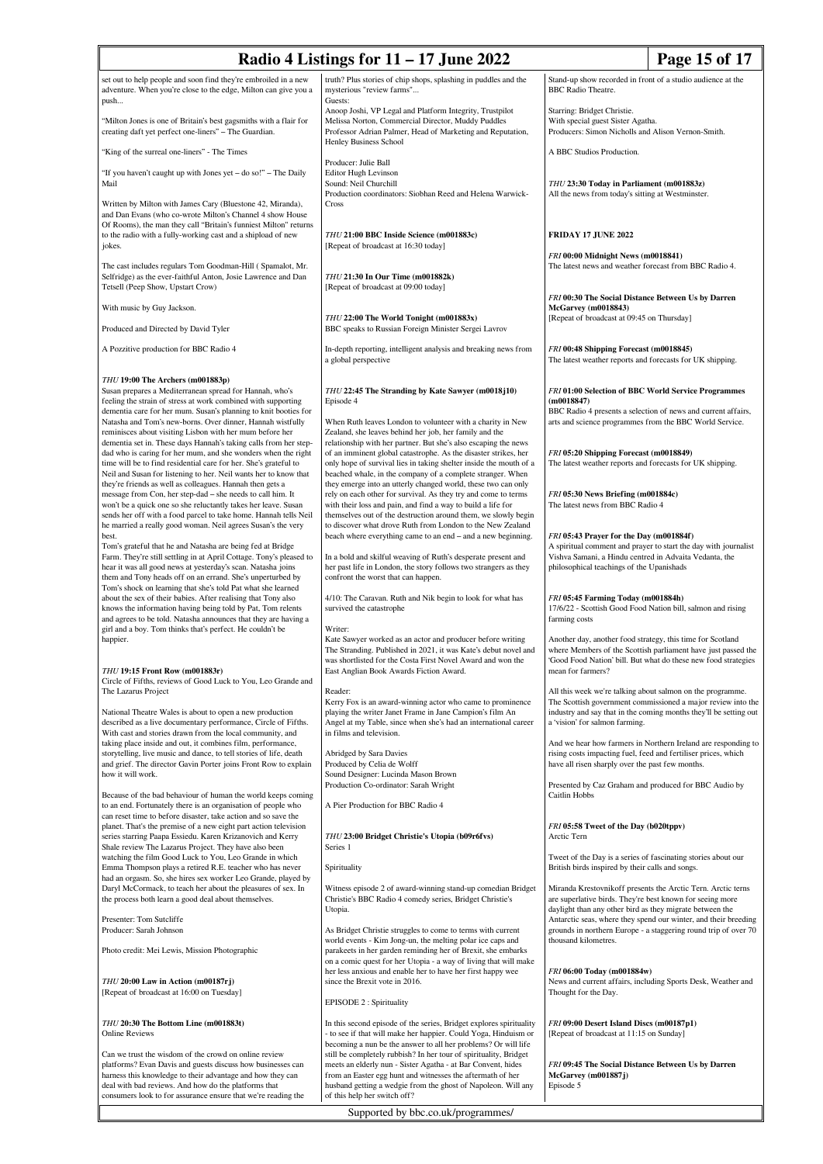|                                                                                                                                                                                                                                                                                                             | Radio 4 Listings for $11 - 17$ June 2022                                                                                                                                                                                                                                                         | Page 15 of 17                                                                                                                                                                                 |  |
|-------------------------------------------------------------------------------------------------------------------------------------------------------------------------------------------------------------------------------------------------------------------------------------------------------------|--------------------------------------------------------------------------------------------------------------------------------------------------------------------------------------------------------------------------------------------------------------------------------------------------|-----------------------------------------------------------------------------------------------------------------------------------------------------------------------------------------------|--|
| set out to help people and soon find they're embroiled in a new<br>adventure. When you're close to the edge, Milton can give you a                                                                                                                                                                          | truth? Plus stories of chip shops, splashing in puddles and the<br>mysterious "review farms"                                                                                                                                                                                                     | Stand-up show recorded in front of a studio audience at the<br>BBC Radio Theatre.                                                                                                             |  |
| push<br>"Milton Jones is one of Britain's best gagsmiths with a flair for                                                                                                                                                                                                                                   | Guests:<br>Anoop Joshi, VP Legal and Platform Integrity, Trustpilot<br>Melissa Norton, Commercial Director, Muddy Puddles                                                                                                                                                                        | Starring: Bridget Christie.<br>With special guest Sister Agatha.                                                                                                                              |  |
| creating daft yet perfect one-liners" - The Guardian.                                                                                                                                                                                                                                                       | Professor Adrian Palmer, Head of Marketing and Reputation,<br>Henley Business School                                                                                                                                                                                                             | Producers: Simon Nicholls and Alison Vernon-Smith.                                                                                                                                            |  |
| "King of the surreal one-liners" - The Times<br>"If you haven't caught up with Jones yet - do so!" - The Daily                                                                                                                                                                                              | Producer: Julie Ball<br>Editor Hugh Levinson                                                                                                                                                                                                                                                     | A BBC Studios Production.                                                                                                                                                                     |  |
| Mail<br>Written by Milton with James Cary (Bluestone 42, Miranda),                                                                                                                                                                                                                                          | Sound: Neil Churchill<br>Production coordinators: Siobhan Reed and Helena Warwick-<br>Cross                                                                                                                                                                                                      | THU 23:30 Today in Parliament (m001883z)<br>All the news from today's sitting at Westminster.                                                                                                 |  |
| and Dan Evans (who co-wrote Milton's Channel 4 show House<br>Of Rooms), the man they call "Britain's funniest Milton" returns                                                                                                                                                                               |                                                                                                                                                                                                                                                                                                  |                                                                                                                                                                                               |  |
| to the radio with a fully-working cast and a shipload of new<br>jokes.                                                                                                                                                                                                                                      | THU 21:00 BBC Inside Science (m001883c)<br>[Repeat of broadcast at 16:30 today]                                                                                                                                                                                                                  | <b>FRIDAY 17 JUNE 2022</b><br>FRI 00:00 Midnight News (m0018841)                                                                                                                              |  |
| The cast includes regulars Tom Goodman-Hill (Spamalot, Mr.<br>Selfridge) as the ever-faithful Anton, Josie Lawrence and Dan<br>Tetsell (Peep Show, Upstart Crow)                                                                                                                                            | THU 21:30 In Our Time (m001882k)<br>[Repeat of broadcast at 09:00 today]                                                                                                                                                                                                                         | The latest news and weather forecast from BBC Radio 4.<br>FRI 00:30 The Social Distance Between Us by Darren                                                                                  |  |
| With music by Guy Jackson.                                                                                                                                                                                                                                                                                  | THU 22:00 The World Tonight (m001883x)                                                                                                                                                                                                                                                           | <b>McGarvey</b> (m0018843)<br>[Repeat of broadcast at 09:45 on Thursday]                                                                                                                      |  |
| Produced and Directed by David Tyler                                                                                                                                                                                                                                                                        | BBC speaks to Russian Foreign Minister Sergei Lavrov                                                                                                                                                                                                                                             |                                                                                                                                                                                               |  |
| A Pozzitive production for BBC Radio 4                                                                                                                                                                                                                                                                      | In-depth reporting, intelligent analysis and breaking news from<br>a global perspective                                                                                                                                                                                                          | FRI 00:48 Shipping Forecast (m0018845)<br>The latest weather reports and forecasts for UK shipping.                                                                                           |  |
| $THU$ 19:00 The Archers (m001883p)<br>Susan prepares a Mediterranean spread for Hannah, who's<br>feeling the strain of stress at work combined with supporting                                                                                                                                              | THU 22:45 The Stranding by Kate Sawyer (m0018j10)<br>Episode 4                                                                                                                                                                                                                                   | <b>FRI 01:00 Selection of BBC World Service Programmes</b><br>(m0018847)                                                                                                                      |  |
| dementia care for her mum. Susan's planning to knit booties for<br>Natasha and Tom's new-borns. Over dinner, Hannah wistfully<br>reminisces about visiting Lisbon with her mum before her                                                                                                                   | When Ruth leaves London to volunteer with a charity in New<br>Zealand, she leaves behind her job, her family and the                                                                                                                                                                             | BBC Radio 4 presents a selection of news and current affairs,<br>arts and science programmes from the BBC World Service.                                                                      |  |
| dementia set in. These days Hannah's taking calls from her step-<br>dad who is caring for her mum, and she wonders when the right<br>time will be to find residential care for her. She's grateful to<br>Neil and Susan for listening to her. Neil wants her to know that                                   | relationship with her partner. But she's also escaping the news<br>of an imminent global catastrophe. As the disaster strikes, her<br>only hope of survival lies in taking shelter inside the mouth of a<br>beached whale, in the company of a complete stranger. When                           | FRI 05:20 Shipping Forecast (m0018849)<br>The latest weather reports and forecasts for UK shipping.                                                                                           |  |
| they're friends as well as colleagues. Hannah then gets a<br>message from Con, her step-dad – she needs to call him. It<br>won't be a quick one so she reluctantly takes her leave. Susan<br>sends her off with a food parcel to take home. Hannah tells Neil                                               | they emerge into an utterly changed world, these two can only<br>rely on each other for survival. As they try and come to terms<br>with their loss and pain, and find a way to build a life for<br>themselves out of the destruction around them, we slowly begin                                | FRI 05:30 News Briefing (m001884c)<br>The latest news from BBC Radio 4                                                                                                                        |  |
| he married a really good woman. Neil agrees Susan's the very<br>best.<br>Tom's grateful that he and Natasha are being fed at Bridge<br>Farm. They're still settling in at April Cottage. Tony's pleased to                                                                                                  | to discover what drove Ruth from London to the New Zealand<br>beach where everything came to an end – and a new beginning.<br>In a bold and skilful weaving of Ruth's desperate present and                                                                                                      | FRI 05:43 Prayer for the Day (m001884f)<br>A spiritual comment and prayer to start the day with journalist<br>Vishva Samani, a Hindu centred in Advaita Vedanta, the                          |  |
| hear it was all good news at yesterday's scan. Natasha joins<br>them and Tony heads off on an errand. She's unperturbed by<br>Tom's shock on learning that she's told Pat what she learned                                                                                                                  | her past life in London, the story follows two strangers as they<br>confront the worst that can happen.                                                                                                                                                                                          | philosophical teachings of the Upanishads                                                                                                                                                     |  |
| about the sex of their babies. After realising that Tony also<br>knows the information having being told by Pat, Tom relents<br>and agrees to be told. Natasha announces that they are having a                                                                                                             | 4/10: The Caravan. Ruth and Nik begin to look for what has<br>survived the catastrophe                                                                                                                                                                                                           | FRI 05:45 Farming Today (m001884h)<br>17/6/22 - Scottish Good Food Nation bill, salmon and rising<br>farming costs                                                                            |  |
| girl and a boy. Tom thinks that's perfect. He couldn't be<br>happier.                                                                                                                                                                                                                                       | Writer:<br>Kate Sawyer worked as an actor and producer before writing<br>The Stranding. Published in 2021, it was Kate's debut novel and<br>was shortlisted for the Costa First Novel Award and won the                                                                                          | Another day, another food strategy, this time for Scotland<br>where Members of the Scottish parliament have just passed the<br>'Good Food Nation' bill. But what do these new food strategies |  |
| THU 19:15 Front Row (m001883r)<br>Circle of Fifths, reviews of Good Luck to You, Leo Grande and<br>The Lazarus Project                                                                                                                                                                                      | East Anglian Book Awards Fiction Award.<br>Reader:                                                                                                                                                                                                                                               | mean for farmers?<br>All this week we're talking about salmon on the programme.                                                                                                               |  |
| National Theatre Wales is about to open a new production<br>described as a live documentary performance, Circle of Fifths.<br>With cast and stories drawn from the local community, and                                                                                                                     | Kerry Fox is an award-winning actor who came to prominence<br>playing the writer Janet Frame in Jane Campion's film An<br>Angel at my Table, since when she's had an international career<br>in films and television.                                                                            | The Scottish government commissioned a major review into the<br>industry and say that in the coming months they'll be setting out<br>a 'vision' for salmon farming.                           |  |
| taking place inside and out, it combines film, performance,<br>storytelling, live music and dance, to tell stories of life, death<br>and grief. The director Gavin Porter joins Front Row to explain                                                                                                        | Abridged by Sara Davies<br>Produced by Celia de Wolff                                                                                                                                                                                                                                            | And we hear how farmers in Northern Ireland are responding to<br>rising costs impacting fuel, feed and fertiliser prices, which<br>have all risen sharply over the past few months.           |  |
| how it will work.<br>Because of the bad behaviour of human the world keeps coming                                                                                                                                                                                                                           | Sound Designer: Lucinda Mason Brown<br>Production Co-ordinator: Sarah Wright                                                                                                                                                                                                                     | Presented by Caz Graham and produced for BBC Audio by<br>Caitlin Hobbs                                                                                                                        |  |
| to an end. Fortunately there is an organisation of people who<br>can reset time to before disaster, take action and so save the<br>planet. That's the premise of a new eight part action television                                                                                                         | A Pier Production for BBC Radio 4                                                                                                                                                                                                                                                                | FRI 05:58 Tweet of the Day (b020tppv)                                                                                                                                                         |  |
| series starring Paapa Essiedu. Karen Krizanovich and Kerry<br>Shale review The Lazarus Project. They have also been<br>watching the film Good Luck to You, Leo Grande in which                                                                                                                              | THU 23:00 Bridget Christie's Utopia (b09r6fvs)<br>Series 1                                                                                                                                                                                                                                       | Arctic Tern<br>Tweet of the Day is a series of fascinating stories about our                                                                                                                  |  |
| Emma Thompson plays a retired R.E. teacher who has never<br>had an orgasm. So, she hires sex worker Leo Grande, played by                                                                                                                                                                                   | Spirituality                                                                                                                                                                                                                                                                                     | British birds inspired by their calls and songs.                                                                                                                                              |  |
| Daryl McCormack, to teach her about the pleasures of sex. In<br>the process both learn a good deal about themselves.                                                                                                                                                                                        | Witness episode 2 of award-winning stand-up comedian Bridget<br>Christie's BBC Radio 4 comedy series, Bridget Christie's<br>Utopia.                                                                                                                                                              | Miranda Krestovnikoff presents the Arctic Tern. Arctic terns<br>are superlative birds. They're best known for seeing more<br>daylight than any other bird as they migrate between the         |  |
| Presenter: Tom Sutcliffe<br>Producer: Sarah Johnson                                                                                                                                                                                                                                                         | As Bridget Christie struggles to come to terms with current                                                                                                                                                                                                                                      | Antarctic seas, where they spend our winter, and their breeding<br>grounds in northern Europe - a staggering round trip of over 70                                                            |  |
| Photo credit: Mei Lewis, Mission Photographic                                                                                                                                                                                                                                                               | world events - Kim Jong-un, the melting polar ice caps and<br>parakeets in her garden reminding her of Brexit, she embarks<br>on a comic quest for her Utopia - a way of living that will make                                                                                                   | thousand kilometres.<br>FRI 06:00 Today (m001884w)                                                                                                                                            |  |
| THU 20:00 Law in Action (m00187rj)<br>[Repeat of broadcast at 16:00 on Tuesday]                                                                                                                                                                                                                             | her less anxious and enable her to have her first happy wee<br>since the Brexit vote in 2016.                                                                                                                                                                                                    | News and current affairs, including Sports Desk, Weather and<br>Thought for the Day.                                                                                                          |  |
|                                                                                                                                                                                                                                                                                                             | EPISODE 2 : Spirituality                                                                                                                                                                                                                                                                         |                                                                                                                                                                                               |  |
| THU 20:30 The Bottom Line (m001883t)<br><b>Online Reviews</b>                                                                                                                                                                                                                                               | In this second episode of the series, Bridget explores spirituality<br>- to see if that will make her happier. Could Yoga, Hinduism or<br>becoming a nun be the answer to all her problems? Or will life                                                                                         | FRI 09:00 Desert Island Discs (m00187p1)<br>[Repeat of broadcast at 11:15 on Sunday]                                                                                                          |  |
| Can we trust the wisdom of the crowd on online review<br>platforms? Evan Davis and guests discuss how businesses can<br>harness this knowledge to their advantage and how they can<br>deal with bad reviews. And how do the platforms that<br>consumers look to for assurance ensure that we're reading the | still be completely rubbish? In her tour of spirituality, Bridget<br>meets an elderly nun - Sister Agatha - at Bar Convent, hides<br>from an Easter egg hunt and witnesses the aftermath of her<br>husband getting a wedgie from the ghost of Napoleon. Will any<br>of this help her switch off? | FRI 09:45 The Social Distance Between Us by Darren<br>McGarvey (m001887j)<br>Episode 5                                                                                                        |  |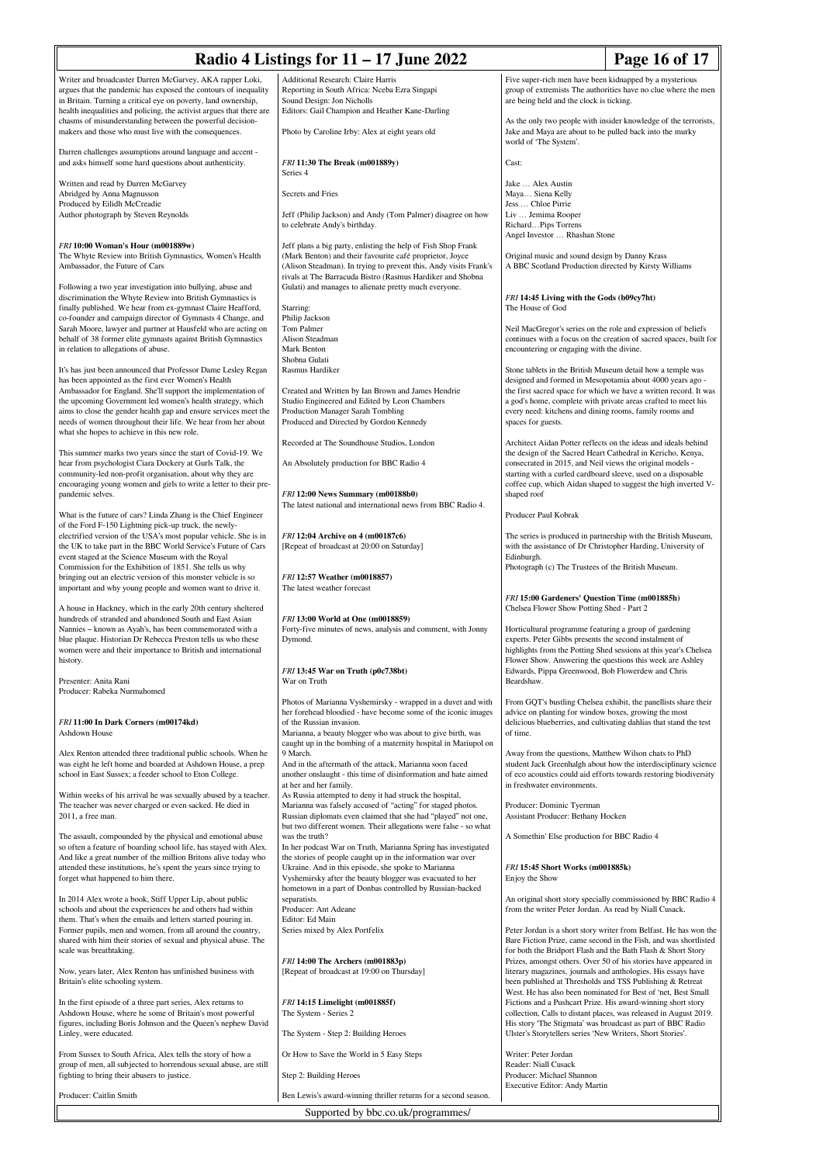| Radio 4 Listings for $11 - 17$ June 2022                                                                                                                                                                                                                              | Page 16 of 17                                                                                                                                                                                                                                                |                                                                                                                                                                                              |                                                                    |  |  |  |
|-----------------------------------------------------------------------------------------------------------------------------------------------------------------------------------------------------------------------------------------------------------------------|--------------------------------------------------------------------------------------------------------------------------------------------------------------------------------------------------------------------------------------------------------------|----------------------------------------------------------------------------------------------------------------------------------------------------------------------------------------------|--------------------------------------------------------------------|--|--|--|
| Writer and broadcaster Darren McGarvey, AKA rapper Loki,<br>argues that the pandemic has exposed the contours of inequality<br>in Britain. Turning a critical eye on poverty, land ownership,<br>health inequalities and policing, the activist argues that there are | Additional Research: Claire Harris<br>Reporting in South Africa: Nceba Ezra Singapi<br>Sound Design: Jon Nicholls<br>Editors: Gail Champion and Heather Kane-Darling                                                                                         | Five super-rich men have been kidnapped by a mysterious<br>group of extremists The authorities have no clue where the men<br>are being held and the clock is ticking.                        |                                                                    |  |  |  |
| chasms of misunderstanding between the powerful decision-<br>makers and those who must live with the consequences.                                                                                                                                                    | Photo by Caroline Irby: Alex at eight years old                                                                                                                                                                                                              | As the only two people with insider knowledge of the terrorists,<br>Jake and Maya are about to be pulled back into the murky<br>world of 'The System'.                                       |                                                                    |  |  |  |
| Darren challenges assumptions around language and accent -<br>and asks himself some hard questions about authenticity.                                                                                                                                                | FRI 11:30 The Break (m001889y)<br>Series 4                                                                                                                                                                                                                   | Cast:                                                                                                                                                                                        |                                                                    |  |  |  |
| Written and read by Darren McGarvey<br>Abridged by Anna Magnusson<br>Produced by Eilidh McCreadie                                                                                                                                                                     | Secrets and Fries                                                                                                                                                                                                                                            | Jake  Alex Austin<br>Maya Siena Kelly<br>Jess  Chloe Pirrie                                                                                                                                  |                                                                    |  |  |  |
| Author photograph by Steven Reynolds                                                                                                                                                                                                                                  | Jeff (Philip Jackson) and Andy (Tom Palmer) disagree on how<br>to celebrate Andy's birthday.                                                                                                                                                                 | Liv  Jemima Rooper<br>RichardPips Torrens<br>Angel Investor  Rhashan Stone                                                                                                                   |                                                                    |  |  |  |
| FRI 10:00 Woman's Hour (m001889w)<br>The Whyte Review into British Gymnastics, Women's Health<br>Ambassador, the Future of Cars                                                                                                                                       | Jeff plans a big party, enlisting the help of Fish Shop Frank<br>(Mark Benton) and their favourite café proprietor, Joyce<br>(Alison Steadman). In trying to prevent this, Andy visits Frank's<br>rivals at The Barracuda Bistro (Rasmus Hardiker and Shobna | Original music and sound design by Danny Krass<br>A BBC Scotland Production directed by Kirsty Williams                                                                                      |                                                                    |  |  |  |
| Following a two year investigation into bullying, abuse and<br>discrimination the Whyte Review into British Gymnastics is<br>finally published. We hear from ex-gymnast Claire Heafford,                                                                              | Gulati) and manages to alienate pretty much everyone.<br>Starring:                                                                                                                                                                                           | FRI 14:45 Living with the Gods (b09cy7ht)<br>The House of God                                                                                                                                |                                                                    |  |  |  |
| co-founder and campaign director of Gymnasts 4 Change, and<br>Sarah Moore, lawyer and partner at Hausfeld who are acting on                                                                                                                                           | Philip Jackson<br>Tom Palmer                                                                                                                                                                                                                                 |                                                                                                                                                                                              |                                                                    |  |  |  |
| behalf of 38 former elite gymnasts against British Gymnastics                                                                                                                                                                                                         | Alison Steadman                                                                                                                                                                                                                                              | Neil MacGregor's series on the role and expression of beliefs<br>continues with a focus on the creation of sacred spaces, built for                                                          |                                                                    |  |  |  |
| in relation to allegations of abuse.                                                                                                                                                                                                                                  | Mark Benton                                                                                                                                                                                                                                                  | encountering or engaging with the divine.                                                                                                                                                    |                                                                    |  |  |  |
|                                                                                                                                                                                                                                                                       | Shobna Gulati                                                                                                                                                                                                                                                |                                                                                                                                                                                              |                                                                    |  |  |  |
| It's has just been announced that Professor Dame Lesley Regan<br>has been appointed as the first ever Women's Health                                                                                                                                                  | Rasmus Hardiker                                                                                                                                                                                                                                              | Stone tablets in the British Museum detail how a temple was                                                                                                                                  | designed and formed in Mesopotamia about 4000 years ago -          |  |  |  |
| Ambassador for England. She'll support the implementation of                                                                                                                                                                                                          | Created and Written by Ian Brown and James Hendrie                                                                                                                                                                                                           |                                                                                                                                                                                              | the first sacred space for which we have a written record. It was  |  |  |  |
| the upcoming Government led women's health strategy, which                                                                                                                                                                                                            | Studio Engineered and Edited by Leon Chambers                                                                                                                                                                                                                |                                                                                                                                                                                              | a god's home, complete with private areas crafted to meet his      |  |  |  |
| aims to close the gender health gap and ensure services meet the<br>needs of women throughout their life. We hear from her about                                                                                                                                      | Production Manager Sarah Tombling<br>Produced and Directed by Gordon Kennedy                                                                                                                                                                                 | every need: kitchens and dining rooms, family rooms and<br>spaces for guests.                                                                                                                |                                                                    |  |  |  |
| what she hopes to achieve in this new role.                                                                                                                                                                                                                           | Recorded at The Soundhouse Studios, London                                                                                                                                                                                                                   |                                                                                                                                                                                              | Architect Aidan Potter reflects on the ideas and ideals behind     |  |  |  |
| This summer marks two years since the start of Covid-19. We<br>hear from psychologist Ciara Dockery at Gurls Talk, the                                                                                                                                                | An Absolutely production for BBC Radio 4                                                                                                                                                                                                                     | the design of the Sacred Heart Cathedral in Kericho, Kenya,                                                                                                                                  |                                                                    |  |  |  |
| community-led non-profit organisation, about why they are<br>encouraging young women and girls to write a letter to their pre-                                                                                                                                        |                                                                                                                                                                                                                                                              | consecrated in 2015, and Neil views the original models -<br>starting with a curled cardboard sleeve, used on a disposable<br>coffee cup, which Aidan shaped to suggest the high inverted V- |                                                                    |  |  |  |
| pandemic selves.                                                                                                                                                                                                                                                      | FRI 12:00 News Summary (m00188b0)<br>The latest national and international news from BBC Radio 4.                                                                                                                                                            | shaped roof                                                                                                                                                                                  |                                                                    |  |  |  |
| What is the future of cars? Linda Zhang is the Chief Engineer                                                                                                                                                                                                         |                                                                                                                                                                                                                                                              | Producer Paul Kobrak                                                                                                                                                                         |                                                                    |  |  |  |
| of the Ford F-150 Lightning pick-up truck, the newly-                                                                                                                                                                                                                 |                                                                                                                                                                                                                                                              |                                                                                                                                                                                              |                                                                    |  |  |  |
| electrified version of the USA's most popular vehicle. She is in<br>the UK to take part in the BBC World Service's Future of Cars                                                                                                                                     | FRI 12:04 Archive on 4 (m00187c6)<br>[Repeat of broadcast at 20:00 on Saturday]                                                                                                                                                                              | with the assistance of Dr Christopher Harding, University of                                                                                                                                 | The series is produced in partnership with the British Museum,     |  |  |  |
| event staged at the Science Museum with the Royal                                                                                                                                                                                                                     |                                                                                                                                                                                                                                                              | Edinburgh.                                                                                                                                                                                   |                                                                    |  |  |  |
| Commission for the Exhibition of 1851. She tells us why                                                                                                                                                                                                               |                                                                                                                                                                                                                                                              | Photograph (c) The Trustees of the British Museum.                                                                                                                                           |                                                                    |  |  |  |
| bringing out an electric version of this monster vehicle is so                                                                                                                                                                                                        | FRI 12:57 Weather (m0018857)<br>The latest weather forecast                                                                                                                                                                                                  |                                                                                                                                                                                              |                                                                    |  |  |  |
| important and why young people and women want to drive it.                                                                                                                                                                                                            |                                                                                                                                                                                                                                                              | FRI 15:00 Gardeners' Question Time (m001885h)                                                                                                                                                |                                                                    |  |  |  |
| A house in Hackney, which in the early 20th century sheltered                                                                                                                                                                                                         |                                                                                                                                                                                                                                                              | Chelsea Flower Show Potting Shed - Part 2                                                                                                                                                    |                                                                    |  |  |  |
| hundreds of stranded and abandoned South and East Asian<br>Nannies - known as Ayah's, has been commemorated with a                                                                                                                                                    | FRI 13:00 World at One (m0018859)<br>Forty-five minutes of news, analysis and comment, with Jonny                                                                                                                                                            | Horticultural programme featuring a group of gardening                                                                                                                                       |                                                                    |  |  |  |
| blue plaque. Historian Dr Rebecca Preston tells us who these                                                                                                                                                                                                          | Dymond.                                                                                                                                                                                                                                                      | experts. Peter Gibbs presents the second instalment of                                                                                                                                       |                                                                    |  |  |  |
| women were and their importance to British and international                                                                                                                                                                                                          |                                                                                                                                                                                                                                                              |                                                                                                                                                                                              | highlights from the Potting Shed sessions at this year's Chelsea   |  |  |  |
| history.                                                                                                                                                                                                                                                              |                                                                                                                                                                                                                                                              | Flower Show. Answering the questions this week are Ashley                                                                                                                                    |                                                                    |  |  |  |
| Presenter: Anita Rani                                                                                                                                                                                                                                                 | FRI 13:45 War on Truth (p0c738bt)<br>War on Truth                                                                                                                                                                                                            | Edwards, Pippa Greenwood, Bob Flowerdew and Chris<br>Beardshaw.                                                                                                                              |                                                                    |  |  |  |
| Producer: Rabeka Nurmahomed                                                                                                                                                                                                                                           |                                                                                                                                                                                                                                                              |                                                                                                                                                                                              |                                                                    |  |  |  |
|                                                                                                                                                                                                                                                                       | Photos of Marianna Vyshemirsky - wrapped in a duvet and with                                                                                                                                                                                                 |                                                                                                                                                                                              | From GQT's bustling Chelsea exhibit, the panellists share their    |  |  |  |
| FRI 11:00 In Dark Corners (m00174kd)                                                                                                                                                                                                                                  | her forehead bloodied - have become some of the iconic images<br>of the Russian invasion.                                                                                                                                                                    | advice on planting for window boxes, growing the most                                                                                                                                        | delicious blueberries, and cultivating dahlias that stand the test |  |  |  |
| Ashdown House                                                                                                                                                                                                                                                         | Marianna, a beauty blogger who was about to give birth, was                                                                                                                                                                                                  | of time.                                                                                                                                                                                     |                                                                    |  |  |  |
|                                                                                                                                                                                                                                                                       | caught up in the bombing of a maternity hospital in Mariupol on                                                                                                                                                                                              |                                                                                                                                                                                              |                                                                    |  |  |  |
| Alex Renton attended three traditional public schools. When he<br>was eight he left home and boarded at Ashdown House, a prep                                                                                                                                         | 9 March.<br>And in the aftermath of the attack, Marianna soon faced                                                                                                                                                                                          | Away from the questions, Matthew Wilson chats to PhD                                                                                                                                         | student Jack Greenhalgh about how the interdisciplinary science    |  |  |  |
| school in East Sussex; a feeder school to Eton College.                                                                                                                                                                                                               | another onslaught - this time of disinformation and hate aimed                                                                                                                                                                                               |                                                                                                                                                                                              | of eco acoustics could aid efforts towards restoring biodiversity  |  |  |  |
| Within weeks of his arrival he was sexually abused by a teacher.                                                                                                                                                                                                      | at her and her family.<br>As Russia attempted to deny it had struck the hospital,                                                                                                                                                                            | in freshwater environments.                                                                                                                                                                  |                                                                    |  |  |  |
| The teacher was never charged or even sacked. He died in                                                                                                                                                                                                              | Marianna was falsely accused of "acting" for staged photos.                                                                                                                                                                                                  | Producer: Dominic Tyerman                                                                                                                                                                    |                                                                    |  |  |  |
| 2011, a free man.                                                                                                                                                                                                                                                     | Russian diplomats even claimed that she had "played" not one,<br>but two different women. Their allegations were false - so what                                                                                                                             | Assistant Producer: Bethany Hocken                                                                                                                                                           |                                                                    |  |  |  |
| The assault, compounded by the physical and emotional abuse<br>so often a feature of boarding school life, has stayed with Alex.                                                                                                                                      | was the truth?<br>In her podcast War on Truth, Marianna Spring has investigated                                                                                                                                                                              | A Somethin' Else production for BBC Radio 4                                                                                                                                                  |                                                                    |  |  |  |
| And like a great number of the million Britons alive today who<br>attended these institutions, he's spent the years since trying to                                                                                                                                   | the stories of people caught up in the information war over<br>Ukraine. And in this episode, she spoke to Marianna                                                                                                                                           | FRI 15:45 Short Works (m001885k)                                                                                                                                                             |                                                                    |  |  |  |
| forget what happened to him there.                                                                                                                                                                                                                                    | Vyshemirsky after the beauty blogger was evacuated to her                                                                                                                                                                                                    | Enjoy the Show                                                                                                                                                                               |                                                                    |  |  |  |
| In 2014 Alex wrote a book, Stiff Upper Lip, about public                                                                                                                                                                                                              | hometown in a part of Donbas controlled by Russian-backed<br>separatists.                                                                                                                                                                                    |                                                                                                                                                                                              | An original short story specially commissioned by BBC Radio 4      |  |  |  |
| schools and about the experiences he and others had within                                                                                                                                                                                                            | Producer: Ant Adeane                                                                                                                                                                                                                                         | from the writer Peter Jordan. As read by Niall Cusack.                                                                                                                                       |                                                                    |  |  |  |
| them. That's when the emails and letters started pouring in.<br>Former pupils, men and women, from all around the country,                                                                                                                                            | Editor: Ed Main<br>Series mixed by Alex Portfelix                                                                                                                                                                                                            |                                                                                                                                                                                              | Peter Jordan is a short story writer from Belfast. He has won the  |  |  |  |
| shared with him their stories of sexual and physical abuse. The                                                                                                                                                                                                       |                                                                                                                                                                                                                                                              |                                                                                                                                                                                              | Bare Fiction Prize, came second in the Fish, and was shortlisted   |  |  |  |
| scale was breathtaking.                                                                                                                                                                                                                                               |                                                                                                                                                                                                                                                              | for both the Bridport Flash and the Bath Flash & Short Story                                                                                                                                 |                                                                    |  |  |  |
| Now, years later, Alex Renton has unfinished business with                                                                                                                                                                                                            | FRI 14:00 The Archers (m001883p)<br>[Repeat of broadcast at 19:00 on Thursday]                                                                                                                                                                               | literary magazines, journals and anthologies. His essays have                                                                                                                                | Prizes, amongst others. Over 50 of his stories have appeared in    |  |  |  |
| Britain's elite schooling system.                                                                                                                                                                                                                                     |                                                                                                                                                                                                                                                              | been published at Thresholds and TSS Publishing & Retreat                                                                                                                                    |                                                                    |  |  |  |
|                                                                                                                                                                                                                                                                       |                                                                                                                                                                                                                                                              |                                                                                                                                                                                              | West. He has also been nominated for Best of 'net, Best Small      |  |  |  |
| In the first episode of a three part series, Alex returns to<br>Ashdown House, where he some of Britain's most powerful                                                                                                                                               | FRI 14:15 Limelight (m001885f)<br>The System - Series 2                                                                                                                                                                                                      | Fictions and a Pushcart Prize. His award-winning short story                                                                                                                                 | collection, Calls to distant places, was released in August 2019.  |  |  |  |
| figures, including Boris Johnson and the Queen's nephew David                                                                                                                                                                                                         |                                                                                                                                                                                                                                                              |                                                                                                                                                                                              | His story 'The Stigmata' was broadcast as part of BBC Radio        |  |  |  |
| Linley, were educated.                                                                                                                                                                                                                                                | The System - Step 2: Building Heroes                                                                                                                                                                                                                         | Ulster's Storytellers series 'New Writers, Short Stories'.                                                                                                                                   |                                                                    |  |  |  |
| From Sussex to South Africa, Alex tells the story of how a                                                                                                                                                                                                            | Or How to Save the World in 5 Easy Steps                                                                                                                                                                                                                     | Writer: Peter Jordan                                                                                                                                                                         |                                                                    |  |  |  |
| group of men, all subjected to horrendous sexual abuse, are still                                                                                                                                                                                                     |                                                                                                                                                                                                                                                              | Reader: Niall Cusack                                                                                                                                                                         |                                                                    |  |  |  |
| fighting to bring their abusers to justice.                                                                                                                                                                                                                           | Step 2: Building Heroes                                                                                                                                                                                                                                      | Producer: Michael Shannon<br>Executive Editor: Andy Martin                                                                                                                                   |                                                                    |  |  |  |
| Producer: Caitlin Smith                                                                                                                                                                                                                                               | Ben Lewis's award-winning thriller returns for a second season.                                                                                                                                                                                              |                                                                                                                                                                                              |                                                                    |  |  |  |
|                                                                                                                                                                                                                                                                       | Supported by bbc.co.uk/programmes/                                                                                                                                                                                                                           |                                                                                                                                                                                              |                                                                    |  |  |  |
|                                                                                                                                                                                                                                                                       |                                                                                                                                                                                                                                                              |                                                                                                                                                                                              |                                                                    |  |  |  |